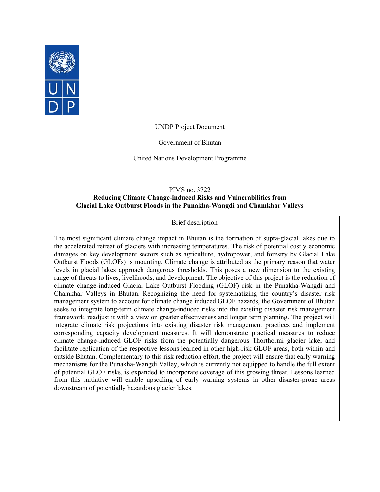

UNDP Project Document

Government of Bhutan

United Nations Development Programme

PIMS no. 3722

### **Reducing Climate Change-induced Risks and Vulnerabilities from Glacial Lake Outburst Floods in the Punakha-Wangdi and Chamkhar Valleys**

#### Brief description

The most significant climate change impact in Bhutan is the formation of supra-glacial lakes due to the accelerated retreat of glaciers with increasing temperatures. The risk of potential costly economic damages on key development sectors such as agriculture, hydropower, and forestry by Glacial Lake Outburst Floods (GLOFs) is mounting. Climate change is attributed as the primary reason that water levels in glacial lakes approach dangerous thresholds. This poses a new dimension to the existing range of threats to lives, livelihoods, and development. The objective of this project is the reduction of climate change-induced Glacial Lake Outburst Flooding (GLOF) risk in the Punakha-Wangdi and Chamkhar Valleys in Bhutan. Recognizing the need for systematizing the country's disaster risk management system to account for climate change induced GLOF hazards, the Government of Bhutan seeks to integrate long-term climate change-induced risks into the existing disaster risk management framework. readjust it with a view on greater effectiveness and longer term planning. The project will integrate climate risk projections into existing disaster risk management practices and implement corresponding capacity development measures. It will demonstrate practical measures to reduce climate change-induced GLOF risks from the potentially dangerous Thorthormi glacier lake, and facilitate replication of the respective lessons learned in other high-risk GLOF areas, both within and outside Bhutan. Complementary to this risk reduction effort, the project will ensure that early warning mechanisms for the Punakha-Wangdi Valley, which is currently not equipped to handle the full extent of potential GLOF risks, is expanded to incorporate coverage of this growing threat. Lessons learned from this initiative will enable upscaling of early warning systems in other disaster-prone areas downstream of potentially hazardous glacier lakes.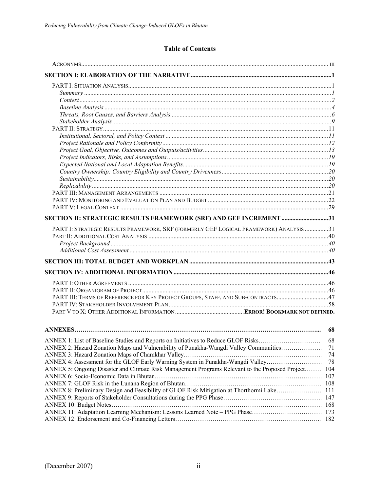# **Table of Contents**

| SECTION II: STRATEGIC RESULTS FRAMEWORK (SRF) AND GEF INCREMENT 31                                                                       |    |
|------------------------------------------------------------------------------------------------------------------------------------------|----|
| PART I: STRATEGIC RESULTS FRAMEWORK, SRF (FORMERLY GEF LOGICAL FRAMEWORK) ANALYSIS 31                                                    |    |
|                                                                                                                                          |    |
|                                                                                                                                          |    |
|                                                                                                                                          |    |
|                                                                                                                                          |    |
|                                                                                                                                          |    |
|                                                                                                                                          |    |
|                                                                                                                                          |    |
| PART III: TERMS OF REFERENCE FOR KEY PROJECT GROUPS, STAFF, AND SUB-CONTRACTS47                                                          |    |
|                                                                                                                                          |    |
|                                                                                                                                          |    |
|                                                                                                                                          |    |
|                                                                                                                                          | 68 |
| ANNEX 1: List of Baseline Studies and Reports on Initiatives to Reduce GLOF Risks                                                        | 68 |
| ANNEX 2: Hazard Zonation Maps and Vulnerability of Punakha-Wangdi Valley Communities                                                     | 71 |
| $\mathbf{r} = \mathbf{r} \cdot \mathbf{r}$ and $\mathbf{r} = \mathbf{r} \cdot \mathbf{r}$ and $\mathbf{r} = \mathbf{r} \cdot \mathbf{r}$ | 74 |
|                                                                                                                                          |    |

| ANNEX 5: Ongoing Disaster and Climate Risk Management Programs Relevant to the Proposed Project 104 |  |
|-----------------------------------------------------------------------------------------------------|--|
|                                                                                                     |  |
|                                                                                                     |  |
|                                                                                                     |  |
|                                                                                                     |  |
|                                                                                                     |  |
|                                                                                                     |  |
|                                                                                                     |  |
|                                                                                                     |  |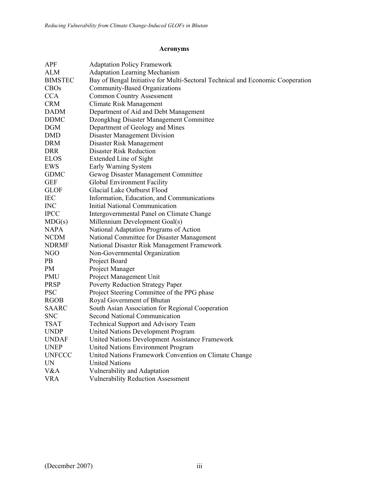# **Acronyms**

| <b>APF</b>     | <b>Adaptation Policy Framework</b>                                             |
|----------------|--------------------------------------------------------------------------------|
| <b>ALM</b>     | <b>Adaptation Learning Mechanism</b>                                           |
| <b>BIMSTEC</b> | Bay of Bengal Initiative for Multi-Sectoral Technical and Economic Cooperation |
| <b>CBOs</b>    | Community-Based Organizations                                                  |
| <b>CCA</b>     | <b>Common Country Assessment</b>                                               |
| <b>CRM</b>     | Climate Risk Management                                                        |
| <b>DADM</b>    | Department of Aid and Debt Management                                          |
| <b>DDMC</b>    | Dzongkhag Disaster Management Committee                                        |
| <b>DGM</b>     | Department of Geology and Mines                                                |
| <b>DMD</b>     | <b>Disaster Management Division</b>                                            |
| <b>DRM</b>     | Disaster Risk Management                                                       |
| <b>DRR</b>     | <b>Disaster Risk Reduction</b>                                                 |
| <b>ELOS</b>    | Extended Line of Sight                                                         |
| <b>EWS</b>     | Early Warning System                                                           |
| <b>GDMC</b>    | Gewog Disaster Management Committee                                            |
| <b>GEF</b>     | Global Environment Facility                                                    |
| <b>GLOF</b>    | Glacial Lake Outburst Flood                                                    |
| <b>IEC</b>     | Information, Education, and Communications                                     |
| <b>INC</b>     | <b>Initial National Communication</b>                                          |
| <b>IPCC</b>    | Intergovernmental Panel on Climate Change                                      |
| MDG(s)         | Millennium Development Goal(s)                                                 |
| <b>NAPA</b>    | National Adaptation Programs of Action                                         |
| <b>NCDM</b>    | National Committee for Disaster Management                                     |
| <b>NDRMF</b>   | National Disaster Risk Management Framework                                    |
| NGO            | Non-Governmental Organization                                                  |
| PB             | Project Board                                                                  |
| PM             | Project Manager                                                                |
| <b>PMU</b>     | Project Management Unit                                                        |
| <b>PRSP</b>    | <b>Poverty Reduction Strategy Paper</b>                                        |
| <b>PSC</b>     | Project Steering Committee of the PPG phase                                    |
| <b>RGOB</b>    | Royal Government of Bhutan                                                     |
| <b>SAARC</b>   | South Asian Association for Regional Cooperation                               |
| <b>SNC</b>     | <b>Second National Communication</b>                                           |
| <b>TSAT</b>    | <b>Technical Support and Advisory Team</b>                                     |
| <b>UNDP</b>    | United Nations Development Program                                             |
| <b>UNDAF</b>   | United Nations Development Assistance Framework                                |
| <b>UNEP</b>    | United Nations Environment Program                                             |
| <b>UNFCCC</b>  | United Nations Framework Convention on Climate Change                          |
| <b>UN</b>      | <b>United Nations</b>                                                          |
| V&A            | Vulnerability and Adaptation                                                   |
| <b>VRA</b>     | <b>Vulnerability Reduction Assessment</b>                                      |
|                |                                                                                |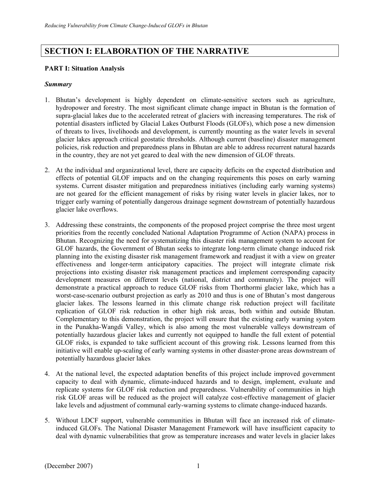# **SECTION I: ELABORATION OF THE NARRATIVE**

### **PART I: Situation Analysis**

### *Summary*

- 1. Bhutan's development is highly dependent on climate-sensitive sectors such as agriculture, hydropower and forestry. The most significant climate change impact in Bhutan is the formation of supra-glacial lakes due to the accelerated retreat of glaciers with increasing temperatures. The risk of potential disasters inflicted by Glacial Lakes Outburst Floods (GLOFs), which pose a new dimension of threats to lives, livelihoods and development, is currently mounting as the water levels in several glacier lakes approach critical geostatic thresholds. Although current (baseline) disaster management policies, risk reduction and preparedness plans in Bhutan are able to address recurrent natural hazards in the country, they are not yet geared to deal with the new dimension of GLOF threats.
- 2. At the individual and organizational level, there are capacity deficits on the expected distribution and effects of potential GLOF impacts and on the changing requirements this poses on early warning systems. Current disaster mitigation and preparedness initiatives (including early warning systems) are not geared for the efficient management of risks by rising water levels in glacier lakes, nor to trigger early warning of potentially dangerous drainage segment downstream of potentially hazardous glacier lake overflows.
- 3. Addressing these constraints, the components of the proposed project comprise the three most urgent priorities from the recently concluded National Adaptation Programme of Action (NAPA) process in Bhutan. Recognizing the need for systematizing this disaster risk management system to account for GLOF hazards, the Government of Bhutan seeks to integrate long-term climate change induced risk planning into the existing disaster risk management framework and readjust it with a view on greater effectiveness and longer-term anticipatory capacities. The project will integrate climate risk projections into existing disaster risk management practices and implement corresponding capacity development measures on different levels (national, district and community). The project will demonstrate a practical approach to reduce GLOF risks from Thorthormi glacier lake, which has a worst-case-scenario outburst projection as early as 2010 and thus is one of Bhutan's most dangerous glacier lakes. The lessons learned in this climate change risk reduction project will facilitate replication of GLOF risk reduction in other high risk areas, both within and outside Bhutan. Complementary to this demonstration, the project will ensure that the existing early warning system in the Punakha-Wangdi Valley, which is also among the most vulnerable valleys downstream of potentially hazardous glacier lakes and currently not equipped to handle the full extent of potential GLOF risks, is expanded to take sufficient account of this growing risk. Lessons learned from this initiative will enable up-scaling of early warning systems in other disaster-prone areas downstream of potentially hazardous glacier lakes.
- 4. At the national level, the expected adaptation benefits of this project include improved government capacity to deal with dynamic, climate-induced hazards and to design, implement, evaluate and replicate systems for GLOF risk reduction and preparedness. Vulnerability of communities in high risk GLOF areas will be reduced as the project will catalyze cost-effective management of glacier lake levels and adjustment of communal early-warning systems to climate change-induced hazards.
- 5. Without LDCF support, vulnerable communities in Bhutan will face an increased risk of climateinduced GLOFs. The National Disaster Management Framework will have insufficient capacity to deal with dynamic vulnerabilities that grow as temperature increases and water levels in glacier lakes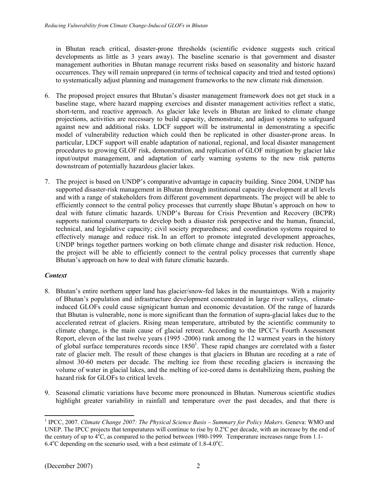in Bhutan reach critical, disaster-prone thresholds (scientific evidence suggests such critical developments as little as 3 years away). The baseline scenario is that government and disaster management authorities in Bhutan manage recurrent risks based on seasonality and historic hazard occurrences. They will remain unprepared (in terms of technical capacity and tried and tested options) to systematically adjust planning and management frameworks to the new climate risk dimension.

- 6. The proposed project ensures that Bhutan's disaster management framework does not get stuck in a baseline stage, where hazard mapping exercises and disaster management activities reflect a static, short-term, and reactive approach. As glacier lake levels in Bhutan are linked to climate change projections, activities are necessary to build capacity, demonstrate, and adjust systems to safeguard against new and additional risks. LDCF support will be instrumental in demonstrating a specific model of vulnerability reduction which could then be replicated in other disaster-prone areas. In particular, LDCF support will enable adaptation of national, regional, and local disaster management procedures to growing GLOF risk, demonstration, and replication of GLOF mitigation by glacier lake input/output management, and adaptation of early warning systems to the new risk patterns downstream of potentially hazardous glacier lakes.
- 7. The project is based on UNDP's comparative advantage in capacity building. Since 2004, UNDP has supported disaster-risk management in Bhutan through institutional capacity development at all levels and with a range of stakeholders from different government departments. The project will be able to efficiently connect to the central policy processes that currently shape Bhutan's approach on how to deal with future climatic hazards. UNDP's Bureau for Crisis Prevention and Recovery (BCPR) supports national counterparts to develop both a disaster risk perspective and the human, financial, technical, and legislative capacity; civil society preparedness; and coordination systems required to effectively manage and reduce risk. In an effort to promote integrated development approaches, UNDP brings together partners working on both climate change and disaster risk reduction. Hence, the project will be able to efficiently connect to the central policy processes that currently shape Bhutan's approach on how to deal with future climatic hazards.

# *Context*

- 8. Bhutan's entire northern upper land has glacier/snow-fed lakes in the mountaintops. With a majority of Bhutan's population and infrastructure development concentrated in large river valleys, climateinduced GLOFs could cause signigicant human and economic devastation. Of the range of hazards that Bhutan is vulnerable, none is more significant than the formation of supra-glacial lakes due to the accelerated retreat of glaciers. Rising mean temperature, attributed by the scientific community to climate change, is the main cause of glacial retreat. According to the IPCC's Fourth Assessment Report, eleven of the last twelve years (1995 -2006) rank among the 12 warmest years in the history of global surface temperatures records since  $1850^1$ . These rapid changes are correlated with a faster rate of glacier melt. The result of these changes is that glaciers in Bhutan are receding at a rate of almost 30-60 meters per decade. The melting ice from these receding glaciers is increasing the volume of water in glacial lakes, and the melting of ice-cored dams is destabilizing them, pushing the hazard risk for GLOFs to critical levels.
- 9. Seasonal climatic variations have become more pronounced in Bhutan. Numerous scientific studies highlight greater variability in rainfall and temperature over the past decades, and that there is

l <sup>1</sup> IPCC, 2007. *Climate Change 2007: The Physical Science Basis – Summary for Policy Makers*. Geneva: WMO and UNEP. The IPCC projects that temperatures will continue to rise by  $0.2^{\circ}$ C per decade, with an increase by the end of the century of up to  $4^{\circ}$ C, as compared to the period between 1980-1999. Temperature increases range from 1.1- $6.4^{\circ}$ C depending on the scenario used, with a best estimate of 1.8-4.0 $^{\circ}$ C.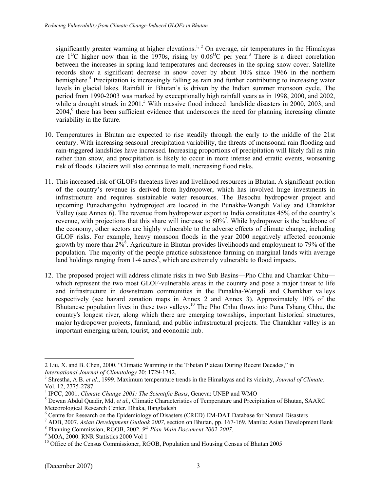significantly greater warming at higher elevations.<sup>1, 2</sup> On average, air temperatures in the Himalayas are  $1^{\circ}$ C higher now than in the 1970s, rising by  $0.06^{\circ}$ C per year.<sup>3</sup> There is a direct correlation between the increases in spring land temperatures and decreases in the spring snow cover. Satellite records show a significant decrease in snow cover by about 10% since 1966 in the northern hemisphere.<sup>4</sup> Precipitation is increasingly falling as rain and further contributing to increasing water levels in glacial lakes. Rainfall in Bhutan's is driven by the Indian summer monsoon cycle. The period from 1990-2003 was marked by execeptionally high rainfall years as in 1998, 2000, and 2002, while a drought struck in  $2001$ .<sup>5</sup> With massive flood induced landslide disasters in  $2000$ ,  $2003$ , and 2004,<sup>6</sup> there has been sufficient evidence that underscores the need for planning increasing climate variability in the future.

- 10. Temperatures in Bhutan are expected to rise steadily through the early to the middle of the 21st century. With increasing seasonal precipitation variability, the threats of monsoonal rain flooding and rain-triggered landslides have increased. Increasing proportions of precipitation will likely fall as rain rather than snow, and precipitation is likely to occur in more intense and erratic events, worsening risk of floods. Glaciers will also continue to melt, increasing flood risks.
- 11. This increased risk of GLOFs threatens lives and livelihood resources in Bhutan. A significant portion of the country's revenue is derived from hydropower, which has involved huge investments in infrastructure and requires sustainable water resources. The Basochu hydropower project and upcoming Punachangchu hydroproject are located in the Punakha-Wangdi Valley and Chamkhar Valley (see Annex 6). The revenue from hydropower export to India constitutes 45% of the country's revenue, with projections that this share will increase to  $60\%$ <sup>7</sup>. While hydropower is the backbone of the economy, other sectors are highly vulnerable to the adverse effects of climate change, including GLOF risks. For example, heavy monsoon floods in the year 2000 negatively affected economic growth by more than  $2\dot{9}^8$ . Agriculture in Bhutan provides livelihoods and employment to 79% of the population. The majority of the people practice subsistence farming on marginal lands with average land holdings ranging from  $1-4$  acres<sup>9</sup>, which are extremely vulnerable to flood impacts.
- 12. The proposed project will address climate risks in two Sub Basins—Pho Chhu and Chamkar Chhu which represent the two most GLOF-vulnerable areas in the country and pose a major threat to life and infrastructure in downstream communities in the Punakha-Wangdi and Chamkhar valleys respectively (see hazard zonation maps in Annex 2 and Annex 3). Approximately 10% of the Bhutanese population lives in these two valleys.<sup>10</sup> The Pho Chhu flows into Puna Tshang Chhu, the country's longest river, along which there are emerging townships, important historical structures, major hydropower projects, farmland, and public infrastructural projects. The Chamkhar valley is an important emerging urban, tourist, and economic hub.

l 2 Liu, X. and B. Chen, 2000. "Climatic Warming in the Tibetan Plateau During Recent Decades," in *International Journal of Climatology* 20: 1729-1742. 3

Shrestha, A.B. *et al.*, 1999. Maximum temperature trends in the Himalayas and its vicinity, *Journal of Climate,* Vol. 12, 2775-2787.

<sup>&</sup>lt;sup>4</sup> IPCC, 2001. *Climate Change 2001: The Scientific Basis*, Geneva: UNEP and WMO 5 Down Abdul Quadit, Md. at al. Climatic Characteristics of Temperature and Progr

<sup>&</sup>lt;sup>5</sup> Dewan Abdul Quadir, Md, *et al.*, Climatic Characteristics of Temperature and Precipitation of Bhutan, SAARC Meteorological Research Center, Dhaka, Bangladesh

<sup>&</sup>lt;sup>6</sup> Centre for Research on the Epidemiology of Disasters (CRED) EM-DAT Database for Natural Disasters  $\frac{7}{4}$  ADB 2007, data Davelopment Outlook 2007, section on Phyton pp. 167, 160. Monile: Agion Davelopment

<sup>&</sup>lt;sup>7</sup> ADB, 2007. *Asian Development Outlook 2007*, section on Bhutan, pp. 167-169. Manila: Asian Development Bank

<sup>&</sup>lt;sup>8</sup> Planning Commission, RGOB, 2002. <sup>*9<sup>th</sup> Plan Main Document 2002-2007*.</sup>

<sup>&</sup>lt;sup>9</sup> MOA, 2000. RNR Statistics 2000 Vol 1

<sup>&</sup>lt;sup>10</sup> Office of the Census Commissioner, RGOB, Population and Housing Census of Bhutan 2005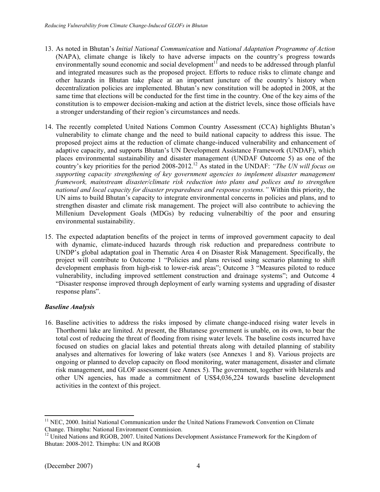- 13. As noted in Bhutan's *Initial National Communication* and *National Adaptation Programme of Action* (NAPA), climate change is likely to have adverse impacts on the country's progress towards environmentally sound economic and social development<sup>11</sup> and needs to be addressed through planful and integrated measures such as the proposed project. Efforts to reduce risks to climate change and other hazards in Bhutan take place at an important juncture of the country's history when decentralization policies are implemented. Bhutan's new constitution will be adopted in 2008, at the same time that elections will be conducted for the first time in the country. One of the key aims of the constitution is to empower decision-making and action at the district levels, since those officials have a stronger understanding of their region's circumstances and needs.
- 14. The recently completed United Nations Common Country Assessment (CCA) highlights Bhutan's vulnerability to climate change and the need to build national capacity to address this issue. The proposed project aims at the reduction of climate change-induced vulnerability and enhancement of adaptive capacity, and supports Bhutan's UN Development Assistance Framework (UNDAF), which places environmental sustainability and disaster management (UNDAF Outcome 5) as one of the country's key priorities for the period 2008-2012.12 As stated in the UNDAF: *"The UN will focus on supporting capacity strengthening of key government agencies to implement disaster management framework, mainstream disaster/climate risk reduction into plans and polices and to strengthen national and local capacity for disaster preparedness and response systems."* Within this priority, the UN aims to build Bhutan's capacity to integrate environmental concerns in policies and plans, and to strengthen disaster and climate risk management. The project will also contribute to achieving the Millenium Development Goals (MDGs) by reducing vulnerabiltiy of the poor and ensuring environmental sustainability.
- 15. The expected adaptation benefits of the project in terms of improved government capacity to deal with dynamic, climate-induced hazards through risk reduction and preparedness contribute to UNDP's global adaptation goal in Thematic Area 4 on Disaster Risk Management. Specifically, the project will contribute to Outcome 1 "Policies and plans revised using scenario planning to shift development emphasis from high-risk to lower-risk areas"; Outcome 3 "Measures piloted to reduce vulnerability, including improved settlement construction and drainage systems"; and Outcome 4 "Disaster response improved through deployment of early warning systems and upgrading of disaster response plans".

# *Baseline Analysis*

16. Baseline activities to address the risks imposed by climate change-induced rising water levels in Thorthormi lake are limited. At present, the Bhutanese government is unable, on its own, to bear the total cost of reducing the threat of flooding from rising water levels. The baseline costs incurred have focused on studies on glacial lakes and potential threats along with detailed planning of stability analyses and alternatives for lowering of lake waters (see Annexes 1 and 8). Various projects are ongoing or planned to develop capacity on flood monitoring, water management, disaster and climate risk management, and GLOF assessment (see Annex 5). The government, together with bilaterals and other UN agencies, has made a commitment of US\$4,036,224 towards baseline development activities in the context of this project.

l

<sup>&</sup>lt;sup>11</sup> NEC, 2000. Initial National Communication under the United Nations Framework Convention on Climate Change. Thimphu: National Environment Commission.

<sup>&</sup>lt;sup>12</sup> United Nations and RGOB, 2007. United Nations Development Assistance Framework for the Kingdom of Bhutan: 2008-2012. Thimphu: UN and RGOB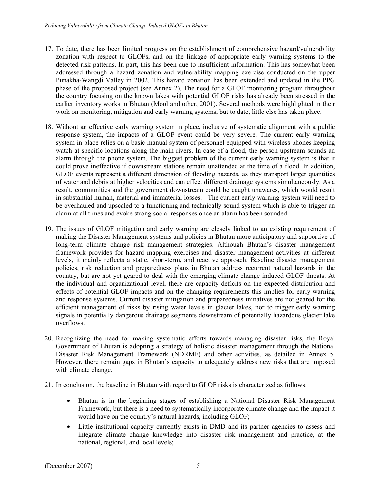- 17. To date, there has been limited progress on the establishment of comprehensive hazard/vulnerability zonation with respect to GLOFs, and on the linkage of appropriate early warning systems to the detected risk patterns. In part, this has been due to insufficient information. This has somewhat been addressed through a hazard zonation and vulnerability mapping exercise conducted on the upper Punakha-Wangdi Valley in 2002. This hazard zonation has been extended and updated in the PPG phase of the proposed project (see Annex 2). The need for a GLOF monitoring program throughout the country focusing on the known lakes with potential GLOF risks has already been stressed in the earlier inventory works in Bhutan (Mool and other, 2001). Several methods were highlighted in their work on monitoring, mitigation and early warning systems, but to date, little else has taken place.
- 18. Without an effective early warning system in place, inclusive of systematic alignment with a public response system, the impacts of a GLOF event could be very severe. The current early warning system in place relies on a basic manual system of personnel equipped with wireless phones keeping watch at specific locations along the main rivers. In case of a flood, the person upstream sounds an alarm through the phone system. The biggest problem of the current early warning system is that it could prove ineffective if downstream stations remain unattended at the time of a flood. In addition, GLOF events represent a different dimension of flooding hazards, as they transport larger quantities of water and debris at higher velocities and can effect different drainage systems simultaneously. As a result, communities and the government downstream could be caught unawares, which would result in substantial human, material and immaterial losses. The current early warning system will need to be overhauled and upscaled to a functioning and technically sound system which is able to trigger an alarm at all times and evoke strong social responses once an alarm has been sounded.
- 19. The issues of GLOF mitigation and early warning are closely linked to an existing requirement of making the Disaster Management systems and policies in Bhutan more anticipatory and supportive of long-term climate change risk management strategies. Although Bhutan's disaster management framework provides for hazard mapping exercises and disaster management activities at different levels, it mainly reflects a static, short-term, and reactive approach. Baseline disaster management policies, risk reduction and preparedness plans in Bhutan address recurrent natural hazards in the country, but are not yet geared to deal with the emerging climate change induced GLOF threats. At the individual and organizational level, there are capacity deficits on the expected distribution and effects of potential GLOF impacts and on the changing requirements this implies for early warning and response systems. Current disaster mitigation and preparedness initiatives are not geared for the efficient management of risks by rising water levels in glacier lakes, nor to trigger early warning signals in potentially dangerous drainage segments downstream of potentially hazardous glacier lake overflows.
- 20. Recognizing the need for making systematic efforts towards managing disaster risks, the Royal Government of Bhutan is adopting a strategy of holistic disaster management through the National Disaster Risk Management Framework (NDRMF) and other activities, as detailed in Annex 5. However, there remain gaps in Bhutan's capacity to adequately address new risks that are imposed with climate change.
- 21. In conclusion, the baseline in Bhutan with regard to GLOF risks is characterized as follows:
	- Bhutan is in the beginning stages of establishing a National Disaster Risk Management Framework, but there is a need to systematically incorporate climate change and the impact it would have on the country's natural hazards, including GLOF;
	- Little institutional capacity currently exists in DMD and its partner agencies to assess and integrate climate change knowledge into disaster risk management and practice, at the national, regional, and local levels;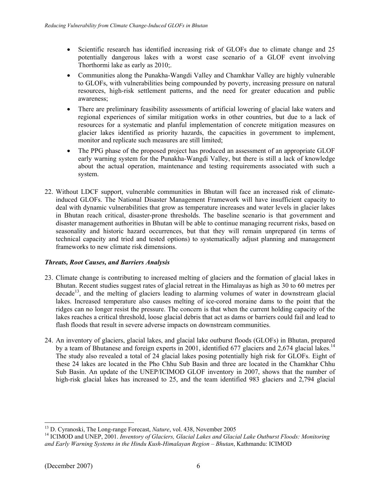- Scientific research has identified increasing risk of GLOFs due to climate change and 25 potentially dangerous lakes with a worst case scenario of a GLOF event involving Thorthormi lake as early as 2010;.
- Communities along the Punakha-Wangdi Valley and Chamkhar Valley are highly vulnerable to GLOFs, with vulnerabilities being compounded by poverty, increasing pressure on natural resources, high-risk settlement patterns, and the need for greater education and public awareness;
- There are preliminary feasibility assessments of artificial lowering of glacial lake waters and regional experiences of similar mitigation works in other countries, but due to a lack of resources for a systematic and planful implementation of concrete mitigation measures on glacier lakes identified as priority hazards, the capacities in government to implement, monitor and replicate such measures are still limited;
- The PPG phase of the proposed project has produced an assessment of an appropriate GLOF early warning system for the Punakha-Wangdi Valley, but there is still a lack of knowledge about the actual operation, maintenance and testing requirements associated with such a system.
- 22. Without LDCF support, vulnerable communities in Bhutan will face an increased risk of climateinduced GLOFs. The National Disaster Management Framework will have insufficient capacity to deal with dynamic vulnerabilities that grow as temperature increases and water levels in glacier lakes in Bhutan reach critical, disaster-prone thresholds. The baseline scenario is that government and disaster management authorities in Bhutan will be able to continue managing recurrent risks, based on seasonality and historic hazard occurrences, but that they will remain unprepared (in terms of technical capacity and tried and tested options) to systematically adjust planning and management frameworks to new climate risk dimensions.

# *Threats, Root Causes, and Barriers Analysis*

- 23. Climate change is contributing to increased melting of glaciers and the formation of glacial lakes in Bhutan. Recent studies suggest rates of glacial retreat in the Himalayas as high as 30 to 60 metres per  $\beta$  decade<sup>13</sup>, and the melting of glaciers leading to alarming volumes of water in downstream glacial lakes. Increased temperature also causes melting of ice-cored moraine dams to the point that the ridges can no longer resist the pressure. The concern is that when the current holding capacity of the lakes reaches a critical threshold, loose glacial debris that act as dams or barriers could fail and lead to flash floods that result in severe adverse impacts on downstream communities.
- 24. An inventory of glaciers, glacial lakes, and glacial lake outburst floods (GLOFs) in Bhutan, prepared by a team of Bhutanese and foreign experts in 2001, identified 677 glaciers and 2,674 glacial lakes.<sup>14</sup> The study also revealed a total of 24 glacial lakes posing potentially high risk for GLOFs. Eight of these 24 lakes are located in the Pho Chhu Sub Basin and three are located in the Chamkhar Chhu Sub Basin. An update of the UNEP/ICIMOD GLOF inventory in 2007, shows that the number of high-risk glacial lakes has increased to 25, and the team identified 983 glaciers and 2,794 glacial

<sup>&</sup>lt;sup>13</sup> D. Cyranoski, The Long-range Forecast, *Nature*, vol. 438, November 2005

<sup>&</sup>lt;sup>14</sup> ICIMOD and UNEP, 2001. *Inventory of Glaciers, Glacial Lakes and Glacial Lake Outburst Floods: Monitoring and Early Warning Systems in the Hindu Kush-Himalayan Region – Bhutan*, Kathmandu: ICIMOD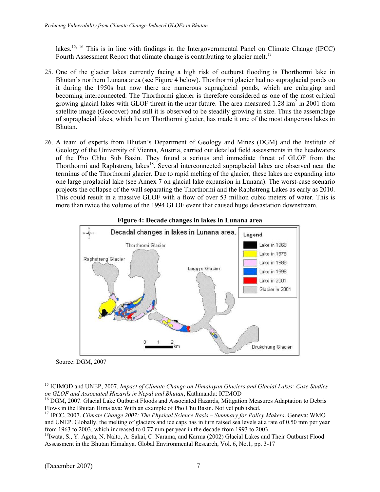lakes.<sup>15, 16</sup> This is in line with findings in the Intergovernmental Panel on Climate Change (IPCC) Fourth Assessment Report that climate change is contributing to glacier melt.<sup>17</sup>

- 25. One of the glacier lakes currently facing a high risk of outburst flooding is Thorthormi lake in Bhutan's northern Lunana area (see Figure 4 below). Thorthormi glacier had no supraglacial ponds on it during the 1950s but now there are numerous supraglacial ponds, which are enlarging and becoming interconnected. The Thorthormi glacier is therefore considered as one of the most critical growing glacial lakes with GLOF threat in the near future. The area measured  $1.28 \text{ km}^2$  in 2001 from satellite image (Geocover) and still it is observed to be steadily growing in size. Thus the assemblage of supraglacial lakes, which lie on Thorthormi glacier, has made it one of the most dangerous lakes in Bhutan.
- 26. A team of experts from Bhutan's Department of Geology and Mines (DGM) and the Institute of Geology of the University of Vienna, Austria, carried out detailed field assessments in the headwaters of the Pho Chhu Sub Basin. They found a serious and immediate threat of GLOF from the Thorthormi and Raphstreng lakes<sup>18</sup>. Several interconnected supraglacial lakes are observed near the terminus of the Thorthormi glacier. Due to rapid melting of the glacier, these lakes are expanding into one large proglacial lake (see Annex 7 on glacial lake expansion in Lunana). The worst-case scenario projects the collapse of the wall separating the Thorthormi and the Raphstreng Lakes as early as 2010. This could result in a massive GLOF with a flow of over 53 million cubic meters of water. This is more than twice the volume of the 1994 GLOF event that caused huge devastation downstream.





Source: DGM, 2007

l 15 ICIMOD and UNEP, 2007. *Impact of Climate Change on Himalayan Glaciers and Glacial Lakes: Case Studies on GLOF and Associated Hazards in Nepal and Bhutan*, Kathmandu: ICIMOD 16 DGM, 2007. Glacial Lake Outburst Floods and Associated Hazards, Mitigation Measures Adaptation to Debris

Flows in the Bhutan Himalaya: With an example of Pho Chu Basin. Not yet published.

<sup>17</sup> IPCC, 2007. *Climate Change 2007: The Physical Science Basis – Summary for Policy Makers*. Geneva: WMO and UNEP. Globally, the melting of glaciers and ice caps has in turn raised sea levels at a rate of 0.50 mm per year from 1963 to 2003, which increased to 0.77 mm per year in the decade from 1993 to 2003.<br><sup>18</sup>Iwata, S., Y. Ageta, N. Naito, A. Sakai, C. Narama, and Karma (2002) Glacial Lakes and Their Outburst Flood

Assessment in the Bhutan Himalaya. Global Environmental Research, Vol. 6, No.1, pp. 3-17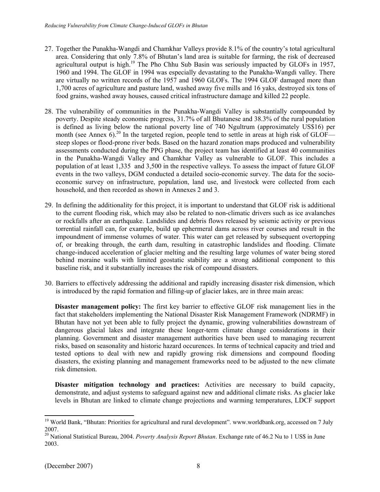- 27. Together the Punakha-Wangdi and Chamkhar Valleys provide 8.1% of the country's total agricultural area. Considering that only 7.8% of Bhutan's land area is suitable for farming, the risk of decreased agricultural output is high.<sup>19</sup> The Pho Chhu Sub Basin was seriously impacted by GLOFs in 1957, 1960 and 1994. The GLOF in 1994 was especially devastating to the Punakha-Wangdi valley. There are virtually no written records of the 1957 and 1960 GLOFs. The 1994 GLOF damaged more than 1,700 acres of agriculture and pasture land, washed away five mills and 16 yaks, destroyed six tons of food grains, washed away houses, caused critical infrastructure damage and killed 22 people.
- 28. The vulnerability of communities in the Punakha-Wangdi Valley is substantially compounded by poverty. Despite steady economic progress, 31.7% of all Bhutanese and 38.3% of the rural population is defined as living below the national poverty line of 740 Ngultrum (approximately US\$16) per month (see Annex  $6$ ).<sup>20</sup> In the targeted region, people tend to settle in areas at high risk of GLOF steep slopes or flood-prone river beds. Based on the hazard zonation maps produced and vulnerability assessments conducted during the PPG phase, the project team has identified at least 40 communities in the Punakha-Wangdi Valley and Chamkhar Valley as vulnerable to GLOF. This includes a population of at least 1,335 and 3,500 in the respective valleys. To assess the impact of future GLOF events in the two valleys, DGM conducted a detailed socio-economic survey. The data for the socioeconomic survey on infrastructure, population, land use, and livestock were collected from each household, and then recorded as shown in Annexes 2 and 3.
- 29. In defining the additionality for this project, it is important to understand that GLOF risk is additional to the current flooding risk, which may also be related to non-climatic drivers such as ice avalanches or rockfalls after an earthquake. Landslides and debris flows released by seismic activity or previous torrential rainfall can, for example, build up ephermeral dams across river courses and result in the impoundment of immense volumes of water. This water can get released by subsequent overtopping of, or breaking through, the earth dam, resulting in catastrophic landslides and flooding. Climate change-induced acceleration of glacier melting and the resulting large volumes of water being stored behind moraine walls with limited geostatic stability are a strong additional component to this baseline risk, and it substantially increases the risk of compound disasters.
- 30. Barriers to effectively addressing the additional and rapidly increasing disaster risk dimension, which is introduced by the rapid formation and filling-up of glacier lakes, are in three main areas:

**Disaster management policy:** The first key barrier to effective GLOF risk management lies in the fact that stakeholders implementing the National Disaster Risk Management Framework (NDRMF) in Bhutan have not yet been able to fully project the dynamic, growing vulnerabilities downstream of dangerous glacial lakes and integrate these longer-term climate change considerations in their planning. Government and disaster management authorities have been used to managing recurrent risks, based on seasonality and historic hazard occurences. In terms of technical capacity and tried and tested options to deal with new and rapidly growing risk dimensions and compound flooding disasters, the existing planning and management frameworks need to be adjusted to the new climate risk dimension.

**Disaster mitigation technology and practices:** Activities are necessary to build capacity, demonstrate, and adjust systems to safeguard against new and additional climate risks. As glacier lake levels in Bhutan are linked to climate change projections and warming temperatures, LDCF support

l

<sup>&</sup>lt;sup>19</sup> World Bank, "Bhutan: Priorities for agricultural and rural development". www.worldbank.org, accessed on 7 July 2007.

<sup>20</sup> National Statistical Bureau, 2004. *Poverty Analysis Report Bhutan*. Exchange rate of 46.2 Nu to 1 US\$ in June 2003.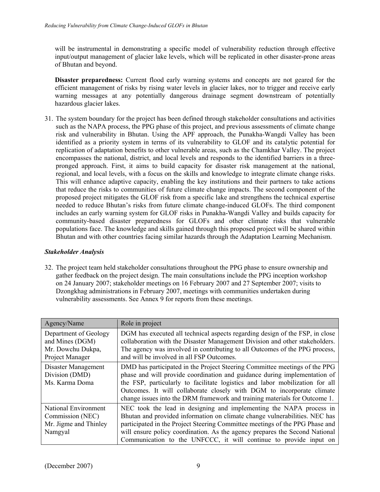will be instrumental in demonstrating a specific model of vulnerability reduction through effective input/output management of glacier lake levels, which will be replicated in other disaster-prone areas of Bhutan and beyond.

**Disaster preparedness:** Current flood early warning systems and concepts are not geared for the efficient management of risks by rising water levels in glacier lakes, nor to trigger and receive early warning messages at any potentially dangerous drainage segment downstream of potentially hazardous glacier lakes.

31. The system boundary for the project has been defined through stakeholder consultations and activities such as the NAPA process, the PPG phase of this project, and previous assessments of climate change risk and vulnerability in Bhutan. Using the APF approach, the Punakha-Wangdi Valley has been identified as a priority system in terms of its vulnerability to GLOF and its catalytic potential for replication of adaptation benefits to other vulnerable areas, such as the Chamkhar Valley. The project encompasses the national, district, and local levels and responds to the identified barriers in a threepronged approach. First, it aims to build capacity for disaster risk management at the national, regional, and local levels, with a focus on the skills and knowledge to integrate climate change risks. This will enhance adaptive capacity, enabling the key institutions and their partners to take actions that reduce the risks to communities of future climate change impacts. The second component of the proposed project mitigates the GLOF risk from a specific lake and strengthens the technical expertise needed to reduce Bhutan's risks from future climate change-induced GLOFs. The third component includes an early warning system for GLOF risks in Punakha-Wangdi Valley and builds capacity for community-based disaster preparedness for GLOFs and other climate risks that vulnerable populations face. The knowledge and skills gained through this proposed project will be shared within Bhutan and with other countries facing similar hazards through the Adaptation Learning Mechanism.

# *Stakeholder Analysis*

32. The project team held stakeholder consultations throughout the PPG phase to ensure ownership and gather feedback on the project design. The main consultations include the PPG inception workshop on 24 January 2007; stakeholder meetings on 16 February 2007 and 27 September 2007; visits to Dzongkhag administrations in February 2007, meetings with communities undertaken during vulnerability assessments. See Annex 9 for reports from these meetings.

| Agency/Name                                                                      | Role in project                                                                                                                                                                                                                                                                                                                                                                                |
|----------------------------------------------------------------------------------|------------------------------------------------------------------------------------------------------------------------------------------------------------------------------------------------------------------------------------------------------------------------------------------------------------------------------------------------------------------------------------------------|
| Department of Geology<br>and Mines (DGM)<br>Mr. Dowchu Dukpa,<br>Project Manager | DGM has executed all technical aspects regarding design of the FSP, in close<br>collaboration with the Disaster Management Division and other stakeholders.<br>The agency was involved in contributing to all Outcomes of the PPG process,<br>and will be involved in all FSP Outcomes.                                                                                                        |
| Disaster Management<br>Division (DMD)<br>Ms. Karma Doma                          | DMD has participated in the Project Steering Committee meetings of the PPG<br>phase and will provide coordination and guidance during implementation of<br>the FSP, particularly to facilitate logistics and labor mobilization for all<br>Outcomes. It will collaborate closely with DGM to incorporate climate<br>change issues into the DRM framework and training materials for Outcome 1. |
| National Environment<br>Commission (NEC)<br>Mr. Jigme and Thinley<br>Namgyal     | NEC took the lead in designing and implementing the NAPA process in<br>Bhutan and provided information on climate change vulnerabilities. NEC has<br>participated in the Project Steering Committee meetings of the PPG Phase and<br>will ensure policy coordination. As the agency prepares the Second National<br>Communication to the UNFCCC, it will continue to provide input on          |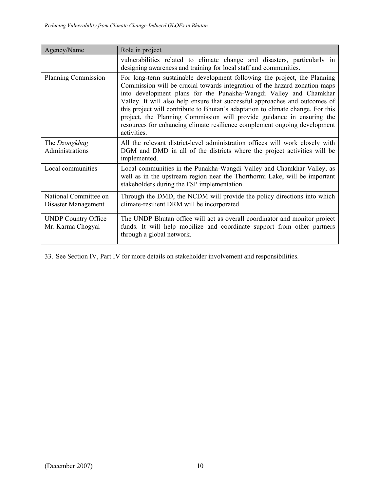| Agency/Name                                     | Role in project                                                                                                                                                                                                                                                                                                                                                                                                                                                                                                                                                      |
|-------------------------------------------------|----------------------------------------------------------------------------------------------------------------------------------------------------------------------------------------------------------------------------------------------------------------------------------------------------------------------------------------------------------------------------------------------------------------------------------------------------------------------------------------------------------------------------------------------------------------------|
|                                                 | vulnerabilities related to climate change and disasters, particularly in<br>designing awareness and training for local staff and communities.                                                                                                                                                                                                                                                                                                                                                                                                                        |
| <b>Planning Commission</b>                      | For long-term sustainable development following the project, the Planning<br>Commission will be crucial towards integration of the hazard zonation maps<br>into development plans for the Punakha-Wangdi Valley and Chamkhar<br>Valley. It will also help ensure that successful approaches and outcomes of<br>this project will contribute to Bhutan's adaptation to climate change. For this<br>project, the Planning Commission will provide guidance in ensuring the<br>resources for enhancing climate resilience complement ongoing development<br>activities. |
| The Dzongkhag<br>Administrations                | All the relevant district-level administration offices will work closely with<br>DGM and DMD in all of the districts where the project activities will be<br>implemented.                                                                                                                                                                                                                                                                                                                                                                                            |
| Local communities                               | Local communities in the Punakha-Wangdi Valley and Chamkhar Valley, as<br>well as in the upstream region near the Thorthormi Lake, will be important<br>stakeholders during the FSP implementation.                                                                                                                                                                                                                                                                                                                                                                  |
| National Committee on<br>Disaster Management    | Through the DMD, the NCDM will provide the policy directions into which<br>climate-resilient DRM will be incorporated.                                                                                                                                                                                                                                                                                                                                                                                                                                               |
| <b>UNDP Country Office</b><br>Mr. Karma Chogyal | The UNDP Bhutan office will act as overall coordinator and monitor project<br>funds. It will help mobilize and coordinate support from other partners<br>through a global network.                                                                                                                                                                                                                                                                                                                                                                                   |

33. See Section IV, Part IV for more details on stakeholder involvement and responsibilities.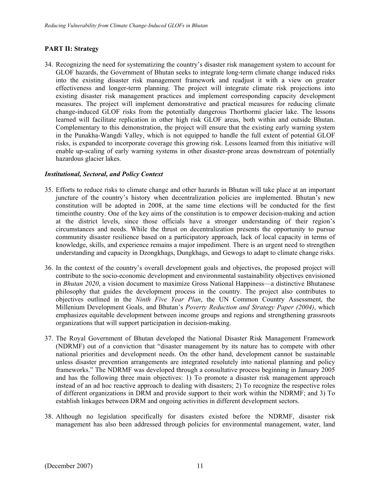### **PART II: Strategy**

34. Recognizing the need for systematizing the country's disaster risk management system to account for GLOF hazards, the Government of Bhutan seeks to integrate long-term climate change induced risks into the existing disaster risk management framework and readjust it with a view on greater effectiveness and longer-term planning. The project will integrate climate risk projections into existing disaster risk management practices and implement corresponding capacity development measures. The project will implement demonstrative and practical measures for reducing climate change-induced GLOF risks from the potentially dangerous Thorthormi glacier lake. The lessons learned will facilitate replication in other high risk GLOF areas, both within and outside Bhutan. Complementary to this demonstration, the project will ensure that the existing early warning system in the Punakha-Wangdi Valley, which is not equipped to handle the full extent of potential GLOF risks, is expanded to incorporate coverage this growing risk. Lessons learned from this initiative will enable up-scaling of early warning systems in other disaster-prone areas downstream of potentially hazardous glacier lakes.

### *Institutional, Sectoral, and Policy Context*

- 35. Efforts to reduce risks to climate change and other hazards in Bhutan will take place at an important juncture of the country's history when decentralization policies are implemented. Bhutan's new constitution will be adopted in 2008, at the same time elections will be conducted for the first timeinthe country. One of the key aims of the constitution is to empower decision-making and action at the district levels, since those officials have a stronger understanding of their region's circumstances and needs. While the thrust on decentralization presents the opportunity to pursue community disaster resilience based on a participatory approach, lack of local capacity in terms of knowledge, skills, and experience remains a major impediment. There is an urgent need to strengthen understanding and capacity in Dzongkhags, Dungkhags, and Gewogs to adapt to climate change risks.
- 36. In the context of the country's overall development goals and objectives, the proposed project will contribute to the socio-economic development and environmental sustainability objectives envisioned in *Bhutan 2020*, a vision document to maximize Gross National Happiness—a distinctive Bhutanese philosophy that guides the development process in the country. The project also contributes to objectives outlined in the *Ninth Five Year Plan*, the UN Common Country Assessment, the Millenium Development Goals, and Bhutan's *Poverty Reduction and Strategy Paper (2004)*, which emphasizes equitable development between income groups and regions and strengthening grassroots organizations that will support participation in decision-making.
- 37. The Royal Government of Bhutan developed the National Disaster Risk Management Framework (NDRMF) out of a conviction that "disaster management by its nature has to compete with other national priorities and development needs. On the other hand, development cannot be sustainable unless disaster prevention arrangements are integrated resolutely into national planning and policy frameworks." The NDRMF was developed through a consultative process beginning in January 2005 and has the following three main objectives: 1) To promote a disaster risk management approach instead of an ad hoc reactive approach to dealing with disasters; 2) To recognize the respective roles of different organizations in DRM and provide support to their work within the NDRMF; and 3) To establish linkages between DRM and ongoing activities in different development sectors.
- 38. Although no legislation specifically for disasters existed before the NDRMF, disaster risk management has also been addressed through policies for environmental management, water, land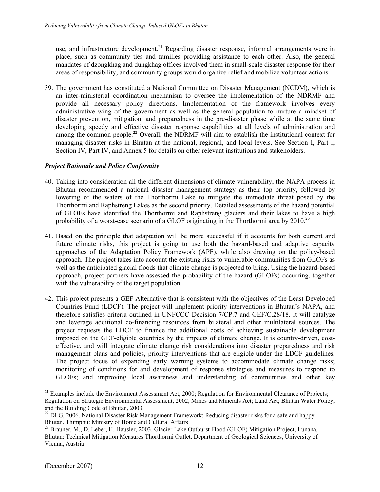use, and infrastructure development.<sup>21</sup> Regarding disaster response, informal arrangements were in place, such as community ties and families providing assistance to each other. Also, the general mandates of dzongkhag and dungkhag offices involved them in small-scale disaster response for their areas of responsibility, and community groups would organize relief and mobilize volunteer actions.

39. The government has constituted a National Committee on Disaster Management (NCDM), which is an inter-ministerial coordination mechanism to oversee the implementation of the NDRMF and provide all necessary policy directions. Implementation of the framework involves every administrative wing of the government as well as the general population to nurture a mindset of disaster prevention, mitigation, and preparedness in the pre-disaster phase while at the same time developing speedy and effective disaster response capabilities at all levels of administration and among the common people.<sup>22</sup> Overall, the NDRMF will aim to establish the institutional context for managing disaster risks in Bhutan at the national, regional, and local levels. See Section I, Part I; Section IV, Part IV, and Annex 5 for details on other relevant institutions and stakeholders.

### *Project Rationale and Policy Conformity*

- 40. Taking into consideration all the different dimensions of climate vulnerability, the NAPA process in Bhutan recommended a national disaster management strategy as their top priority, followed by lowering of the waters of the Thorthormi Lake to mitigate the immediate threat posed by the Thorthormi and Raphstreng Lakes as the second priority. Detailed assessments of the hazard potential of GLOFs have identified the Thorthormi and Raphstreng glaciers and their lakes to have a high probability of a worst-case scenario of a GLOF originating in the Thorthormi area by  $2010$ <sup>23</sup>
- 41. Based on the principle that adaptation will be more successful if it accounts for both current and future climate risks, this project is going to use both the hazard-based and adaptive capacity approaches of the Adaptation Policy Framework (APF), while also drawing on the policy-based approach. The project takes into account the existing risks to vulnerable communities from GLOFs as well as the anticipated glacial floods that climate change is projected to bring. Using the hazard-based approach, project partners have assessed the probability of the hazard (GLOFs) occurring, together with the vulnerability of the target population.
- 42. This project presents a GEF Alternative that is consistent with the objectives of the Least Developed Countries Fund (LDCF). The project will implement priority interventions in Bhutan's NAPA, and therefore satisfies criteria outlined in UNFCCC Decision 7/CP.7 and GEF/C.28/18. It will catalyze and leverage additional co-financing resources from bilateral and other multilateral sources. The project requests the LDCF to finance the additional costs of achieving sustainable development imposed on the GEF-eligible countries by the impacts of climate change. It is country-driven, costeffective, and will integrate climate change risk considerations into disaster preparedness and risk management plans and policies, priority interventions that are eligible under the LDCF guidelines. The project focus of expanding early warning systems to accommodate climate change risks; monitoring of conditions for and development of response strategies and measures to respond to GLOFs; and improving local awareness and understanding of communities and other key

l

<sup>&</sup>lt;sup>21</sup> Examples include the Environment Assessment Act, 2000; Regulation for Environmental Clearance of Projects; Regulation on Strategic Environmental Assessment, 2002; Mines and Minerals Act; Land Act; Bhutan Water Policy; and the Building Code of Bhutan, 2003.

<sup>&</sup>lt;sup>22</sup> DLG, 2006. National Disaster Risk Management Framework: Reducing disaster risks for a safe and happy Bhutan. Thimphu: Ministry of Home and Cultural Affairs

<sup>&</sup>lt;sup>23</sup> Brauner, M., D. Leber, H. Hausler, 2003. Glacier Lake Outburst Flood (GLOF) Mitigation Project, Lunana, Bhutan: Technical Mitigation Measures Thorthormi Outlet. Department of Geological Sciences, University of Vienna, Austria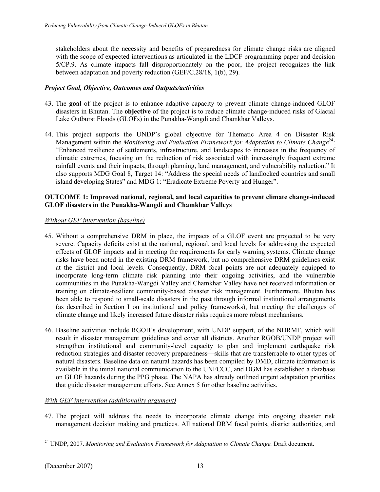stakeholders about the necessity and benefits of preparedness for climate change risks are aligned with the scope of expected interventions as articulated in the LDCF programming paper and decision 5/CP.9. As climate impacts fall disproportionately on the poor, the project recognizes the link between adaptation and poverty reduction (GEF/C.28/18, 1(b), 29).

# *Project Goal, Objective, Outcomes and Outputs/activities*

- 43. The **goal** of the project is to enhance adaptive capacity to prevent climate change-induced GLOF disasters in Bhutan. The **objective** of the project is to reduce climate change-induced risks of Glacial Lake Outburst Floods (GLOFs) in the Punakha-Wangdi and Chamkhar Valleys.
- 44. This project supports the UNDP's global objective for Thematic Area 4 on Disaster Risk Management within the *Monitoring and Evaluation Framework for Adaptation to Climate Change*24: "Enhanced resilience of settlements, infrastructure, and landscapes to increases in the frequency of climatic extremes, focusing on the reduction of risk associated with increasingly frequent extreme rainfall events and their impacts, through planning, land management, and vulnerability reduction." It also supports MDG Goal 8, Target 14: "Address the special needs of landlocked countries and small island developing States" and MDG 1: "Eradicate Extreme Poverty and Hunger".

### **OUTCOME 1: Improved national, regional, and local capacities to prevent climate change-induced GLOF disasters in the Punakha-Wangdi and Chamkhar Valleys**

### *Without GEF intervention (baseline)*

- 45. Without a comprehensive DRM in place, the impacts of a GLOF event are projected to be very severe. Capacity deficits exist at the national, regional, and local levels for addressing the expected effects of GLOF impacts and in meeting the requirements for early warning systems. Climate change risks have been noted in the existing DRM framework, but no comprehensive DRM guidelines exist at the district and local levels. Consequently, DRM focal points are not adequately equipped to incorporate long-term climate risk planning into their ongoing activities, and the vulnerable communities in the Punakha-Wangdi Valley and Chamkhar Valley have not received information or training on climate-resilient community-based disaster risk management. Furthermore, Bhutan has been able to respond to small-scale disasters in the past through informal institutional arrangements (as described in Section I on institutional and policy frameworks), but meeting the challenges of climate change and likely increased future disaster risks requires more robust mechanisms.
- 46. Baseline activities include RGOB's development, with UNDP support, of the NDRMF, which will result in disaster management guidelines and cover all districts. Another RGOB/UNDP project will strengthen institutional and community-level capacity to plan and implement earthquake risk reduction strategies and disaster recovery preparedness—skills that are transferrable to other types of natural disasters. Baseline data on natural hazards has been compiled by DMD, climate information is available in the initial national communication to the UNFCCC, and DGM has established a database on GLOF hazards during the PPG phase. The NAPA has already outlined urgent adaptation priorities that guide disaster management efforts. See Annex 5 for other baseline activities.

# *With GEF intervention (additionality argument)*

47. The project will address the needs to incorporate climate change into ongoing disaster risk management decision making and practices. All national DRM focal points, district authorities, and

<sup>1</sup> 24 UNDP, 2007. *Monitoring and Evaluation Framework for Adaptation to Climate Change.* Draft document.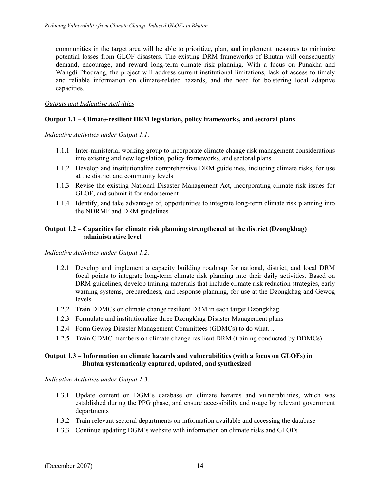communities in the target area will be able to prioritize, plan, and implement measures to minimize potential losses from GLOF disasters. The existing DRM frameworks of Bhutan will consequently demand, encourage, and reward long-term climate risk planning. With a focus on Punakha and Wangdi Phodrang, the project will address current institutional limitations, lack of access to timely and reliable information on climate-related hazards, and the need for bolstering local adaptive capacities.

### *Outputs and Indicative Activities*

### **Output 1.1 – Climate-resilient DRM legislation, policy frameworks, and sectoral plans**

*Indicative Activities under Output 1.1:* 

- 1.1.1 Inter-ministerial working group to incorporate climate change risk management considerations into existing and new legislation, policy frameworks, and sectoral plans
- 1.1.2 Develop and institutionalize comprehensive DRM guidelines, including climate risks, for use at the district and community levels
- 1.1.3 Revise the existing National Disaster Management Act, incorporating climate risk issues for GLOF, and submit it for endorsement
- 1.1.4 Identify, and take advantage of, opportunities to integrate long-term climate risk planning into the NDRMF and DRM guidelines

### **Output 1.2 – Capacities for climate risk planning strengthened at the district (Dzongkhag) administrative level**

*Indicative Activities under Output 1.2:* 

- 1.2.1 Develop and implement a capacity building roadmap for national, district, and local DRM focal points to integrate long-term climate risk planning into their daily activities. Based on DRM guidelines, develop training materials that include climate risk reduction strategies, early warning systems, preparedness, and response planning, for use at the Dzongkhag and Gewog levels
- 1.2.2 Train DDMCs on climate change resilient DRM in each target Dzongkhag
- 1.2.3 Formulate and institutionalize three Dzongkhag Disaster Management plans
- 1.2.4 Form Gewog Disaster Management Committees (GDMCs) to do what…
- 1.2.5 Train GDMC members on climate change resilient DRM (training conducted by DDMCs)

### **Output 1.3 – Information on climate hazards and vulnerabilities (with a focus on GLOFs) in Bhutan systematically captured, updated, and synthesized**

*Indicative Activities under Output 1.3:* 

- 1.3.1 Update content on DGM's database on climate hazards and vulnerabilities, which was established during the PPG phase, and ensure accessibility and usage by relevant government departments
- 1.3.2 Train relevant sectoral departments on information available and accessing the database
- 1.3.3 Continue updating DGM's website with information on climate risks and GLOFs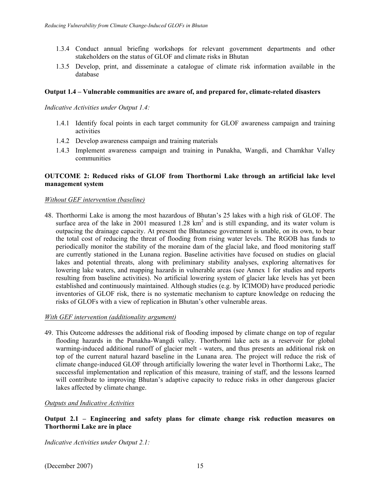- 1.3.4 Conduct annual briefing workshops for relevant government departments and other stakeholders on the status of GLOF and climate risks in Bhutan
- 1.3.5 Develop, print, and disseminate a catalogue of climate risk information available in the database

#### **Output 1.4 – Vulnerable communities are aware of, and prepared for, climate-related disasters**

*Indicative Activities under Output 1.4:* 

- 1.4.1 Identify focal points in each target community for GLOF awareness campaign and training activities
- 1.4.2 Develop awareness campaign and training materials
- 1.4.3 Implement awareness campaign and training in Punakha, Wangdi, and Chamkhar Valley communities

### **OUTCOME 2: Reduced risks of GLOF from Thorthormi Lake through an artificial lake level management system**

#### *Without GEF intervention (baseline)*

48. Thorthormi Lake is among the most hazardous of Bhutan's 25 lakes with a high risk of GLOF. The surface area of the lake in 2001 measured  $1.28 \text{ km}^2$  and is still expanding, and its water volum is outpacing the drainage capacity. At present the Bhutanese government is unable, on its own, to bear the total cost of reducing the threat of flooding from rising water levels. The RGOB has funds to periodically monitor the stability of the moraine dam of the glacial lake, and flood monitoring staff are currently stationed in the Lunana region. Baseline activities have focused on studies on glacial lakes and potential threats, along with preliminary stability analyses, exploring alternatives for lowering lake waters, and mapping hazards in vulnerable areas (see Annex 1 for studies and reports resulting from baseline activities). No artificial lowering system of glacier lake levels has yet been established and continuously maintained. Although studies (e.g. by ICIMOD) have produced periodic inventories of GLOF risk, there is no systematic mechanism to capture knowledge on reducing the risks of GLOFs with a view of replication in Bhutan's other vulnerable areas.

#### *With GEF intervention (additionality argument)*

49. This Outcome addresses the additional risk of flooding imposed by climate change on top of regular flooding hazards in the Punakha-Wangdi valley. Thorthormi lake acts as a reservoir for global warming-induced additional runoff of glacier melt - waters, and thus presents an additional risk on top of the current natural hazard baseline in the Lunana area. The project will reduce the risk of climate change-induced GLOF through artificially lowering the water level in Thorthormi Lake;, The successful implementation and replication of this measure, training of staff, and the lessons learned will contribute to improving Bhutan's adaptive capacity to reduce risks in other dangerous glacier lakes affected by climate change.

### *Outputs and Indicative Activities*

**Output 2.1 – Engineering and safety plans for climate change risk reduction measures on Thorthormi Lake are in place** 

*Indicative Activities under Output 2.1:*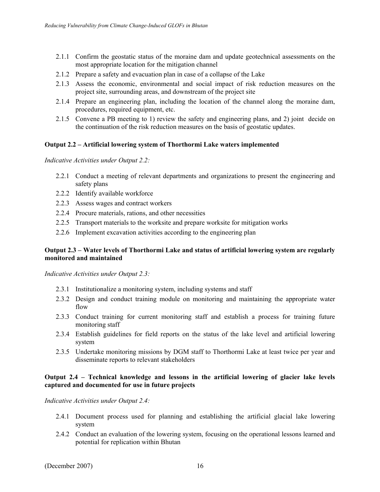- 2.1.1 Confirm the geostatic status of the moraine dam and update geotechnical assessments on the most appropriate location for the mitigation channel
- 2.1.2 Prepare a safety and evacuation plan in case of a collapse of the Lake
- 2.1.3 Assess the economic, environmental and social impact of risk reduction measures on the project site, surrounding areas, and downstream of the project site
- 2.1.4 Prepare an engineering plan, including the location of the channel along the moraine dam, procedures, required equipment, etc.
- 2.1.5 Convene a PB meeting to 1) review the safety and engineering plans, and 2) joint decide on the continuation of the risk reduction measures on the basis of geostatic updates.

### **Output 2.2 – Artificial lowering system of Thorthormi Lake waters implemented**

*Indicative Activities under Output 2.2:* 

- 2.2.1 Conduct a meeting of relevant departments and organizations to present the engineering and safety plans
- 2.2.2 Identify available workforce
- 2.2.3 Assess wages and contract workers
- 2.2.4 Procure materials, rations, and other necessities
- 2.2.5 Transport materials to the worksite and prepare worksite for mitigation works
- 2.2.6 Implement excavation activities according to the engineering plan

#### **Output 2.3 – Water levels of Thorthormi Lake and status of artificial lowering system are regularly monitored and maintained**

*Indicative Activities under Output 2.3:* 

- 2.3.1 Institutionalize a monitoring system, including systems and staff
- 2.3.2 Design and conduct training module on monitoring and maintaining the appropriate water flow
- 2.3.3 Conduct training for current monitoring staff and establish a process for training future monitoring staff
- 2.3.4 Establish guidelines for field reports on the status of the lake level and artificial lowering system
- 2.3.5 Undertake monitoring missions by DGM staff to Thorthormi Lake at least twice per year and disseminate reports to relevant stakeholders

### **Output 2.4 – Technical knowledge and lessons in the artificial lowering of glacier lake levels captured and documented for use in future projects**

*Indicative Activities under Output 2.4:* 

- 2.4.1 Document process used for planning and establishing the artificial glacial lake lowering system
- 2.4.2 Conduct an evaluation of the lowering system, focusing on the operational lessons learned and potential for replication within Bhutan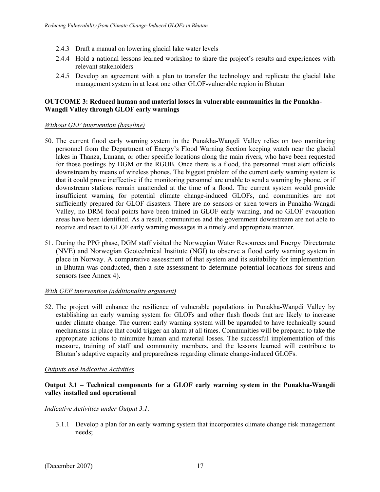- 2.4.3 Draft a manual on lowering glacial lake water levels
- 2.4.4 Hold a national lessons learned workshop to share the project's results and experiences with relevant stakeholders
- 2.4.5 Develop an agreement with a plan to transfer the technology and replicate the glacial lake management system in at least one other GLOF-vulnerable region in Bhutan

### **OUTCOME 3: Reduced human and material losses in vulnerable communities in the Punakha-Wangdi Valley through GLOF early warnings**

### *Without GEF intervention (baseline)*

- 50. The current flood early warning system in the Punakha-Wangdi Valley relies on two monitoring personnel from the Department of Energy's Flood Warning Section keeping watch near the glacial lakes in Thanza, Lunana, or other specific locations along the main rivers, who have been requested for those postings by DGM or the RGOB. Once there is a flood, the personnel must alert officials downstream by means of wireless phones. The biggest problem of the current early warning system is that it could prove ineffective if the monitoring personnel are unable to send a warning by phone, or if downstream stations remain unattended at the time of a flood. The current system would provide insufficient warning for potential climate change-induced GLOFs, and communities are not sufficiently prepared for GLOF disasters. There are no sensors or siren towers in Punakha-Wangdi Valley, no DRM focal points have been trained in GLOF early warning, and no GLOF evacuation areas have been identified. As a result, communities and the government downstream are not able to receive and react to GLOF early warning messages in a timely and appropriate manner.
- 51. During the PPG phase, DGM staff visited the Norwegian Water Resources and Energy Directorate (NVE) and Norwegian Geotechnical Institute (NGI) to observe a flood early warning system in place in Norway. A comparative assessment of that system and its suitability for implementation in Bhutan was conducted, then a site assessment to determine potential locations for sirens and sensors (see Annex 4).

# *With GEF intervention (additionality argument)*

52. The project will enhance the resilience of vulnerable populations in Punakha-Wangdi Valley by establishing an early warning system for GLOFs and other flash floods that are likely to increase under climate change. The current early warning system will be upgraded to have technically sound mechanisms in place that could trigger an alarm at all times. Communities will be prepared to take the appropriate actions to minimize human and material losses. The successful implementation of this measure, training of staff and community members, and the lessons learned will contribute to Bhutan's adaptive capacity and preparedness regarding climate change-induced GLOFs.

# *Outputs and Indicative Activities*

### **Output 3.1 – Technical components for a GLOF early warning system in the Punakha-Wangdi valley installed and operational**

*Indicative Activities under Output 3.1:* 

3.1.1 Develop a plan for an early warning system that incorporates climate change risk management needs;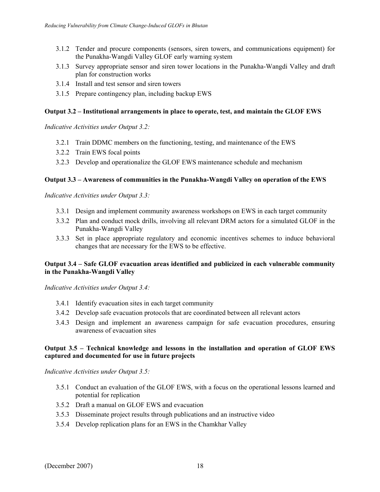- 3.1.2 Tender and procure components (sensors, siren towers, and communications equipment) for the Punakha-Wangdi Valley GLOF early warning system
- 3.1.3 Survey appropriate sensor and siren tower locations in the Punakha-Wangdi Valley and draft plan for construction works
- 3.1.4 Install and test sensor and siren towers
- 3.1.5 Prepare contingency plan, including backup EWS

### **Output 3.2 – Institutional arrangements in place to operate, test, and maintain the GLOF EWS**

*Indicative Activities under Output 3.2:* 

- 3.2.1 Train DDMC members on the functioning, testing, and maintenance of the EWS
- 3.2.2 Train EWS focal points
- 3.2.3 Develop and operationalize the GLOF EWS maintenance schedule and mechanism

### **Output 3.3 – Awareness of communities in the Punakha-Wangdi Valley on operation of the EWS**

*Indicative Activities under Output 3.3:* 

- 3.3.1 Design and implement community awareness workshops on EWS in each target community
- 3.3.2 Plan and conduct mock drills, involving all relevant DRM actors for a simulated GLOF in the Punakha-Wangdi Valley
- 3.3.3 Set in place appropriate regulatory and economic incentives schemes to induce behavioral changes that are necessary for the EWS to be effective.

### **Output 3.4 – Safe GLOF evacuation areas identified and publicized in each vulnerable community in the Punakha-Wangdi Valley**

*Indicative Activities under Output 3.4:* 

- 3.4.1 Identify evacuation sites in each target community
- 3.4.2 Develop safe evacuation protocols that are coordinated between all relevant actors
- 3.4.3 Design and implement an awareness campaign for safe evacuation procedures, ensuring awareness of evacuation sites

### **Output 3.5 – Technical knowledge and lessons in the installation and operation of GLOF EWS captured and documented for use in future projects**

*Indicative Activities under Output 3.5:* 

- 3.5.1 Conduct an evaluation of the GLOF EWS, with a focus on the operational lessons learned and potential for replication
- 3.5.2 Draft a manual on GLOF EWS and evacuation
- 3.5.3 Disseminate project results through publications and an instructive video
- 3.5.4 Develop replication plans for an EWS in the Chamkhar Valley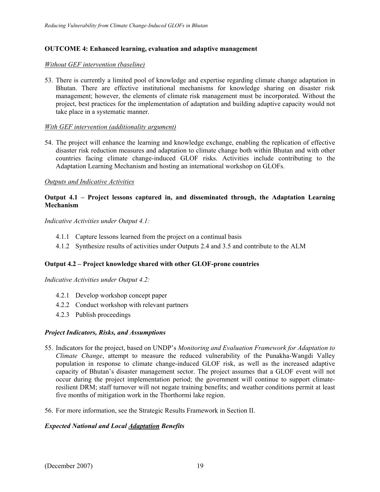### **OUTCOME 4: Enhanced learning, evaluation and adaptive management**

#### *Without GEF intervention (baseline)*

53. There is currently a limited pool of knowledge and expertise regarding climate change adaptation in Bhutan. There are effective institutional mechanisms for knowledge sharing on disaster risk management; however, the elements of climate risk management must be incorporated. Without the project, best practices for the implementation of adaptation and building adaptive capacity would not take place in a systematic manner.

#### *With GEF intervention (additionality argument)*

54. The project will enhance the learning and knowledge exchange, enabling the replication of effective disaster risk reduction measures and adaptation to climate change both within Bhutan and with other countries facing climate change-induced GLOF risks. Activities include contributing to the Adaptation Learning Mechanism and hosting an international workshop on GLOFs.

#### *Outputs and Indicative Activities*

### **Output 4.1 – Project lessons captured in, and disseminated through, the Adaptation Learning Mechanism**

*Indicative Activities under Output 4.1:* 

- 4.1.1 Capture lessons learned from the project on a continual basis
- 4.1.2 Synthesize results of activities under Outputs 2.4 and 3.5 and contribute to the ALM

### **Output 4.2 – Project knowledge shared with other GLOF-prone countries**

*Indicative Activities under Output 4.2:* 

- 4.2.1 Develop workshop concept paper
- 4.2.2 Conduct workshop with relevant partners
- 4.2.3 Publish proceedings

#### *Project Indicators, Risks, and Assumptions*

- 55. Indicators for the project, based on UNDP's *Monitoring and Evaluation Framework for Adaptation to Climate Change*, attempt to measure the reduced vulnerability of the Punakha-Wangdi Valley population in response to climate change-induced GLOF risk, as well as the increased adaptive capacity of Bhutan's disaster management sector. The project assumes that a GLOF event will not occur during the project implementation period; the government will continue to support climateresilient DRM; staff turnover will not negate training benefits; and weather conditions permit at least five months of mitigation work in the Thorthormi lake region.
- 56. For more information, see the Strategic Results Framework in Section II.

### *Expected National and Local Adaptation Benefits*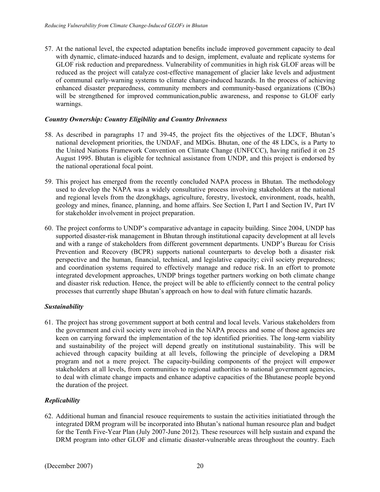57. At the national level, the expected adaptation benefits include improved government capacity to deal with dynamic, climate-induced hazards and to design, implement, evaluate and replicate systems for GLOF risk reduction and preparedness. Vulnerability of communities in high risk GLOF areas will be reduced as the project will catalyze cost-effective management of glacier lake levels and adjustment of communal early-warning systems to climate change-induced hazards. In the process of achieving enhanced disaster preparedness, community members and community-based organizations (CBOs) will be strengthened for improved communication,public awareness, and response to GLOF early warnings.

# *Country Ownership: Country Eligibility and Country Drivenness*

- 58. As described in paragraphs 17 and 39-45, the project fits the objectives of the LDCF, Bhutan's national development priorities, the UNDAF, and MDGs. Bhutan, one of the 48 LDCs, is a Party to the United Nations Framework Convention on Climate Change (UNFCCC), having ratified it on 25 August 1995. Bhutan is eligible for technical assistance from UNDP, and this project is endorsed by the national operational focal point.
- 59. This project has emerged from the recently concluded NAPA process in Bhutan. The methodology used to develop the NAPA was a widely consultative process involving stakeholders at the national and regional levels from the dzongkhags, agriculture, forestry, livestock, environment, roads, health, geology and mines, finance, planning, and home affairs. See Section I, Part I and Section IV, Part IV for stakeholder involvement in project preparation.
- 60. The project conforms to UNDP's comparative advantage in capacity building. Since 2004, UNDP has supported disaster-risk management in Bhutan through institutional capacity development at all levels and with a range of stakeholders from different government departments. UNDP's Bureau for Crisis Prevention and Recovery (BCPR) supports national counterparts to develop both a disaster risk perspective and the human, financial, technical, and legislative capacity; civil society preparedness; and coordination systems required to effectively manage and reduce risk. In an effort to promote integrated development approaches, UNDP brings together partners working on both climate change and disaster risk reduction. Hence, the project will be able to efficiently connect to the central policy processes that currently shape Bhutan's approach on how to deal with future climatic hazards.

# *Sustainability*

61. The project has strong government support at both central and local levels. Various stakeholders from the government and civil society were involved in the NAPA process and some of those agencies are keen on carrying forward the implementation of the top identified priorities. The long-term viability and sustainability of the project will depend greatly on institutional sustainability. This will be achieved through capacity building at all levels, following the principle of developing a DRM program and not a mere project. The capacity-building components of the project will empower stakeholders at all levels, from communities to regional authorities to national government agencies, to deal with climate change impacts and enhance adaptive capacities of the Bhutanese people beyond the duration of the project.

# *Replicability*

62. Additional human and financial resouce requirements to sustain the activities initiatiated through the integrated DRM program will be incorporated into Bhutan's national human resource plan and budget for the Tenth Five-Year Plan (July 2007-June 2012). These resources will help sustain and expand the DRM program into other GLOF and climatic disaster-vulnerable areas throughout the country. Each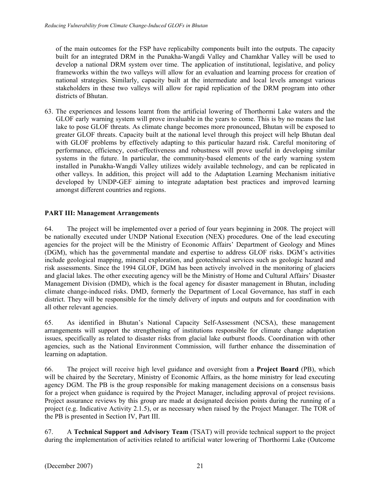of the main outcomes for the FSP have replicabilty components built into the outputs. The capacity built for an integrated DRM in the Punakha-Wangdi Valley and Chamkhar Valley will be used to develop a national DRM system over time. The application of institutional, legislative, and policy frameworks within the two valleys will allow for an evaluation and learning process for creation of national strategies. Similarly, capacity built at the intermediate and local levels amongst various stakeholders in these two valleys will allow for rapid replication of the DRM program into other districts of Bhutan.

63. The experiences and lessons learnt from the artificial lowering of Thorthormi Lake waters and the GLOF early warning system will prove invaluable in the years to come. This is by no means the last lake to pose GLOF threats. As climate change becomes more pronounced, Bhutan will be exposed to greater GLOF threats. Capacity built at the national level through this project will help Bhutan deal with GLOF problems by effectively adapting to this particular hazard risk. Careful monitoring of performance, efficiency, cost-effectiveness and robustness will prove useful in developing similar systems in the future. In particular, the community-based elements of the early warning system installed in Punakha-Wangdi Valley utilizes widely available technology, and can be replicated in other valleys. In addition, this project will add to the Adaptation Learning Mechanism initiative developed by UNDP-GEF aiming to integrate adaptation best practices and improved learning amongst different countries and regions.

# **PART III: Management Arrangements**

64. The project will be implemented over a period of four years beginning in 2008. The project will be nationally executed under UNDP National Execution (NEX) procedures. One of the lead executing agencies for the project will be the Ministry of Economic Affairs' Department of Geology and Mines (DGM), which has the governmental mandate and expertise to address GLOF risks. DGM's activities include geological mapping, mineral exploration, and geotechnical services such as geologic hazard and risk assessments. Since the 1994 GLOF, DGM has been actively involved in the monitoring of glaciers and glacial lakes. The other executing agency will be the Ministry of Home and Cultural Affairs' Disaster Management Division (DMD), which is the focal agency for disaster management in Bhutan, including climate change-induced risks. DMD, formerly the Department of Local Governance, has staff in each district. They will be responsible for the timely delivery of inputs and outputs and for coordination with all other relevant agencies.

65. As identified in Bhutan's National Capacity Self-Assessment (NCSA), these management arrangements will support the strengthening of institutions responsible for climate change adaptation issues, specifically as related to disaster risks from glacial lake outburst floods. Coordination with other agencies, such as the National Environment Commission, will further enhance the dissemination of learning on adaptation.

66. The project will receive high level guidance and oversight from a **Project Board** (PB), which will be chaired by the Secretary, Ministry of Economic Affairs, as the home ministry for lead executing agency DGM. The PB is the group responsible for making management decisions on a consensus basis for a project when guidance is required by the Project Manager, including approval of project revisions. Project assurance reviews by this group are made at designated decision points during the running of a project (e.g. Indicative Activity 2.1.5), or as necessary when raised by the Project Manager. The TOR of the PB is presented in Section IV, Part III.

67. A **Technical Support and Advisory Team** (TSAT) will provide technical support to the project during the implementation of activities related to artificial water lowering of Thorthormi Lake (Outcome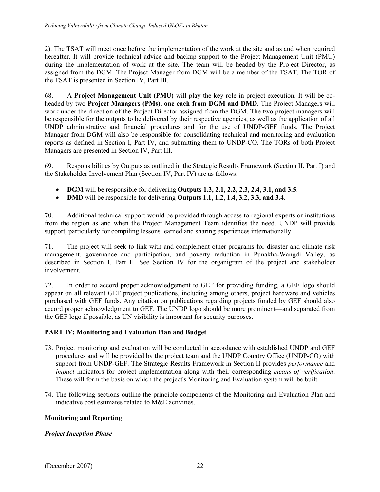2). The TSAT will meet once before the implementation of the work at the site and as and when required hereafter. It will provide technical advice and backup support to the Project Management Unit (PMU) during the implementation of work at the site. The team will be headed by the Project Director, as assigned from the DGM. The Project Manager from DGM will be a member of the TSAT. The TOR of the TSAT is presented in Section IV, Part III.

68. A **Project Management Unit (PMU)** will play the key role in project execution. It will be coheaded by two **Project Managers (PMs), one each from DGM and DMD**. The Project Managers will work under the direction of the Project Director assigned from the DGM. The two project managers will be responsible for the outputs to be delivered by their respective agencies, as well as the application of all UNDP administrative and financial procedures and for the use of UNDP-GEF funds. The Project Manager from DGM will also be responsible for consolidating technical and monitoring and evaluation reports as defined in Section I, Part IV, and submitting them to UNDP-CO. The TORs of both Project Managers are presented in Section IV, Part III.

69. Responsibilities by Outputs as outlined in the Strategic Results Framework (Section II, Part I) and the Stakeholder Involvement Plan (Section IV, Part IV) are as follows:

- **DGM** will be responsible for delivering **Outputs 1.3, 2.1, 2.2, 2.3, 2.4, 3.1, and 3.5**.
- **DMD** will be responsible for delivering **Outputs 1.1, 1.2, 1.4, 3.2, 3.3, and 3.4**.

70. Additional technical support would be provided through access to regional experts or institutions from the region as and when the Project Management Team identifies the need. UNDP will provide support, particularly for compiling lessons learned and sharing experiences internationally.

71. The project will seek to link with and complement other programs for disaster and climate risk management, governance and participation, and poverty reduction in Punakha-Wangdi Valley, as described in Section I, Part II. See Section IV for the organigram of the project and stakeholder involvement.

72. In order to accord proper acknowledgement to GEF for providing funding, a GEF logo should appear on all relevant GEF project publications, including among others, project hardware and vehicles purchased with GEF funds. Any citation on publications regarding projects funded by GEF should also accord proper acknowledgment to GEF. The UNDP logo should be more prominent—and separated from the GEF logo if possible, as UN visibility is important for security purposes.

# **PART IV: Monitoring and Evaluation Plan and Budget**

- 73. Project monitoring and evaluation will be conducted in accordance with established UNDP and GEF procedures and will be provided by the project team and the UNDP Country Office (UNDP-CO) with support from UNDP-GEF. The Strategic Results Framework in Section II provides *performance* and *impact* indicators for project implementation along with their corresponding *means of verification*. These will form the basis on which the project's Monitoring and Evaluation system will be built.
- 74. The following sections outline the principle components of the Monitoring and Evaluation Plan and indicative cost estimates related to M&E activities.

# **Monitoring and Reporting**

# *Project Inception Phase*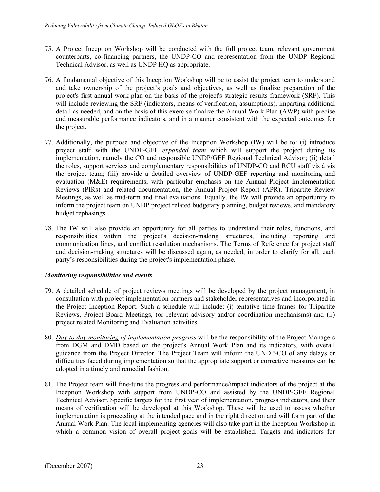- 75. A Project Inception Workshop will be conducted with the full project team, relevant government counterparts, co-financing partners, the UNDP-CO and representation from the UNDP Regional Technical Advisor, as well as UNDP HQ as appropriate.
- 76. A fundamental objective of this Inception Workshop will be to assist the project team to understand and take ownership of the project's goals and objectives, as well as finalize preparation of the project's first annual work plan on the basis of the project's strategic results framework (SRF). This will include reviewing the SRF (indicators, means of verification, assumptions), imparting additional detail as needed, and on the basis of this exercise finalize the Annual Work Plan (AWP) with precise and measurable performance indicators, and in a manner consistent with the expected outcomes for the project.
- 77. Additionally, the purpose and objective of the Inception Workshop (IW) will be to: (i) introduce project staff with the UNDP-GEF *expanded team* which will support the project during its implementation, namely the CO and responsible UNDP/GEF Regional Technical Advisor; (ii) detail the roles, support services and complementary responsibilities of UNDP-CO and RCU staff vis à vis the project team; (iii) provide a detailed overview of UNDP-GEF reporting and monitoring and evaluation (M&E) requirements, with particular emphasis on the Annual Project Implementation Reviews (PIRs) and related documentation, the Annual Project Report (APR), Tripartite Review Meetings, as well as mid-term and final evaluations. Equally, the IW will provide an opportunity to inform the project team on UNDP project related budgetary planning, budget reviews, and mandatory budget rephasings.
- 78. The IW will also provide an opportunity for all parties to understand their roles, functions, and responsibilities within the project's decision-making structures, including reporting and communication lines, and conflict resolution mechanisms. The Terms of Reference for project staff and decision-making structures will be discussed again, as needed, in order to clarify for all, each party's responsibilities during the project's implementation phase.

### *Monitoring responsibilities and events*

- 79. A detailed schedule of project reviews meetings will be developed by the project management, in consultation with project implementation partners and stakeholder representatives and incorporated in the Project Inception Report. Such a schedule will include: (i) tentative time frames for Tripartite Reviews, Project Board Meetings, (or relevant advisory and/or coordination mechanisms) and (ii) project related Monitoring and Evaluation activities.
- 80. *Day to day monitoring of implementation progress* will be the responsibility of the Project Managers from DGM and DMD based on the project's Annual Work Plan and its indicators, with overall guidance from the Project Director. The Project Team will inform the UNDP-CO of any delays or difficulties faced during implementation so that the appropriate support or corrective measures can be adopted in a timely and remedial fashion.
- 81. The Project team will fine-tune the progress and performance/impact indicators of the project at the Inception Workshop with support from UNDP-CO and assisted by the UNDP-GEF Regional Technical Advisor. Specific targets for the first year of implementation, progress indicators, and their means of verification will be developed at this Workshop. These will be used to assess whether implementation is proceeding at the intended pace and in the right direction and will form part of the Annual Work Plan. The local implementing agencies will also take part in the Inception Workshop in which a common vision of overall project goals will be established. Targets and indicators for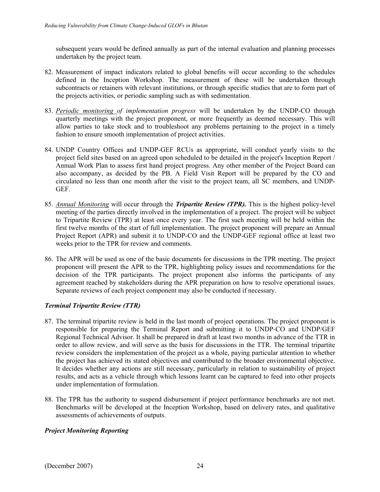subsequent years would be defined annually as part of the internal evaluation and planning processes undertaken by the project team.

- 82. Measurement of impact indicators related to global benefits will occur according to the schedules defined in the Inception Workshop. The measurement of these will be undertaken through subcontracts or retainers with relevant institutions, or through specific studies that are to form part of the projects activities, or periodic sampling such as with sedimentation.
- 83. *Periodic monitoring of implementation progress* will be undertaken by the UNDP-CO through quarterly meetings with the project proponent, or more frequently as deemed necessary. This will allow parties to take stock and to troubleshoot any problems pertaining to the project in a timely fashion to ensure smooth implementation of project activities.
- 84. UNDP Country Offices and UNDP-GEF RCUs as appropriate, will conduct yearly visits to the project field sites based on an agreed upon scheduled to be detailed in the project's Inception Report / Annual Work Plan to assess first hand project progress. Any other member of the Project Board can also accompany, as decided by the PB. A Field Visit Report will be prepared by the CO and circulated no less than one month after the visit to the project team, all SC members, and UNDP-GEF.
- 85. *Annual Monitoring* will occur through the *Tripartite Review (TPR).* This is the highest policy-level meeting of the parties directly involved in the implementation of a project. The project will be subject to Tripartite Review (TPR) at least once every year. The first such meeting will be held within the first twelve months of the start of full implementation. The project proponent will prepare an Annual Project Report (APR) and submit it to UNDP-CO and the UNDP-GEF regional office at least two weeks prior to the TPR for review and comments.
- 86. The APR will be used as one of the basic documents for discussions in the TPR meeting. The project proponent will present the APR to the TPR, highlighting policy issues and recommendations for the decision of the TPR participants. The project proponent also informs the participants of any agreement reached by stakeholders during the APR preparation on how to resolve operational issues. Separate reviews of each project component may also be conducted if necessary.

# *Terminal Tripartite Review (TTR)*

- 87. The terminal tripartite review is held in the last month of project operations. The project proponent is responsible for preparing the Terminal Report and submitting it to UNDP-CO and UNDP/GEF Regional Technical Advisor. It shall be prepared in draft at least two months in advance of the TTR in order to allow review, and will serve as the basis for discussions in the TTR. The terminal tripartite review considers the implementation of the project as a whole, paying particular attention to whether the project has achieved its stated objectives and contributed to the broader environmental objective. It decides whether any actions are still necessary, particularly in relation to sustainability of project results, and acts as a vehicle through which lessons learnt can be captured to feed into other projects under implementation of formulation.
- 88. The TPR has the authority to suspend disbursement if project performance benchmarks are not met. Benchmarks will be developed at the Inception Workshop, based on delivery rates, and qualitative assessments of achievements of outputs.

# *Project Monitoring Reporting*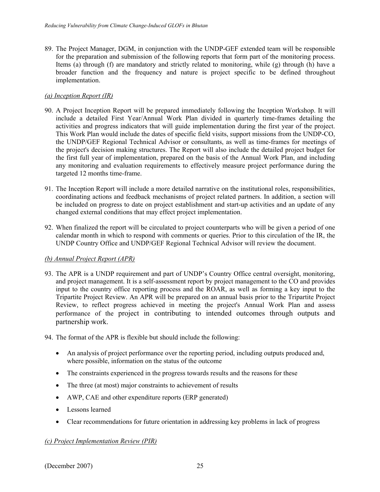89. The Project Manager, DGM, in conjunction with the UNDP-GEF extended team will be responsible for the preparation and submission of the following reports that form part of the monitoring process. Items (a) through (f) are mandatory and strictly related to monitoring, while (g) through (h) have a broader function and the frequency and nature is project specific to be defined throughout implementation.

# *(a) Inception Report (IR)*

- 90. A Project Inception Report will be prepared immediately following the Inception Workshop. It will include a detailed First Year/Annual Work Plan divided in quarterly time-frames detailing the activities and progress indicators that will guide implementation during the first year of the project. This Work Plan would include the dates of specific field visits, support missions from the UNDP-CO, the UNDP/GEF Regional Technical Advisor or consultants, as well as time-frames for meetings of the project's decision making structures. The Report will also include the detailed project budget for the first full year of implementation, prepared on the basis of the Annual Work Plan, and including any monitoring and evaluation requirements to effectively measure project performance during the targeted 12 months time-frame.
- 91. The Inception Report will include a more detailed narrative on the institutional roles, responsibilities, coordinating actions and feedback mechanisms of project related partners. In addition, a section will be included on progress to date on project establishment and start-up activities and an update of any changed external conditions that may effect project implementation.
- 92. When finalized the report will be circulated to project counterparts who will be given a period of one calendar month in which to respond with comments or queries. Prior to this circulation of the IR, the UNDP Country Office and UNDP/GEF Regional Technical Advisor will review the document.

# *(b) Annual Project Report (APR)*

- 93. The APR is a UNDP requirement and part of UNDP's Country Office central oversight, monitoring, and project management. It is a self-assessment report by project management to the CO and provides input to the country office reporting process and the ROAR, as well as forming a key input to the Tripartite Project Review. An APR will be prepared on an annual basis prior to the Tripartite Project Review, to reflect progress achieved in meeting the project's Annual Work Plan and assess performance of the project in contributing to intended outcomes through outputs and partnership work.
- 94. The format of the APR is flexible but should include the following:
	- An analysis of project performance over the reporting period, including outputs produced and, where possible, information on the status of the outcome
	- The constraints experienced in the progress towards results and the reasons for these
	- The three (at most) major constraints to achievement of results
	- AWP, CAE and other expenditure reports (ERP generated)
	- Lessons learned
	- Clear recommendations for future orientation in addressing key problems in lack of progress

# *(c) Project Implementation Review (PIR)*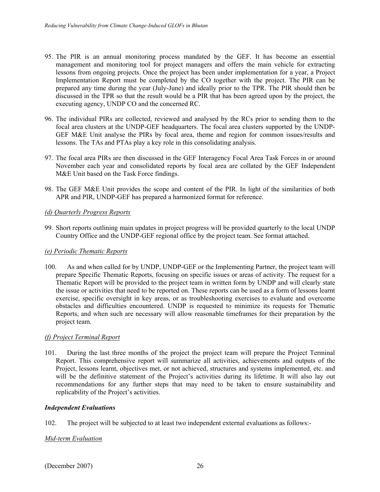- 95. The PIR is an annual monitoring process mandated by the GEF. It has become an essential management and monitoring tool for project managers and offers the main vehicle for extracting lessons from ongoing projects. Once the project has been under implementation for a year, a Project Implementation Report must be completed by the CO together with the project. The PIR can be prepared any time during the year (July-June) and ideally prior to the TPR. The PIR should then be discussed in the TPR so that the result would be a PIR that has been agreed upon by the project, the executing agency, UNDP CO and the concerned RC.
- 96. The individual PIRs are collected, reviewed and analysed by the RCs prior to sending them to the focal area clusters at the UNDP-GEF headquarters. The focal area clusters supported by the UNDP-GEF M&E Unit analyse the PIRs by focal area, theme and region for common issues/results and lessons. The TAs and PTAs play a key role in this consolidating analysis.
- 97. The focal area PIRs are then discussed in the GEF Interagency Focal Area Task Forces in or around November each year and consolidated reports by focal area are collated by the GEF Independent M&E Unit based on the Task Force findings.
- 98. The GEF M&E Unit provides the scope and content of the PIR. In light of the similarities of both APR and PIR, UNDP-GEF has prepared a harmonized format for reference.

# *(d) Quarterly Progress Reports*

99. Short reports outlining main updates in project progress will be provided quarterly to the local UNDP Country Office and the UNDP-GEF regional office by the project team. See format attached.

# *(e) Periodic Thematic Reports*

100. As and when called for by UNDP, UNDP-GEF or the Implementing Partner, the project team will prepare Specific Thematic Reports, focusing on specific issues or areas of activity. The request for a Thematic Report will be provided to the project team in written form by UNDP and will clearly state the issue or activities that need to be reported on. These reports can be used as a form of lessons learnt exercise, specific oversight in key areas, or as troubleshooting exercises to evaluate and overcome obstacles and difficulties encountered. UNDP is requested to minimize its requests for Thematic Reports, and when such are necessary will allow reasonable timeframes for their preparation by the project team.

# *(f) Project Terminal Report*

101. During the last three months of the project the project team will prepare the Project Terminal Report. This comprehensive report will summarize all activities, achievements and outputs of the Project, lessons learnt, objectives met, or not achieved, structures and systems implemented, etc. and will be the definitive statement of the Project's activities during its lifetime. It will also lay out recommendations for any further steps that may need to be taken to ensure sustainability and replicability of the Project's activities.

# *Independent Evaluations*

102. The project will be subjected to at least two independent external evaluations as follows:-

# *Mid-term Evaluation*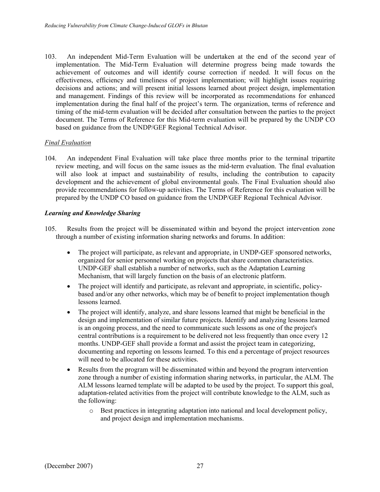103. An independent Mid-Term Evaluation will be undertaken at the end of the second year of implementation. The Mid-Term Evaluation will determine progress being made towards the achievement of outcomes and will identify course correction if needed. It will focus on the effectiveness, efficiency and timeliness of project implementation; will highlight issues requiring decisions and actions; and will present initial lessons learned about project design, implementation and management. Findings of this review will be incorporated as recommendations for enhanced implementation during the final half of the project's term. The organization, terms of reference and timing of the mid-term evaluation will be decided after consultation between the parties to the project document. The Terms of Reference for this Mid-term evaluation will be prepared by the UNDP CO based on guidance from the UNDP/GEF Regional Technical Advisor.

### *Final Evaluation*

104. An independent Final Evaluation will take place three months prior to the terminal tripartite review meeting, and will focus on the same issues as the mid-term evaluation. The final evaluation will also look at impact and sustainability of results, including the contribution to capacity development and the achievement of global environmental goals. The Final Evaluation should also provide recommendations for follow-up activities. The Terms of Reference for this evaluation will be prepared by the UNDP CO based on guidance from the UNDP/GEF Regional Technical Advisor.

### *Learning and Knowledge Sharing*

- 105. Results from the project will be disseminated within and beyond the project intervention zone through a number of existing information sharing networks and forums. In addition:
	- The project will participate, as relevant and appropriate, in UNDP-GEF sponsored networks, organized for senior personnel working on projects that share common characteristics. UNDP-GEF shall establish a number of networks, such as the Adaptation Learning Mechanism, that will largely function on the basis of an electronic platform.
	- The project will identify and participate, as relevant and appropriate, in scientific, policybased and/or any other networks, which may be of benefit to project implementation though lessons learned.
	- The project will identify, analyze, and share lessons learned that might be beneficial in the design and implementation of similar future projects. Identify and analyzing lessons learned is an ongoing process, and the need to communicate such lessons as one of the project's central contributions is a requirement to be delivered not less frequently than once every 12 months. UNDP-GEF shall provide a format and assist the project team in categorizing, documenting and reporting on lessons learned. To this end a percentage of project resources will need to be allocated for these activities.
	- Results from the program will be disseminated within and beyond the program intervention zone through a number of existing information sharing networks, in particular, the ALM. The ALM lessons learned template will be adapted to be used by the project. To support this goal, adaptation-related activities from the project will contribute knowledge to the ALM, such as the following:
		- $\circ$  Best practices in integrating adaptation into national and local development policy, and project design and implementation mechanisms.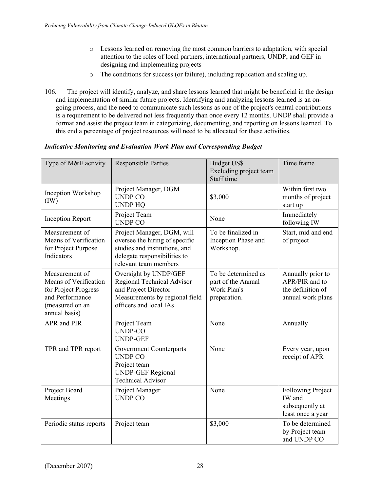- o Lessons learned on removing the most common barriers to adaptation, with special attention to the roles of local partners, international partners, UNDP, and GEF in designing and implementing projects
- o The conditions for success (or failure), including replication and scaling up.
- 106. The project will identify, analyze, and share lessons learned that might be beneficial in the design and implementation of similar future projects. Identifying and analyzing lessons learned is an ongoing process, and the need to communicate such lessons as one of the project's central contributions is a requirement to be delivered not less frequently than once every 12 months. UNDP shall provide a format and assist the project team in categorizing, documenting, and reporting on lessons learned. To this end a percentage of project resources will need to be allocated for these activities.

| Type of M&E activity                                                                                                   | <b>Responsible Parties</b>                                                                                                                             | <b>Budget US\$</b><br>Excluding project team<br>Staff time               | Time frame                                                                    |
|------------------------------------------------------------------------------------------------------------------------|--------------------------------------------------------------------------------------------------------------------------------------------------------|--------------------------------------------------------------------------|-------------------------------------------------------------------------------|
| Inception Workshop<br>(IW)                                                                                             | Project Manager, DGM<br><b>UNDP CO</b><br><b>UNDP HQ</b>                                                                                               | \$3,000                                                                  | Within first two<br>months of project<br>start up                             |
| <b>Inception Report</b>                                                                                                | Project Team<br><b>UNDP CO</b>                                                                                                                         | None                                                                     | Immediately<br>following IW                                                   |
| Measurement of<br>Means of Verification<br>for Project Purpose<br>Indicators                                           | Project Manager, DGM, will<br>oversee the hiring of specific<br>studies and institutions, and<br>delegate responsibilities to<br>relevant team members | To be finalized in<br>Inception Phase and<br>Workshop.                   | Start, mid and end<br>of project                                              |
| Measurement of<br>Means of Verification<br>for Project Progress<br>and Performance<br>(measured on an<br>annual basis) | Oversight by UNDP/GEF<br>Regional Technical Advisor<br>and Project Director<br>Measurements by regional field<br>officers and local IAs                | To be determined as<br>part of the Annual<br>Work Plan's<br>preparation. | Annually prior to<br>APR/PIR and to<br>the definition of<br>annual work plans |
| APR and PIR                                                                                                            | Project Team<br><b>UNDP-CO</b><br><b>UNDP-GEF</b>                                                                                                      | None                                                                     | Annually                                                                      |
| TPR and TPR report                                                                                                     | Government Counterparts<br><b>UNDP CO</b><br>Project team<br><b>UNDP-GEF Regional</b><br><b>Technical Advisor</b>                                      | None                                                                     | Every year, upon<br>receipt of APR                                            |
| Project Board<br>Meetings                                                                                              | Project Manager<br><b>UNDP CO</b>                                                                                                                      | None                                                                     | <b>Following Project</b><br>IW and<br>subsequently at<br>least once a year    |
| Periodic status reports                                                                                                | Project team                                                                                                                                           | \$3,000                                                                  | To be determined<br>by Project team<br>and UNDP CO                            |

### *Indicative Monitoring and Evaluation Work Plan and Corresponding Budget*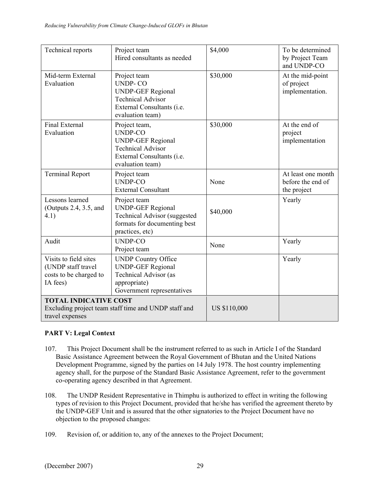| Technical reports                                                                 | Project team<br>Hired consultants as needed                                                                                               | \$4,000             | To be determined<br>by Project Team<br>and UNDP-CO     |
|-----------------------------------------------------------------------------------|-------------------------------------------------------------------------------------------------------------------------------------------|---------------------|--------------------------------------------------------|
| Mid-term External<br>Evaluation                                                   | Project team<br><b>UNDP-CO</b><br><b>UNDP-GEF Regional</b><br><b>Technical Advisor</b><br>External Consultants (i.e.<br>evaluation team)  | \$30,000            | At the mid-point<br>of project<br>implementation.      |
| Final External<br>Evaluation                                                      | Project team,<br><b>UNDP-CO</b><br><b>UNDP-GEF Regional</b><br><b>Technical Advisor</b><br>External Consultants (i.e.<br>evaluation team) | \$30,000            | At the end of<br>project<br>implementation             |
| <b>Terminal Report</b>                                                            | Project team<br><b>UNDP-CO</b><br><b>External Consultant</b>                                                                              | None                | At least one month<br>before the end of<br>the project |
| Lessons learned<br>(Outputs 2.4, 3.5, and<br>4.1)                                 | Project team<br><b>UNDP-GEF Regional</b><br><b>Technical Advisor (suggested)</b><br>formats for documenting best<br>practices, etc)       | \$40,000            | Yearly                                                 |
| Audit                                                                             | <b>UNDP-CO</b><br>Project team                                                                                                            | None                | Yearly                                                 |
| Visits to field sites<br>(UNDP staff travel<br>costs to be charged to<br>IA fees) | <b>UNDP Country Office</b><br><b>UNDP-GEF Regional</b><br><b>Technical Advisor</b> (as<br>appropriate)<br>Government representatives      |                     | Yearly                                                 |
| <b>TOTAL INDICATIVE COST</b><br>travel expenses                                   | Excluding project team staff time and UNDP staff and                                                                                      | <b>US \$110,000</b> |                                                        |

# **PART V: Legal Context**

- 107. This Project Document shall be the instrument referred to as such in Article I of the Standard Basic Assistance Agreement between the Royal Government of Bhutan and the United Nations Development Programme, signed by the parties on 14 July 1978. The host country implementing agency shall, for the purpose of the Standard Basic Assistance Agreement, refer to the government co-operating agency described in that Agreement.
- 108. The UNDP Resident Representative in Thimphu is authorized to effect in writing the following types of revision to this Project Document, provided that he/she has verified the agreement thereto by the UNDP-GEF Unit and is assured that the other signatories to the Project Document have no objection to the proposed changes:
- 109. Revision of, or addition to, any of the annexes to the Project Document;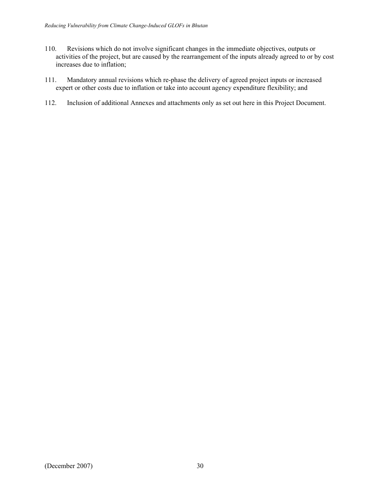- 110. Revisions which do not involve significant changes in the immediate objectives, outputs or activities of the project, but are caused by the rearrangement of the inputs already agreed to or by cost increases due to inflation;
- 111. Mandatory annual revisions which re-phase the delivery of agreed project inputs or increased expert or other costs due to inflation or take into account agency expenditure flexibility; and
- 112. Inclusion of additional Annexes and attachments only as set out here in this Project Document.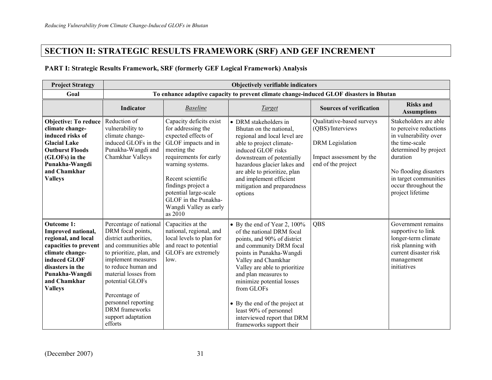# **SECTION II: STRATEGIC RESULTS FRAMEWORK (SRF) AND GEF INCREMENT**

# **PART I: Strategic Results Framework, SRF (formerly GEF Logical Framework) Analysis**

| <b>Project Strategy</b>                                                                                                                                                                            | Objectively verifiable indicators                                                                                                                                                                                                                                                                                  |                                                                                                                                                                                                                                                                                           |                                                                                                                                                                                                                                                                                                                                                                                                      |                                                                                                                           |                                                                                                                                                                                                                               |
|----------------------------------------------------------------------------------------------------------------------------------------------------------------------------------------------------|--------------------------------------------------------------------------------------------------------------------------------------------------------------------------------------------------------------------------------------------------------------------------------------------------------------------|-------------------------------------------------------------------------------------------------------------------------------------------------------------------------------------------------------------------------------------------------------------------------------------------|------------------------------------------------------------------------------------------------------------------------------------------------------------------------------------------------------------------------------------------------------------------------------------------------------------------------------------------------------------------------------------------------------|---------------------------------------------------------------------------------------------------------------------------|-------------------------------------------------------------------------------------------------------------------------------------------------------------------------------------------------------------------------------|
| Goal                                                                                                                                                                                               |                                                                                                                                                                                                                                                                                                                    | To enhance adaptive capacity to prevent climate change-induced GLOF disasters in Bhutan                                                                                                                                                                                                   |                                                                                                                                                                                                                                                                                                                                                                                                      |                                                                                                                           |                                                                                                                                                                                                                               |
|                                                                                                                                                                                                    | Indicator                                                                                                                                                                                                                                                                                                          | <b>Baseline</b>                                                                                                                                                                                                                                                                           | Target                                                                                                                                                                                                                                                                                                                                                                                               | <b>Sources of verification</b>                                                                                            | <b>Risks and</b><br><b>Assumptions</b>                                                                                                                                                                                        |
| <b>Objective: To reduce</b><br>climate change-<br>induced risks of<br><b>Glacial Lake</b><br><b>Outburst Floods</b><br>(GLOFs) in the<br>Punakha-Wangdi<br>and Chamkhar<br><b>Valleys</b>          | Reduction of<br>vulnerability to<br>climate change-<br>induced GLOFs in the<br>Punakha-Wangdi and<br>Chamkhar Valleys                                                                                                                                                                                              | Capacity deficits exist<br>for addressing the<br>expected effects of<br>GLOF impacts and in<br>meeting the<br>requirements for early<br>warning systems.<br>Recent scientific<br>findings project a<br>potential large-scale<br>GLOF in the Punakha-<br>Wangdi Valley as early<br>as 2010 | • DRM stakeholders in<br>Bhutan on the national,<br>regional and local level are<br>able to project climate-<br>induced GLOF risks<br>downstream of potentially<br>hazardous glacier lakes and<br>are able to prioritize, plan<br>and implement efficient<br>mitigation and preparedness<br>options                                                                                                  | Qualitative-based surveys<br>(QBS)/Interviews<br><b>DRM</b> Legislation<br>Impact assessment by the<br>end of the project | Stakeholders are able<br>to perceive reductions<br>in vulnerability over<br>the time-scale<br>determined by project<br>duration<br>No flooding disasters<br>in target communities<br>occur throughout the<br>project lifetime |
| <b>Outcome 1:</b><br>Improved national,<br>regional, and local<br>capacities to prevent<br>climate change-<br>induced GLOF<br>disasters in the<br>Punakha-Wangdi<br>and Chamkhar<br><b>Valleys</b> | Percentage of national<br>DRM focal points,<br>district authorities,<br>and communities able<br>to prioritize, plan, and<br>implement measures<br>to reduce human and<br>material losses from<br>potential GLOFs<br>Percentage of<br>personnel reporting<br><b>DRM</b> frameworks<br>support adaptation<br>efforts | Capacities at the<br>national, regional, and<br>local levels to plan for<br>and react to potential<br>GLOFs are extremely<br>low.                                                                                                                                                         | • By the end of Year 2, $100\%$<br>of the national DRM focal<br>points, and 90% of district<br>and community DRM focal<br>points in Punakha-Wangdi<br>Valley and Chamkhar<br>Valley are able to prioritize<br>and plan measures to<br>minimize potential losses<br>from GLOFs<br>• By the end of the project at<br>least 90% of personnel<br>interviewed report that DRM<br>frameworks support their | QBS                                                                                                                       | Government remains<br>supportive to link<br>longer-term climate<br>risk planning with<br>current disaster risk<br>management<br>initiatives                                                                                   |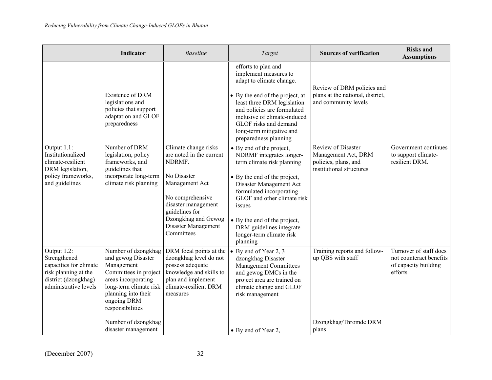|                                                                                                                                | Indicator                                                                                                                                                                                                          | <b>Baseline</b>                                                                                                                                                                                                      | <b>Target</b>                                                                                                                                                                                                                                                                                                          | <b>Sources of verification</b>                                                                | <b>Risks and</b><br><b>Assumptions</b>                                               |
|--------------------------------------------------------------------------------------------------------------------------------|--------------------------------------------------------------------------------------------------------------------------------------------------------------------------------------------------------------------|----------------------------------------------------------------------------------------------------------------------------------------------------------------------------------------------------------------------|------------------------------------------------------------------------------------------------------------------------------------------------------------------------------------------------------------------------------------------------------------------------------------------------------------------------|-----------------------------------------------------------------------------------------------|--------------------------------------------------------------------------------------|
|                                                                                                                                | Existence of DRM<br>legislations and<br>policies that support<br>adaptation and GLOF<br>preparedness                                                                                                               |                                                                                                                                                                                                                      | efforts to plan and<br>implement measures to<br>adapt to climate change.<br>• By the end of the project, at<br>least three DRM legislation<br>and policies are formulated<br>inclusive of climate-induced<br>GLOF risks and demand<br>long-term mitigative and<br>preparedness planning                                | Review of DRM policies and<br>plans at the national, district,<br>and community levels        |                                                                                      |
| Output 1.1:<br>Institutionalized<br>climate-resilient<br>DRM legislation,<br>policy frameworks,<br>and guidelines              | Number of DRM<br>legislation, policy<br>frameworks, and<br>guidelines that<br>incorporate long-term<br>climate risk planning                                                                                       | Climate change risks<br>are noted in the current<br>NDRMF.<br>No Disaster<br>Management Act<br>No comprehensive<br>disaster management<br>guidelines for<br>Dzongkhag and Gewog<br>Disaster Management<br>Committees | • By end of the project,<br>NDRMF integrates longer-<br>term climate risk planning<br>• By the end of the project,<br>Disaster Management Act<br>formulated incorporating<br>GLOF and other climate risk<br>issues<br>• By the end of the project,<br>DRM guidelines integrate<br>longer-term climate risk<br>planning | Review of Disaster<br>Management Act, DRM<br>policies, plans, and<br>institutional structures | Government continues<br>to support climate-<br>resilient DRM.                        |
| Output 1.2:<br>Strengthened<br>capacities for climate<br>risk planning at the<br>district (dzongkhag)<br>administrative levels | Number of dzongkhag<br>and gewog Disaster<br>Management<br>Committees in project<br>areas incorporating<br>long-term climate risk<br>planning into their<br>ongoing DRM<br>responsibilities<br>Number of dzongkhag | DRM focal points at the<br>dzongkhag level do not<br>possess adequate<br>knowledge and skills to<br>plan and implement<br>climate-resilient DRM<br>measures                                                          | $\bullet$ By end of Year 2, 3<br>dzongkhag Disaster<br>Management Committees<br>and gewog DMCs in the<br>project area are trained on<br>climate change and GLOF<br>risk management                                                                                                                                     | Training reports and follow-<br>up QBS with staff<br>Dzongkhag/Thromde DRM                    | Turnover of staff does<br>not counteract benefits<br>of capacity building<br>efforts |
|                                                                                                                                | disaster management                                                                                                                                                                                                |                                                                                                                                                                                                                      | • By end of Year 2,                                                                                                                                                                                                                                                                                                    | plans                                                                                         |                                                                                      |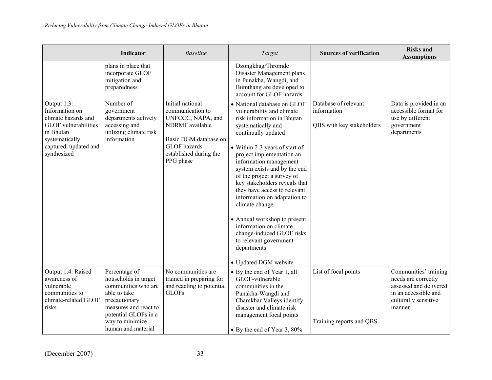|                                                                                                                                                            | Indicator                                                                                                                                                                               | <b>Baseline</b>                                                                                                                                                     | <b>Target</b>                                                                                                                                                                                                                                                                                                                                                                                                                                                                                                                                                           | <b>Sources of verification</b>                                   | <b>Risks and</b><br><b>Assumptions</b>                                                                                           |
|------------------------------------------------------------------------------------------------------------------------------------------------------------|-----------------------------------------------------------------------------------------------------------------------------------------------------------------------------------------|---------------------------------------------------------------------------------------------------------------------------------------------------------------------|-------------------------------------------------------------------------------------------------------------------------------------------------------------------------------------------------------------------------------------------------------------------------------------------------------------------------------------------------------------------------------------------------------------------------------------------------------------------------------------------------------------------------------------------------------------------------|------------------------------------------------------------------|----------------------------------------------------------------------------------------------------------------------------------|
|                                                                                                                                                            | plans in place that<br>incorporate GLOF<br>mitigation and<br>preparedness                                                                                                               |                                                                                                                                                                     | Dzongkhag/Thromde<br>Disaster Management plans<br>in Punakha, Wangdi, and<br>Bumthang are developed to<br>account for GLOF hazards                                                                                                                                                                                                                                                                                                                                                                                                                                      |                                                                  |                                                                                                                                  |
| Output 1.3:<br>Information on<br>climate hazards and<br><b>GLOF</b> vulnerabilities<br>in Bhutan<br>systematically<br>captured, updated and<br>synthesized | Number of<br>government<br>departments actively<br>accessing and<br>utilizing climate risk<br>information                                                                               | Initial national<br>communication to<br>UNFCCC, NAPA, and<br>NDRMF available<br>Basic DGM database on<br><b>GLOF</b> hazards<br>established during the<br>PPG phase | • National database on GLOF<br>vulnerability and climate<br>risk information in Bhutan<br>systematically and<br>continually updated<br>• Within 2-3 years of start of<br>project implementation an<br>information management<br>system exists and by the end<br>of the project a survey of<br>key stakeholders reveals that<br>they have access to relevant<br>information on adaptation to<br>climate change.<br>• Annual workshop to present<br>information on climate<br>change-induced GLOF risks<br>to relevant government<br>departments<br>• Updated DGM website | Database of relevant<br>information<br>QBS with key stakeholders | Data is provided in an<br>accessible format for<br>use by different<br>government<br>departments                                 |
| Output 1.4: Raised<br>awareness of<br>vulnerable<br>communities to<br>climate-related GLOF<br>risks                                                        | Percentage of<br>households in target<br>communities who are<br>able to take<br>precautionary<br>measures and react to<br>potential GLOFs in a<br>way to minimize<br>human and material | No communities are<br>trained in preparing for<br>and reacting to potential<br><b>GLOFs</b>                                                                         | • By the end of Year 1, all<br>GLOF-vulnerable<br>communities in the<br>Punakha-Wangdi and<br>Chamkhar Valleys identify<br>disaster and climate risk<br>management focal points<br>• By the end of Year 3, 80%                                                                                                                                                                                                                                                                                                                                                          | List of focal points<br>Training reports and QBS                 | Communities' training<br>needs are correctly<br>assessed and delivered<br>in an accessible and<br>culturally sensitive<br>manner |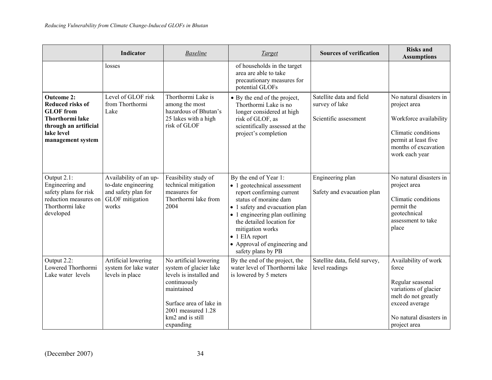|                                                                                                                                                        | Indicator                                                                                               | <b>Baseline</b>                                                                                                                                                                             | <b>Target</b>                                                                                                                                                                                                                                                                                                    | <b>Sources of verification</b>                                      | <b>Risks and</b><br><b>Assumptions</b>                                                                                                                         |
|--------------------------------------------------------------------------------------------------------------------------------------------------------|---------------------------------------------------------------------------------------------------------|---------------------------------------------------------------------------------------------------------------------------------------------------------------------------------------------|------------------------------------------------------------------------------------------------------------------------------------------------------------------------------------------------------------------------------------------------------------------------------------------------------------------|---------------------------------------------------------------------|----------------------------------------------------------------------------------------------------------------------------------------------------------------|
|                                                                                                                                                        | losses                                                                                                  |                                                                                                                                                                                             | of households in the target<br>area are able to take<br>precautionary measures for<br>potential GLOFs                                                                                                                                                                                                            |                                                                     |                                                                                                                                                                |
| <b>Outcome 2:</b><br><b>Reduced risks of</b><br><b>GLOF</b> from<br><b>Thorthormi lake</b><br>through an artificial<br>lake level<br>management system | Level of GLOF risk<br>from Thorthormi<br>Lake                                                           | Thorthormi Lake is<br>among the most<br>hazardous of Bhutan's<br>25 lakes with a high<br>risk of GLOF                                                                                       | • By the end of the project,<br>Thorthormi Lake is no<br>longer considered at high<br>risk of GLOF, as<br>scientifically assessed at the<br>project's completion                                                                                                                                                 | Satellite data and field<br>survey of lake<br>Scientific assessment | No natural disasters in<br>project area<br>Workforce availability<br>Climatic conditions<br>permit at least five<br>months of excavation<br>work each year     |
| Output 2.1:<br>Engineering and<br>safety plans for risk<br>reduction measures on<br>Thorthormi lake<br>developed                                       | Availability of an up-<br>to-date engineering<br>and safety plan for<br><b>GLOF</b> mitigation<br>works | Feasibility study of<br>technical mitigation<br>measures for<br>Thorthormi lake from<br>2004                                                                                                | By the end of Year 1:<br>• 1 geotechnical assessment<br>report confirming current<br>status of moraine dam<br>• 1 safety and evacuation plan<br>• 1 engineering plan outlining<br>the detailed location for<br>mitigation works<br>$\bullet$ 1 EIA report<br>• Approval of engineering and<br>safety plans by PB | Engineering plan<br>Safety and evacuation plan                      | No natural disasters in<br>project area<br>Climatic conditions<br>permit the<br>geotechnical<br>assessment to take<br>place                                    |
| Output 2.2:<br>Lowered Thorthormi<br>Lake water levels                                                                                                 | Artificial lowering<br>system for lake water<br>levels in place                                         | No artificial lowering<br>system of glacier lake<br>levels is installed and<br>continuously<br>maintained<br>Surface area of lake in<br>2001 measured 1.28<br>km2 and is still<br>expanding | By the end of the project, the<br>water level of Thorthormi lake<br>is lowered by 5 meters                                                                                                                                                                                                                       | Satellite data, field survey,<br>level readings                     | Availability of work<br>force<br>Regular seasonal<br>variations of glacier<br>melt do not greatly<br>exceed average<br>No natural disasters in<br>project area |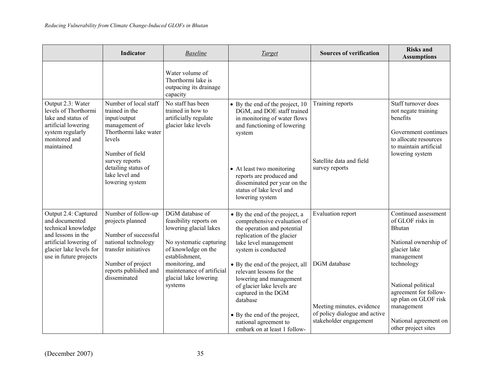|                                                                                                                                                                    | Indicator                                                                                                                                                                                                    | <b>Baseline</b>                                                                                                                                                                                                             | <b>Target</b>                                                                                                                                                                                                                                                                                                                                                                                                                   | <b>Sources of verification</b>                                                                                            | <b>Risks and</b><br><b>Assumptions</b>                                                                                                                                                                                                                              |
|--------------------------------------------------------------------------------------------------------------------------------------------------------------------|--------------------------------------------------------------------------------------------------------------------------------------------------------------------------------------------------------------|-----------------------------------------------------------------------------------------------------------------------------------------------------------------------------------------------------------------------------|---------------------------------------------------------------------------------------------------------------------------------------------------------------------------------------------------------------------------------------------------------------------------------------------------------------------------------------------------------------------------------------------------------------------------------|---------------------------------------------------------------------------------------------------------------------------|---------------------------------------------------------------------------------------------------------------------------------------------------------------------------------------------------------------------------------------------------------------------|
|                                                                                                                                                                    |                                                                                                                                                                                                              | Water volume of<br>Thorthormi lake is<br>outpacing its drainage<br>capacity                                                                                                                                                 |                                                                                                                                                                                                                                                                                                                                                                                                                                 |                                                                                                                           |                                                                                                                                                                                                                                                                     |
| Output 2.3: Water<br>levels of Thorthormi<br>lake and status of<br>artificial lowering<br>system regularly<br>monitored and<br>maintained                          | Number of local staff<br>trained in the<br>input/output<br>management of<br>Thorthormi lake water<br>levels<br>Number of field<br>survey reports<br>detailing status of<br>lake level and<br>lowering system | No staff has been<br>trained in how to<br>artificially regulate<br>glacier lake levels                                                                                                                                      | • By the end of the project, 10<br>DGM, and DOE staff trained<br>in monitoring of water flows<br>and functioning of lowering<br>system<br>• At least two monitoring<br>reports are produced and<br>disseminated per year on the<br>status of lake level and<br>lowering system                                                                                                                                                  | Training reports<br>Satellite data and field<br>survey reports                                                            | Staff turnover does<br>not negate training<br>benefits<br>Government continues<br>to allocate resources<br>to maintain artificial<br>lowering system                                                                                                                |
| Output 2.4: Captured<br>and documented<br>technical knowledge<br>and lessons in the<br>artificial lowering of<br>glacier lake levels for<br>use in future projects | Number of follow-up<br>projects planned<br>Number of successful<br>national technology<br>transfer initiatives<br>Number of project<br>reports published and<br>disseminated                                 | DGM database of<br>feasibility reports on<br>lowering glacial lakes<br>No systematic capturing<br>of knowledge on the<br>establishment,<br>monitoring, and<br>maintenance of artificial<br>glacial lake lowering<br>systems | • By the end of the project, a<br>comprehensive evaluation of<br>the operation and potential<br>replication of the glacier<br>lake level management<br>system is conducted<br>• By the end of the project, all<br>relevant lessons for the<br>lowering and management<br>of glacier lake levels are<br>captured in the DGM<br>database<br>• By the end of the project,<br>national agreement to<br>embark on at least 1 follow- | Evaluation report<br>DGM database<br>Meeting minutes, evidence<br>of policy dialogue and active<br>stakeholder engagement | Continued assessment<br>of GLOF risks in<br><b>Bhutan</b><br>National ownership of<br>glacier lake<br>management<br>technology<br>National political<br>agreement for follow-<br>up plan on GLOF risk<br>management<br>National agreement on<br>other project sites |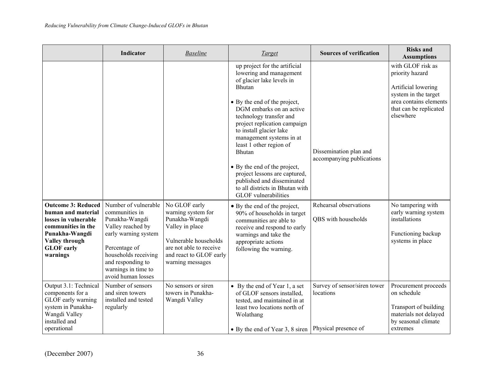|                                                                                                                                                                           | Indicator                                                                                                                                                                                                        | <b>Baseline</b>                                                                                                                                                             | <b>Target</b>                                                                                                                                                                                                                                                                                                                                                                                                                                                                       | <b>Sources of verification</b>                      | <b>Risks and</b><br><b>Assumptions</b>                                                                                                               |
|---------------------------------------------------------------------------------------------------------------------------------------------------------------------------|------------------------------------------------------------------------------------------------------------------------------------------------------------------------------------------------------------------|-----------------------------------------------------------------------------------------------------------------------------------------------------------------------------|-------------------------------------------------------------------------------------------------------------------------------------------------------------------------------------------------------------------------------------------------------------------------------------------------------------------------------------------------------------------------------------------------------------------------------------------------------------------------------------|-----------------------------------------------------|------------------------------------------------------------------------------------------------------------------------------------------------------|
|                                                                                                                                                                           |                                                                                                                                                                                                                  |                                                                                                                                                                             | up project for the artificial<br>lowering and management<br>of glacier lake levels in<br>Bhutan<br>• By the end of the project,<br>DGM embarks on an active<br>technology transfer and<br>project replication campaign<br>to install glacier lake<br>management systems in at<br>least 1 other region of<br>Bhutan<br>• By the end of the project,<br>project lessons are captured,<br>published and disseminated<br>to all districts in Bhutan with<br><b>GLOF</b> vulnerabilities | Dissemination plan and<br>accompanying publications | with GLOF risk as<br>priority hazard<br>Artificial lowering<br>system in the target<br>area contains elements<br>that can be replicated<br>elsewhere |
| <b>Outcome 3: Reduced</b><br>human and material<br>losses in vulnerable<br>communities in the<br>Punakha-Wangdi<br><b>Valley through</b><br><b>GLOF</b> early<br>warnings | Number of vulnerable<br>communities in<br>Punakha-Wangdi<br>Valley reached by<br>early warning system<br>Percentage of<br>households receiving<br>and responding to<br>warnings in time to<br>avoid human losses | No GLOF early<br>warning system for<br>Punakha-Wangdi<br>Valley in place<br>Vulnerable households<br>are not able to receive<br>and react to GLOF early<br>warning messages | • By the end of the project,<br>90% of households in target<br>communities are able to<br>receive and respond to early<br>warnings and take the<br>appropriate actions<br>following the warning.                                                                                                                                                                                                                                                                                    | Rehearsal observations<br>QBS with households       | No tampering with<br>early warning system<br>installations<br>Functioning backup<br>systems in place                                                 |
| Output 3.1: Technical<br>components for a<br>GLOF early warning<br>system in Punakha-<br>Wangdi Valley<br>installed and<br>operational                                    | Number of sensors<br>and siren towers<br>installed and tested<br>regularly                                                                                                                                       | No sensors or siren<br>towers in Punakha-<br>Wangdi Valley                                                                                                                  | • By the end of Year 1, a set<br>of GLOF sensors installed,<br>tested, and maintained in at<br>least two locations north of<br>Wolathang<br>• By the end of Year 3, 8 siren   Physical presence of                                                                                                                                                                                                                                                                                  | Survey of sensor/siren tower<br>locations           | Procurement proceeds<br>on schedule<br>Transport of building<br>materials not delayed<br>by seasonal climate<br>extremes                             |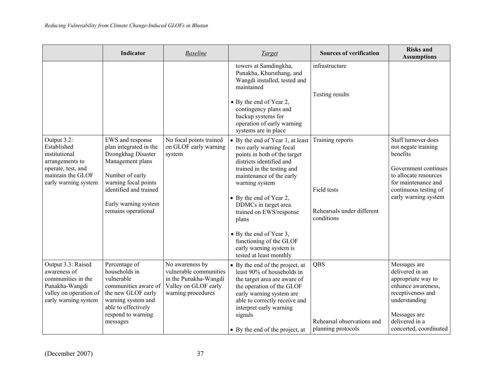|                                                                                                                                   | Indicator                                                                                                                                                                                                | <b>Baseline</b>                                                                                                  | <b>Target</b>                                                                                                                                                                                                                                                                                                                                                                                          | <b>Sources of verification</b>                                              | <b>Risks and</b><br><b>Assumptions</b>                                                                                                                                          |
|-----------------------------------------------------------------------------------------------------------------------------------|----------------------------------------------------------------------------------------------------------------------------------------------------------------------------------------------------------|------------------------------------------------------------------------------------------------------------------|--------------------------------------------------------------------------------------------------------------------------------------------------------------------------------------------------------------------------------------------------------------------------------------------------------------------------------------------------------------------------------------------------------|-----------------------------------------------------------------------------|---------------------------------------------------------------------------------------------------------------------------------------------------------------------------------|
|                                                                                                                                   |                                                                                                                                                                                                          |                                                                                                                  | towers at Samdingkha,<br>Punakha, Khuruthang, and<br>Wangdi installed, tested and<br>maintained<br>• By the end of Year 2,<br>contingency plans and<br>backup systems for<br>operation of early warning<br>systems are in place                                                                                                                                                                        | infrastructure<br>Testing results                                           |                                                                                                                                                                                 |
| Output 3.2:<br>Established<br>institutional<br>arrangements to<br>operate, test, and<br>maintain the GLOF<br>early warning system | EWS and response<br>plan integrated in the<br>Dzongkhag Disaster<br>Management plans<br>Number of early<br>warning focal points<br>identified and trained<br>Early warning system<br>remains operational | No focal points trained<br>on GLOF early warning<br>system                                                       | • By the end of Year 1, at least<br>two early warning focal<br>points in both of the target<br>districts identified and<br>trained in the testing and<br>maintenance of the early<br>warning system<br>• By the end of Year 2,<br>DDMCs in target area<br>trained on EWS/response<br>plans<br>• By the end of Year 3,<br>functioning of the GLOF<br>early warning system is<br>tested at least monthly | Training reports<br>Field tests<br>Rehearsals under different<br>conditions | Staff turnover does<br>not negate training<br>benefits<br>Government continues<br>to allocate resources<br>for maintenance and<br>continuous testing of<br>early warning system |
| Output 3.3: Raised<br>awareness of<br>communities in the<br>Punakha-Wangdi<br>valley on operation of<br>early warning system      | Percentage of<br>households in<br>vulnerable<br>communities aware of<br>the new GLOF early<br>warning system and<br>able to effectively<br>respond to warning<br>messages                                | No awareness by<br>vulnerable communities<br>in the Punakha-Wangdi<br>Valley on GLOF early<br>warning procedures | • By the end of the project, at<br>least 90% of households in<br>the target area are aware of<br>the operation of the GLOF<br>early warning system are<br>able to correctly receive and<br>interpret early warning<br>signals<br>• By the end of the project, at                                                                                                                                       | QBS<br>Rehearsal observations and<br>planning protocols                     | Messages are<br>delivered in an<br>appropriate way to<br>enhance awareness,<br>receptiveness and<br>understanding<br>Messages are<br>delivered in a<br>concerted, coordinated   |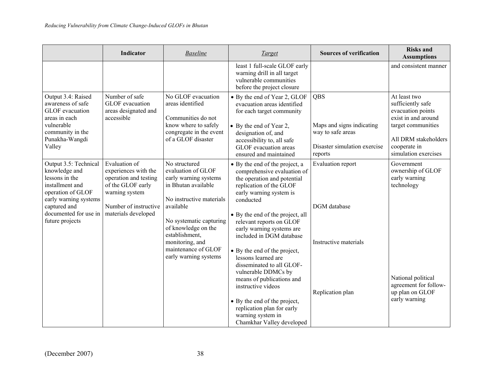|                                                                                                                                                                                       | <b>Indicator</b>                                                                                                                                      | <b>Baseline</b>                                                                                                                                                                                                                                                     | <b>Target</b>                                                                                                                                                                                                                                                                                                                                                                                                                                                                                                                                                          | <b>Sources of verification</b>                                                                          | <b>Risks and</b><br><b>Assumptions</b>                                                                                                                              |
|---------------------------------------------------------------------------------------------------------------------------------------------------------------------------------------|-------------------------------------------------------------------------------------------------------------------------------------------------------|---------------------------------------------------------------------------------------------------------------------------------------------------------------------------------------------------------------------------------------------------------------------|------------------------------------------------------------------------------------------------------------------------------------------------------------------------------------------------------------------------------------------------------------------------------------------------------------------------------------------------------------------------------------------------------------------------------------------------------------------------------------------------------------------------------------------------------------------------|---------------------------------------------------------------------------------------------------------|---------------------------------------------------------------------------------------------------------------------------------------------------------------------|
|                                                                                                                                                                                       |                                                                                                                                                       |                                                                                                                                                                                                                                                                     | least 1 full-scale GLOF early<br>warning drill in all target<br>vulnerable communities<br>before the project closure                                                                                                                                                                                                                                                                                                                                                                                                                                                   |                                                                                                         | and consistent manner                                                                                                                                               |
| Output 3.4: Raised<br>awareness of safe<br>GLOF evacuation<br>areas in each<br>vulnerable<br>community in the<br>Punakha-Wangdi<br>Valley                                             | Number of safe<br>GLOF evacuation<br>areas designated and<br>accessible                                                                               | No GLOF evacuation<br>areas identified<br>Communities do not<br>know where to safely<br>congregate in the event<br>of a GLOF disaster                                                                                                                               | • By the end of Year 2, GLOF<br>evacuation areas identified<br>for each target community<br>• By the end of Year 2,<br>designation of, and<br>accessibility to, all safe<br>GLOF evacuation areas<br>ensured and maintained                                                                                                                                                                                                                                                                                                                                            | <b>QBS</b><br>Maps and signs indicating<br>way to safe areas<br>Disaster simulation exercise<br>reports | At least two<br>sufficiently safe<br>evacuation points<br>exist in and around<br>target communities<br>All DRM stakeholders<br>cooperate in<br>simulation exercises |
| Output 3.5: Technical<br>knowledge and<br>lessons in the<br>installment and<br>operation of GLOF<br>early warning systems<br>captured and<br>documented for use in<br>future projects | Evaluation of<br>experiences with the<br>operation and testing<br>of the GLOF early<br>warning system<br>Number of instructive<br>materials developed | No structured<br>evaluation of GLOF<br>early warning systems<br>in Bhutan available<br>No instructive materials<br>available<br>No systematic capturing<br>of knowledge on the<br>establishment,<br>monitoring, and<br>maintenance of GLOF<br>early warning systems | • By the end of the project, a<br>comprehensive evaluation of<br>the operation and potential<br>replication of the GLOF<br>early warning system is<br>conducted<br>• By the end of the project, all<br>relevant reports on GLOF<br>early warning systems are<br>included in DGM database<br>• By the end of the project,<br>lessons learned are<br>disseminated to all GLOF-<br>vulnerable DDMCs by<br>means of publications and<br>instructive videos<br>• By the end of the project,<br>replication plan for early<br>warning system in<br>Chamkhar Valley developed | Evaluation report<br>DGM database<br>Instructive materials<br>Replication plan                          | Government<br>ownership of GLOF<br>early warning<br>technology<br>National political<br>agreement for follow-<br>up plan on GLOF<br>early warning                   |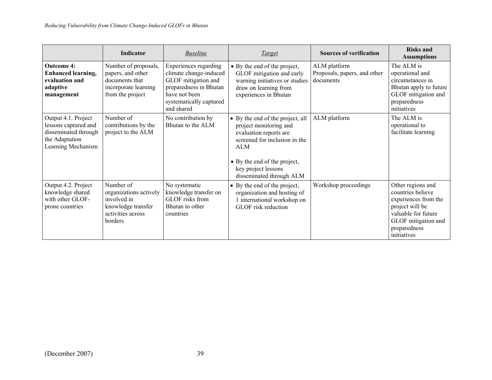|                                                                                                             | <b>Indicator</b>                                                                                         | <b>Baseline</b>                                                                                                                                            | <i>Target</i>                                                                                                                                                                                                   | <b>Sources of verification</b>                            | <b>Risks and</b><br><b>Assumptions</b>                                                                                                                         |
|-------------------------------------------------------------------------------------------------------------|----------------------------------------------------------------------------------------------------------|------------------------------------------------------------------------------------------------------------------------------------------------------------|-----------------------------------------------------------------------------------------------------------------------------------------------------------------------------------------------------------------|-----------------------------------------------------------|----------------------------------------------------------------------------------------------------------------------------------------------------------------|
| <b>Outcome 4:</b><br><b>Enhanced learning,</b><br>evaluation and<br>adaptive<br>management                  | Number of proposals,<br>papers, and other<br>documents that<br>incorporate learning<br>from the project  | Experiences regarding<br>climate change-induced<br>GLOF mitigation and<br>preparedness in Bhutan<br>have not been<br>systematically captured<br>and shared | $\bullet$ By the end of the project,<br>GLOF mitigation and early<br>warning initiatives or studies<br>draw on learning from<br>experiences in Bhutan                                                           | ALM platform<br>Proposals, papers, and other<br>documents | The ALM is<br>operational and<br>circumstances in<br>Bhutan apply to future<br>GLOF mitigation and<br>preparedness<br>initiatives                              |
| Output 4.1. Project<br>lessons captured and<br>disseminated through<br>the Adaptation<br>Learning Mechanism | Number of<br>contributions by the<br>project to the ALM                                                  | No contribution by<br>Bhutan to the ALM                                                                                                                    | • By the end of the project, all<br>project monitoring and<br>evaluation reports are<br>screened for inclusion in the<br>ALM<br>• By the end of the project,<br>key project lessons<br>disseminated through ALM | ALM platform                                              | The ALM is<br>operational to<br>facilitate learning                                                                                                            |
| Output 4.2. Project<br>knowledge shared<br>with other GLOF-<br>prone countries                              | Number of<br>organizations actively<br>involved in<br>knowledge transfer<br>activities across<br>borders | No systematic<br>knowledge transfer on<br>GLOF risks from<br>Bhutan to other<br>countries                                                                  | • By the end of the project,<br>organization and hosting of<br>1 international workshop on<br>GLOF risk reduction                                                                                               | Workshop proceedings                                      | Other regions and<br>countries believe<br>experiences from the<br>project will be<br>valuable for future<br>GLOF mitigation and<br>preparedness<br>initiatives |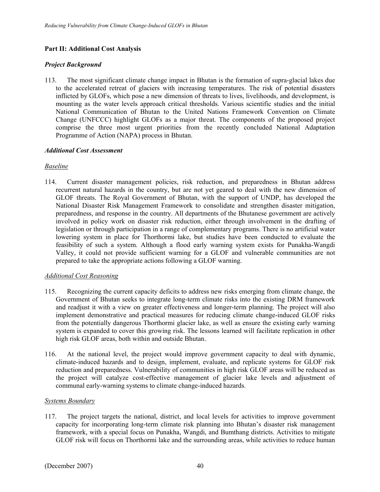### **Part II: Additional Cost Analysis**

### *Project Background*

113. The most significant climate change impact in Bhutan is the formation of supra-glacial lakes due to the accelerated retreat of glaciers with increasing temperatures. The risk of potential disasters inflicted by GLOFs, which pose a new dimension of threats to lives, livelihoods, and development, is mounting as the water levels approach critical thresholds. Various scientific studies and the initial National Communication of Bhutan to the United Nations Framework Convention on Climate Change (UNFCCC) highlight GLOFs as a major threat. The components of the proposed project comprise the three most urgent priorities from the recently concluded National Adaptation Programme of Action (NAPA) process in Bhutan.

### *Additional Cost Assessment*

### *Baseline*

114. Current disaster management policies, risk reduction, and preparedness in Bhutan address recurrent natural hazards in the country, but are not yet geared to deal with the new dimension of GLOF threats. The Royal Government of Bhutan, with the support of UNDP, has developed the National Disaster Risk Management Framework to consolidate and strengthen disaster mitigation, preparedness, and response in the country. All departments of the Bhutanese government are actively involved in policy work on disaster risk reduction, either through involvement in the drafting of legislation or through participation in a range of complementary programs. There is no artificial water lowering system in place for Thorthormi lake, but studies have been conducted to evaluate the feasibility of such a system. Although a flood early warning system exists for Punakha-Wangdi Valley, it could not provide sufficient warning for a GLOF and vulnerable communities are not prepared to take the appropriate actions following a GLOF warning.

### *Additional Cost Reasoning*

- 115. Recognizing the current capacity deficits to address new risks emerging from climate change, the Government of Bhutan seeks to integrate long-term climate risks into the existing DRM framework and readjust it with a view on greater effectiveness and longer-term planning. The project will also implement demonstrative and practical measures for reducing climate change-induced GLOF risks from the potentially dangerous Thorthormi glacier lake, as well as ensure the existing early warning system is expanded to cover this growing risk. The lessons learned will facilitate replication in other high risk GLOF areas, both within and outside Bhutan..
- 116. At the national level, the project would improve government capacity to deal with dynamic, climate-induced hazards and to design, implement, evaluate, and replicate systems for GLOF risk reduction and preparedness. Vulnerability of communities in high risk GLOF areas will be reduced as the project will catalyze cost-effective management of glacier lake levels and adjustment of communal early-warning systems to climate change-induced hazards.

### *Systems Boundary*

117. The project targets the national, district, and local levels for activities to improve government capacity for incorporating long-term climate risk planning into Bhutan's disaster risk management framework, with a special focus on Punakha, Wangdi, and Bumthang districts. Activities to mitigate GLOF risk will focus on Thorthormi lake and the surrounding areas, while activities to reduce human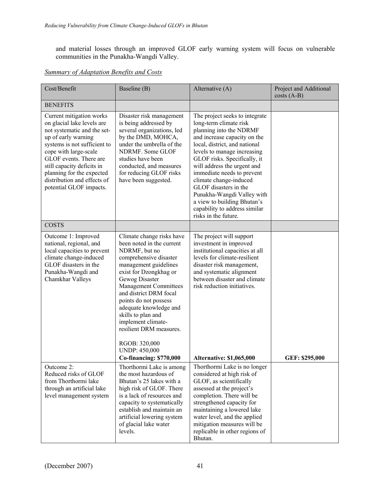and material losses through an improved GLOF early warning system will focus on vulnerable communities in the Punakha-Wangdi Valley.

| Cost/Benefit                                                                                                                                                                                                                                                                                                         | Baseline (B)                                                                                                                                                                                                                                                                                                                                                                                                                          | Alternative (A)                                                                                                                                                                                                                                                                                                                                                                                                                                           | Project and Additional<br>$costs(A-B)$ |
|----------------------------------------------------------------------------------------------------------------------------------------------------------------------------------------------------------------------------------------------------------------------------------------------------------------------|---------------------------------------------------------------------------------------------------------------------------------------------------------------------------------------------------------------------------------------------------------------------------------------------------------------------------------------------------------------------------------------------------------------------------------------|-----------------------------------------------------------------------------------------------------------------------------------------------------------------------------------------------------------------------------------------------------------------------------------------------------------------------------------------------------------------------------------------------------------------------------------------------------------|----------------------------------------|
| <b>BENEFITS</b>                                                                                                                                                                                                                                                                                                      |                                                                                                                                                                                                                                                                                                                                                                                                                                       |                                                                                                                                                                                                                                                                                                                                                                                                                                                           |                                        |
| Current mitigation works<br>on glacial lake levels are<br>not systematic and the set-<br>up of early warning<br>systems is not sufficient to<br>cope with large-scale<br>GLOF events. There are<br>still capacity deficits in<br>planning for the expected<br>distribution and effects of<br>potential GLOF impacts. | Disaster risk management<br>is being addressed by<br>several organizations, led<br>by the DMD, MOHCA,<br>under the umbrella of the<br>NDRMF. Some GLOF<br>studies have been<br>conducted, and measures<br>for reducing GLOF risks<br>have been suggested.                                                                                                                                                                             | The project seeks to integrate<br>long-term climate risk<br>planning into the NDRMF<br>and increase capacity on the<br>local, district, and national<br>levels to manage increasing<br>GLOF risks. Specifically, it<br>will address the urgent and<br>immediate needs to prevent<br>climate change-induced<br>GLOF disasters in the<br>Punakha-Wangdi Valley with<br>a view to building Bhutan's<br>capability to address similar<br>risks in the future. |                                        |
| <b>COSTS</b>                                                                                                                                                                                                                                                                                                         |                                                                                                                                                                                                                                                                                                                                                                                                                                       |                                                                                                                                                                                                                                                                                                                                                                                                                                                           |                                        |
| Outcome 1: Improved<br>national, regional, and<br>local capacities to prevent<br>climate change-induced<br>GLOF disasters in the<br>Punakha-Wangdi and<br>Chamkhar Valleys                                                                                                                                           | Climate change risks have<br>been noted in the current<br>NDRMF, but no<br>comprehensive disaster<br>management guidelines<br>exist for Dzongkhag or<br>Gewog Disaster<br><b>Management Committees</b><br>and district DRM focal<br>points do not possess<br>adequate knowledge and<br>skills to plan and<br>implement climate-<br>resilient DRM measures.<br>RGOB: 320,000<br><b>UNDP: 450,000</b><br><b>Co-financing: \$770,000</b> | The project will support<br>investment in improved<br>institutional capacities at all<br>levels for climate-resilient<br>disaster risk management,<br>and systematic alignment<br>between disaster and climate<br>risk reduction initiatives.<br><b>Alternative: \$1,065,000</b>                                                                                                                                                                          | GEF: \$295,000                         |
| Outcome 2:<br>Reduced risks of GLOF<br>from Thorthormi lake<br>through an artificial lake<br>level management system                                                                                                                                                                                                 | Thorthormi Lake is among<br>the most hazardous of<br>Bhutan's 25 lakes with a<br>high risk of GLOF. There<br>is a lack of resources and<br>capacity to systematically<br>establish and maintain an<br>artificial lowering system<br>of glacial lake water<br>levels.                                                                                                                                                                  | Thorthormi Lake is no longer<br>considered at high risk of<br>GLOF, as scientifically<br>assessed at the project's<br>completion. There will be<br>strengthened capacity for<br>maintaining a lowered lake<br>water level, and the applied<br>mitigation measures will be<br>replicable in other regions of<br>Bhutan.                                                                                                                                    |                                        |

# *Summary of Adaptation Benefits and Costs*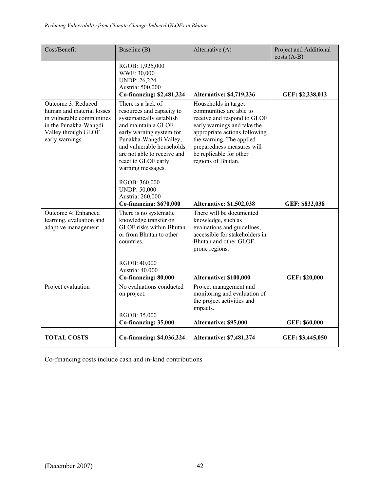| Cost/Benefit                                                                                                                                   | Baseline (B)                                                                                                                                                                                                                                                                                                                 | Alternative (A)                                                                                                                                                                                                                                           | Project and Additional<br>$costs(A-B)$ |
|------------------------------------------------------------------------------------------------------------------------------------------------|------------------------------------------------------------------------------------------------------------------------------------------------------------------------------------------------------------------------------------------------------------------------------------------------------------------------------|-----------------------------------------------------------------------------------------------------------------------------------------------------------------------------------------------------------------------------------------------------------|----------------------------------------|
|                                                                                                                                                | RGOB: 1,925,000<br>WWF: 30,000<br><b>UNDP: 26,224</b><br>Austria: 500,000<br>Co-financing: \$2,481,224                                                                                                                                                                                                                       | <b>Alternative: \$4,719,236</b>                                                                                                                                                                                                                           | GEF: \$2,238,012                       |
| Outcome 3: Reduced<br>human and material losses<br>in vulnerable communities<br>in the Punakha-Wangdi<br>Valley through GLOF<br>early warnings | There is a lack of<br>resources and capacity to<br>systematically establish<br>and maintain a GLOF<br>early warning system for<br>Punakha-Wangdi Valley,<br>and vulnerable households<br>are not able to receive and<br>react to GLOF early<br>warning messages.<br>RGOB: 360,000<br><b>UNDP: 50,000</b><br>Austria: 260,000 | Households in target<br>communities are able to<br>receive and respond to GLOF<br>early warnings and take the<br>appropriate actions following<br>the warning. The applied<br>preparedness measures will<br>be replicable for other<br>regions of Bhutan. |                                        |
| Outcome 4: Enhanced<br>learning, evaluation and<br>adaptive management                                                                         | Co-financing: \$670,000<br>There is no systematic<br>knowledge transfer on<br><b>GLOF</b> risks within Bhutan<br>or from Bhutan to other<br>countries.<br>RGOB: 40,000                                                                                                                                                       | <b>Alternative: \$1,502,038</b><br>There will be documented<br>knowledge, such as<br>evaluations and guidelines,<br>accessible for stakeholders in<br>Bhutan and other GLOF-<br>prone regions.                                                            | GEF: \$832,038                         |
|                                                                                                                                                | Austria: 40,000<br>Co-financing: 80,000                                                                                                                                                                                                                                                                                      | Alternative: \$100,000                                                                                                                                                                                                                                    | GEF: \$20,000                          |
| Project evaluation                                                                                                                             | No evaluations conducted<br>on project.<br>RGOB: 35,000<br>Co-financing: 35,000                                                                                                                                                                                                                                              | Project management and<br>monitoring and evaluation of<br>the project activities and<br>impacts.<br>Alternative: \$95,000                                                                                                                                 | GEF: \$60,000                          |
| <b>TOTAL COSTS</b>                                                                                                                             | Co-financing: \$4,036,224                                                                                                                                                                                                                                                                                                    | <b>Alternative: \$7,481,274</b>                                                                                                                                                                                                                           | GEF: \$3,445,050                       |

Co-financing costs include cash and in-kind contributions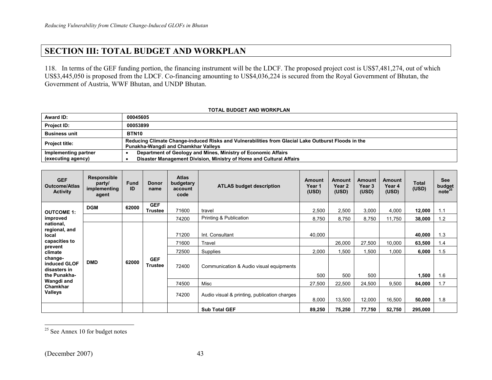# **SECTION III: TOTAL BUDGET AND WORKPLAN**

118. In terms of the GEF funding portion, the financing instrument will be the LDCF. The proposed project cost is US\$7,481,274, out of which US\$3,445,050 is proposed from the LDCF. Co-financing amounting to US\$4,036,224 is secured from the Royal Government of Bhutan, the Government of Austria, WWF Bhutan, and UNDP Bhutan.

| <b>TOTAL BUDGET AND WORKPLAN</b> |  |
|----------------------------------|--|
|----------------------------------|--|

| <b>Award ID:</b>      | 00045605                                                                                                                                  |
|-----------------------|-------------------------------------------------------------------------------------------------------------------------------------------|
| <b>Project ID:</b>    | 00053899                                                                                                                                  |
| <b>Business unit</b>  | BTN10                                                                                                                                     |
| <b>Project title:</b> | Reducing Climate Change-induced Risks and Vulnerabilities from Glacial Lake Outburst Floods in the<br>Punakha-Wangdi and Chamkhar Valleys |
| Implementing partner  | Department of Geology and Mines, Ministry of Economic Affairs                                                                             |
| (executing agency)    | Disaster Management Division, Ministry of Home and Cultural Affairs                                                                       |

| <b>GEF</b><br><b>Outcome/Atlas</b><br><b>Activity</b>                                                                                 | <b>Responsible</b><br>party/<br>implementing<br>agent | <b>Fund</b><br>ID | <b>Donor</b><br>name         | <b>Atlas</b><br>budgetary<br>account<br>code | <b>ATLAS budget description</b>                                                  | <b>Amount</b><br>Year 1<br>(USD) | <b>Amount</b><br>Year 2<br>(USD) | <b>Amount</b><br>Year 3<br>(USD) | <b>Amount</b><br>Year 4<br>(USD) | Total<br>(USD)                     | <b>See</b><br>budget<br>note <sup>25</sup> |
|---------------------------------------------------------------------------------------------------------------------------------------|-------------------------------------------------------|-------------------|------------------------------|----------------------------------------------|----------------------------------------------------------------------------------|----------------------------------|----------------------------------|----------------------------------|----------------------------------|------------------------------------|--------------------------------------------|
| <b>OUTCOME 1:</b>                                                                                                                     | <b>DGM</b>                                            | 62000             | <b>GEF</b><br><b>Trustee</b> | 71600                                        | travel                                                                           | 2,500                            | 2,500                            | 3,000                            | 4,000                            | 12,000                             | 1.1                                        |
| improved                                                                                                                              |                                                       |                   |                              | 74200                                        | Printing & Publication                                                           | 8,750                            | 8,750                            | 8,750                            | 11,750                           | 38,000                             | 1.2                                        |
| national,<br>regional, and<br>local<br>capacities to<br>prevent<br>climate<br>change-<br>induced GLOF<br>disasters in<br>the Punakha- | <b>DMD</b>                                            | 62000             | <b>GEF</b><br><b>Trustee</b> | 71200<br>71600<br>72500<br>72400             | Int. Consultant<br>Travel<br>Supplies<br>Communication & Audio visual equipments | 40,000<br>2,000<br>500           | 26,000<br>1,500<br>500           | 27,500<br>1,500<br>500           | 10,000<br>1,000                  | 40,000<br>63,500<br>6,000<br>1,500 | 1.3<br>1.4<br>1.5<br>1.6                   |
| Wangdi and<br>Chamkhar                                                                                                                |                                                       |                   |                              | 74500                                        | Misc                                                                             | 27,500                           | 22,500                           | 24,500                           | 9,500                            | 84,000                             | 1.7                                        |
| Valleys                                                                                                                               |                                                       |                   |                              | 74200                                        | Audio visual & printing, publication charges                                     | 8,000                            | 13,500                           | 12,000                           | 16,500                           | 50,000                             | 1.8                                        |
|                                                                                                                                       |                                                       |                   |                              |                                              | <b>Sub Total GEF</b>                                                             | 89,250                           | 75,250                           | 77,750                           | 52,750                           | 295,000                            |                                            |

 $25$  See Annex 10 for budget notes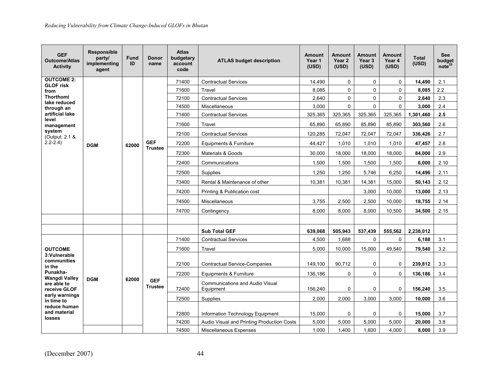| <b>GEF</b><br><b>Outcome/Atlas</b><br><b>Activity</b> | <b>Responsible</b><br>party/<br>implementing<br>agent | <b>Fund</b><br>ID | Donor<br>name                | <b>Atlas</b><br>budgetary<br>account<br>code | <b>ATLAS budget description</b>            | <b>Amount</b><br>Year 1<br>(USD) | Amount<br>Year 2<br>(USD) | <b>Amount</b><br>Year 3<br>(USD) | <b>Amount</b><br>Year 4<br>(USD) | <b>Total</b><br>(USD) | <b>See</b><br>budget<br>note <sup>25</sup> |
|-------------------------------------------------------|-------------------------------------------------------|-------------------|------------------------------|----------------------------------------------|--------------------------------------------|----------------------------------|---------------------------|----------------------------------|----------------------------------|-----------------------|--------------------------------------------|
| <b>OUTCOME 2:</b><br><b>GLOF risk</b>                 |                                                       |                   |                              | 71400                                        | <b>Contractual Services</b>                | 14,490                           | $\mathbf 0$               | $\mathbf 0$                      | $\mathbf 0$                      | 14,490                | 2.1                                        |
| from                                                  |                                                       |                   |                              | 71600                                        | Travel                                     | 8,085                            | $\Omega$                  | 0                                | 0                                | 8,085                 | $2.2\,$                                    |
| <b>Thorthomi</b><br>lake reduced                      |                                                       |                   |                              | 72100                                        | <b>Contractual Services</b>                | 2,640                            | $\mathbf 0$               | 0                                | $\mathbf 0$                      | 2,640                 | 2.3                                        |
| through an                                            |                                                       |                   |                              | 74500                                        | Miscellaneous                              | 3,000                            | $\Omega$                  | $\Omega$                         | $\Omega$                         | 3,000                 | 2.4                                        |
| artificial lake<br>level                              |                                                       |                   |                              | 71400                                        | <b>Contractual Services</b>                | 325,365                          | 325,365                   | 325,365                          | 325,365                          | 1,301,460             | 2.5                                        |
| management                                            |                                                       |                   |                              | 71600                                        | Travel                                     | 65,890                           | 65,890                    | 85,890                           | 85,890                           | 303,560               | 2.6                                        |
| system<br>(Output: 2.1 &                              |                                                       |                   |                              | 72100                                        | <b>Contractual Services</b>                | 120,285                          | 72,047                    | 72,047                           | 72,047                           | 336,426               | 2.7                                        |
| $2.2 - 2.4$                                           | <b>DGM</b>                                            | 62000             | <b>GEF</b>                   | 72200                                        | Equipments & Furniture                     | 44,427                           | 1,010                     | 1,010                            | 1,010                            | 47,457                | 2.8                                        |
|                                                       |                                                       |                   | <b>Trustee</b>               | 72300                                        | Materials & Goods                          | 30,000                           | 18,000                    | 18,000                           | 18,000                           | 84,000                | 2.9                                        |
|                                                       |                                                       |                   |                              | 72400                                        | Communications                             | 1,500                            | 1,500                     | 1,500                            | 1,500                            | 6,000                 | 2.10                                       |
|                                                       |                                                       |                   |                              | 72500                                        | Supplies                                   | 1,250                            | 1,250                     | 5,746                            | 6,250                            | 14,496                | 2.11                                       |
|                                                       |                                                       |                   |                              | 73400                                        | Rental & Maintenance of other              | 10,381                           | 10,381                    | 14,381                           | 15,000                           | 50,143                | 2.12                                       |
|                                                       |                                                       |                   |                              | 74200                                        | Printing & Publication cost                |                                  |                           | 3,000                            | 10,000                           | 13,000                | 2.13                                       |
|                                                       |                                                       |                   |                              | 74500                                        | Miscellaneous                              | 3,755                            | 2,500                     | 2,500                            | 10,000                           | 18,755                | 2.14                                       |
|                                                       |                                                       |                   |                              | 74700                                        | Contingency                                | 8,000                            | 8,000                     | 8,000                            | 10,500                           | 34,500                | 2.15                                       |
|                                                       |                                                       |                   |                              |                                              |                                            |                                  |                           |                                  |                                  |                       |                                            |
|                                                       |                                                       |                   |                              |                                              | <b>Sub Total GEF</b>                       | 639,068                          | 505,943                   | 537,439                          | 555,562                          | 2,238,012             |                                            |
|                                                       |                                                       |                   |                              | 71400                                        | <b>Contractual Services</b>                | 4,500                            | 1,688                     | $\mathbf 0$                      | 0                                | 6,188                 | 3.1                                        |
| <b>OUTCOME</b>                                        |                                                       |                   |                              | 71600                                        | Travel                                     | 5,000                            | 10,000                    | 15,000                           | 49,540                           | 79,540                | 3.2                                        |
| 3:Vulnerable<br>communities                           |                                                       |                   |                              |                                              |                                            |                                  |                           |                                  |                                  |                       |                                            |
| in the                                                |                                                       |                   |                              | 72100                                        | <b>Contractual Service-Companies</b>       | 149.100                          | 90.712                    | $\Omega$                         | 0                                | 239,812               | 3.3                                        |
| Punakha-<br><b>Wangdi Valley</b>                      | <b>DGM</b>                                            | 62000             |                              | 72200                                        | Equipments & Furniture                     | 136,186                          | $\mathbf 0$               | 0                                | $\mathbf 0$                      | 136,186               | 3.4                                        |
| are able to                                           |                                                       |                   | <b>GEF</b><br><b>Trustee</b> | 72400                                        | <b>Communications and Audio Visual</b>     | 156,240                          | $\mathbf{0}$              | $\Omega$                         | 0                                | 156,240               | 3.5                                        |
| receive GLOF<br>early warnings                        |                                                       |                   |                              |                                              | Equipment                                  |                                  |                           |                                  |                                  |                       |                                            |
| in time to<br>reduce human                            |                                                       |                   |                              | 72500                                        | Supplies                                   | 2,000                            | 2,000                     | 3,000                            | 3,000                            | 10,000                | 3.6                                        |
| and material                                          |                                                       |                   |                              | 72800                                        | Information Technology Equipment           | 15,000                           | $\mathbf 0$               | $\mathbf 0$                      | 0                                | 15,000                | 3.7                                        |
| losses                                                |                                                       |                   |                              | 74200                                        | Audio Visual and Printing Production Costs | 5,000                            | 5,000                     | 5,000                            | 5,000                            | 20,000                | 3.8                                        |
|                                                       |                                                       |                   |                              | 74500                                        | Miscellaneous Expenses                     | 1,000                            | 1,400                     | 1,600                            | 4,000                            | 8,000                 | 3.9                                        |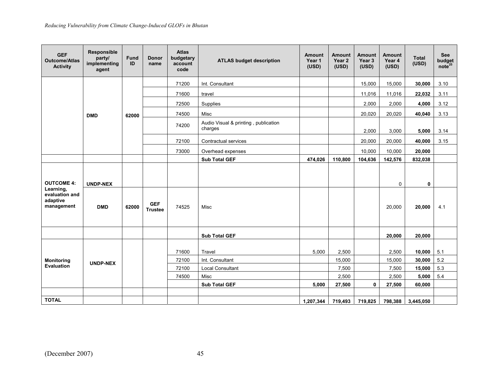| <b>GEF</b><br><b>Outcome/Atlas</b><br><b>Activity</b> | <b>Responsible</b><br>party/<br>implementing<br>agent | <b>Fund</b><br>ID | <b>Donor</b><br>name         | <b>Atlas</b><br>budgetary<br>account<br>code | <b>ATLAS budget description</b>                 | Amount<br>Year 1<br>(USD) | <b>Amount</b><br>Year 2<br>(USD) | <b>Amount</b><br>Year 3<br>(USD) | <b>Amount</b><br>Year 4<br>(USD) | <b>Total</b><br>(USD) | <b>See</b><br>budget<br>note <sup>25</sup> |
|-------------------------------------------------------|-------------------------------------------------------|-------------------|------------------------------|----------------------------------------------|-------------------------------------------------|---------------------------|----------------------------------|----------------------------------|----------------------------------|-----------------------|--------------------------------------------|
|                                                       |                                                       |                   |                              | 71200                                        | Int. Consultant                                 |                           |                                  | 15,000                           | 15,000                           | 30,000                | 3.10                                       |
|                                                       |                                                       |                   |                              | 71600                                        | travel                                          |                           |                                  | 11,016                           | 11,016                           | 22,032                | 3.11                                       |
|                                                       |                                                       |                   |                              | 72500                                        | Supplies                                        |                           |                                  | 2,000                            | 2,000                            | 4,000                 | 3.12                                       |
|                                                       | <b>DMD</b>                                            | 62000             |                              | 74500                                        | Misc                                            |                           |                                  | 20,020                           | 20,020                           | 40.040                | 3.13                                       |
|                                                       |                                                       |                   |                              | 74200                                        | Audio Visual & printing, publication<br>charges |                           |                                  | 2,000                            | 3,000                            | 5,000                 | 3.14                                       |
|                                                       |                                                       |                   |                              | 72100                                        | Contractual services                            |                           |                                  | 20,000                           | 20,000                           | 40,000                | 3.15                                       |
|                                                       |                                                       |                   |                              | 73000                                        | Overhead expenses                               |                           |                                  | 10,000                           | 10,000                           | 20,000                |                                            |
|                                                       |                                                       |                   |                              |                                              | <b>Sub Total GEF</b>                            | 474,026                   | 110,800                          | 104,636                          | 142,576                          | 832,038               |                                            |
| <b>OUTCOME 4:</b><br>Learning,<br>evaluation and      | <b>UNDP-NEX</b>                                       |                   |                              |                                              |                                                 |                           |                                  |                                  | 0                                | $\mathbf 0$           |                                            |
| adaptive<br>management                                | <b>DMD</b>                                            | 62000             | <b>GEF</b><br><b>Trustee</b> | 74525                                        | Misc                                            |                           |                                  |                                  | 20,000                           | 20,000                | 4.1                                        |
|                                                       |                                                       |                   |                              |                                              | <b>Sub Total GEF</b>                            |                           |                                  |                                  | 20,000                           | 20,000                |                                            |
|                                                       |                                                       |                   |                              |                                              |                                                 |                           |                                  |                                  |                                  |                       |                                            |
|                                                       |                                                       |                   |                              | 71600                                        | Travel                                          | 5.000                     | 2,500                            |                                  | 2,500                            | 10,000                | 5.1                                        |
| <b>Monitoring</b>                                     | <b>UNDP-NEX</b>                                       |                   |                              | 72100                                        | Int. Consultant                                 |                           | 15,000                           |                                  | 15,000                           | 30,000                | 5.2                                        |
| <b>Evaluation</b>                                     |                                                       |                   |                              | 72100                                        | <b>Local Consultant</b>                         |                           | 7,500                            |                                  | 7,500                            | 15,000                | 5.3                                        |
|                                                       |                                                       |                   |                              | 74500                                        | Misc                                            |                           | 2,500                            |                                  | 2,500                            | 5,000                 | 5.4                                        |
|                                                       |                                                       |                   |                              |                                              | <b>Sub Total GEF</b>                            | 5,000                     | 27,500                           | $\mathbf{0}$                     | 27,500                           | 60,000                |                                            |
|                                                       |                                                       |                   |                              |                                              |                                                 |                           |                                  |                                  |                                  |                       |                                            |
| <b>TOTAL</b>                                          |                                                       |                   |                              |                                              |                                                 | 1,207,344                 | 719,493                          | 719,825                          | 798,388                          | 3,445,050             |                                            |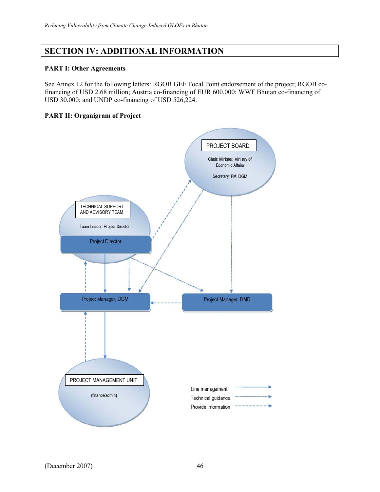# **SECTION IV: ADDITIONAL INFORMATION**

### **PART I: Other Agreements**

See Annex 12 for the following letters: RGOB GEF Focal Point endorsement of the project; RGOB cofinancing of USD 2.68 million; Austria co-financing of EUR 600,000; WWF Bhutan co-financing of USD 30,000; and UNDP co-financing of USD 526,224.

### **PART II: Organigram of Project**

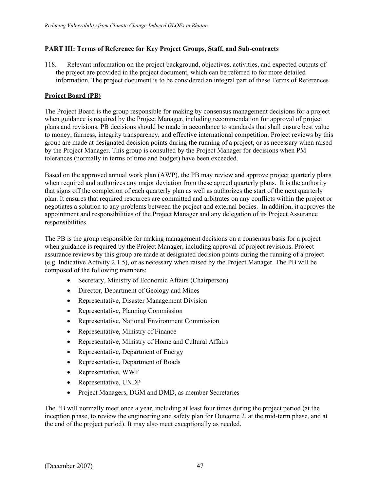### **PART III: Terms of Reference for Key Project Groups, Staff, and Sub-contracts**

118. Relevant information on the project background, objectives, activities, and expected outputs of the project are provided in the project document, which can be referred to for more detailed information. The project document is to be considered an integral part of these Terms of References.

### **Project Board (PB)**

The Project Board is the group responsible for making by consensus management decisions for a project when guidance is required by the Project Manager, including recommendation for approval of project plans and revisions. PB decisions should be made in accordance to standards that shall ensure best value to money, fairness, integrity transparency, and effective international competition. Project reviews by this group are made at designated decision points during the running of a project, or as necessary when raised by the Project Manager. This group is consulted by the Project Manager for decisions when PM tolerances (normally in terms of time and budget) have been exceeded.

Based on the approved annual work plan (AWP), the PB may review and approve project quarterly plans when required and authorizes any major deviation from these agreed quarterly plans. It is the authority that signs off the completion of each quarterly plan as well as authorizes the start of the next quarterly plan. It ensures that required resources are committed and arbitrates on any conflicts within the project or negotiates a solution to any problems between the project and external bodies. In addition, it approves the appointment and responsibilities of the Project Manager and any delegation of its Project Assurance responsibilities.

The PB is the group responsible for making management decisions on a consensus basis for a project when guidance is required by the Project Manager, including approval of project revisions. Project assurance reviews by this group are made at designated decision points during the running of a project (e.g. Indicative Activity 2.1.5), or as necessary when raised by the Project Manager. The PB will be composed of the following members:

- Secretary, Ministry of Economic Affairs (Chairperson)
- Director, Department of Geology and Mines
- Representative, Disaster Management Division
- Representative, Planning Commission
- Representative, National Environment Commission
- Representative, Ministry of Finance
- Representative, Ministry of Home and Cultural Affairs
- Representative, Department of Energy
- Representative, Department of Roads
- Representative, WWF
- Representative, UNDP
- Project Managers, DGM and DMD, as member Secretaries

The PB will normally meet once a year, including at least four times during the project period (at the inception phase, to review the engineering and safety plan for Outcome 2, at the mid-term phase, and at the end of the project period). It may also meet exceptionally as needed.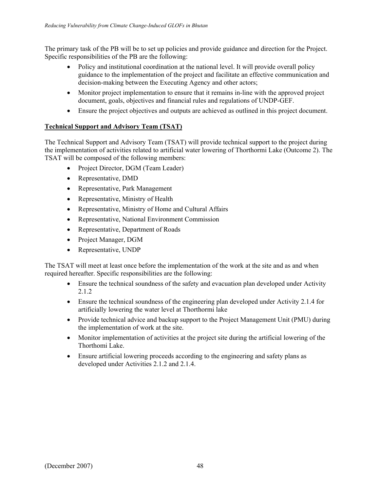The primary task of the PB will be to set up policies and provide guidance and direction for the Project. Specific responsibilities of the PB are the following:

- Policy and institutional coordination at the national level. It will provide overall policy guidance to the implementation of the project and facilitate an effective communication and decision-making between the Executing Agency and other actors;
- Monitor project implementation to ensure that it remains in-line with the approved project document, goals, objectives and financial rules and regulations of UNDP-GEF.
- Ensure the project objectives and outputs are achieved as outlined in this project document.

# **Technical Support and Advisory Team (TSAT)**

The Technical Support and Advisory Team (TSAT) will provide technical support to the project during the implementation of activities related to artificial water lowering of Thorthormi Lake (Outcome 2). The TSAT will be composed of the following members:

- Project Director, DGM (Team Leader)
- Representative, DMD
- Representative, Park Management
- Representative, Ministry of Health
- Representative, Ministry of Home and Cultural Affairs
- Representative, National Environment Commission
- Representative, Department of Roads
- Project Manager, DGM
- Representative, UNDP

The TSAT will meet at least once before the implementation of the work at the site and as and when required hereafter. Specific responsibilities are the following:

- Ensure the technical soundness of the safety and evacuation plan developed under Activity 2.1.2
- Ensure the technical soundness of the engineering plan developed under Activity 2.1.4 for artificially lowering the water level at Thorthormi lake
- Provide technical advice and backup support to the Project Management Unit (PMU) during the implementation of work at the site.
- Monitor implementation of activities at the project site during the artificial lowering of the Thorthomi Lake.
- Ensure artificial lowering proceeds according to the engineering and safety plans as developed under Activities 2.1.2 and 2.1.4.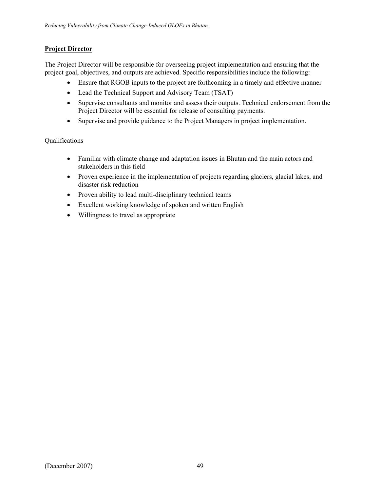# **Project Director**

The Project Director will be responsible for overseeing project implementation and ensuring that the project goal, objectives, and outputs are achieved. Specific responsibilities include the following:

- Ensure that RGOB inputs to the project are forthcoming in a timely and effective manner
- Lead the Technical Support and Advisory Team (TSAT)
- Supervise consultants and monitor and assess their outputs. Technical endorsement from the Project Director will be essential for release of consulting payments.
- Supervise and provide guidance to the Project Managers in project implementation.

# Qualifications

- Familiar with climate change and adaptation issues in Bhutan and the main actors and stakeholders in this field
- Proven experience in the implementation of projects regarding glaciers, glacial lakes, and disaster risk reduction
- Proven ability to lead multi-disciplinary technical teams
- Excellent working knowledge of spoken and written English
- Willingness to travel as appropriate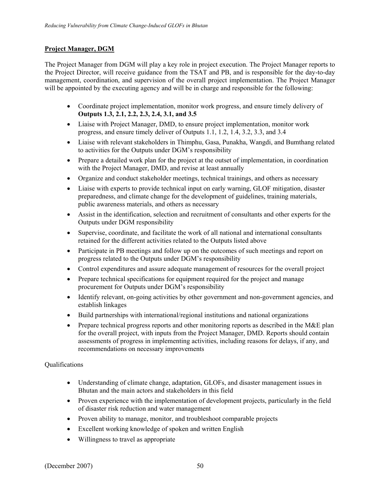### **Project Manager, DGM**

The Project Manager from DGM will play a key role in project execution. The Project Manager reports to the Project Director, will receive guidance from the TSAT and PB, and is responsible for the day-to-day management, coordination, and supervision of the overall project implementation. The Project Manager will be appointed by the executing agency and will be in charge and responsible for the following:

- Coordinate project implementation, monitor work progress, and ensure timely delivery of **Outputs 1.3, 2.1, 2.2, 2.3, 2.4, 3.1, and 3.5**
- Liaise with Project Manager, DMD, to ensure project implementation, monitor work progress, and ensure timely deliver of Outputs 1.1, 1.2, 1.4, 3.2, 3.3, and 3.4
- Liaise with relevant stakeholders in Thimphu, Gasa, Punakha, Wangdi, and Bumthang related to activities for the Outputs under DGM's responsibility
- Prepare a detailed work plan for the project at the outset of implementation, in coordination with the Project Manager, DMD, and revise at least annually
- Organize and conduct stakeholder meetings, technical trainings, and others as necessary
- Liaise with experts to provide technical input on early warning, GLOF mitigation, disaster preparedness, and climate change for the development of guidelines, training materials, public awareness materials, and others as necessary
- Assist in the identification, selection and recruitment of consultants and other experts for the Outputs under DGM responsibility
- Supervise, coordinate, and facilitate the work of all national and international consultants retained for the different activities related to the Outputs listed above
- Participate in PB meetings and follow up on the outcomes of such meetings and report on progress related to the Outputs under DGM's responsibility
- Control expenditures and assure adequate management of resources for the overall project
- Prepare technical specifications for equipment required for the project and manage procurement for Outputs under DGM's responsibility
- Identify relevant, on-going activities by other government and non-government agencies, and establish linkages
- Build partnerships with international/regional institutions and national organizations
- Prepare technical progress reports and other monitoring reports as described in the M&E plan for the overall project, with inputs from the Project Manager, DMD. Reports should contain assessments of progress in implementing activities, including reasons for delays, if any, and recommendations on necessary improvements

### **Oualifications**

- Understanding of climate change, adaptation, GLOFs, and disaster management issues in Bhutan and the main actors and stakeholders in this field
- Proven experience with the implementation of development projects, particularly in the field of disaster risk reduction and water management
- Proven ability to manage, monitor, and troubleshoot comparable projects
- Excellent working knowledge of spoken and written English
- Willingness to travel as appropriate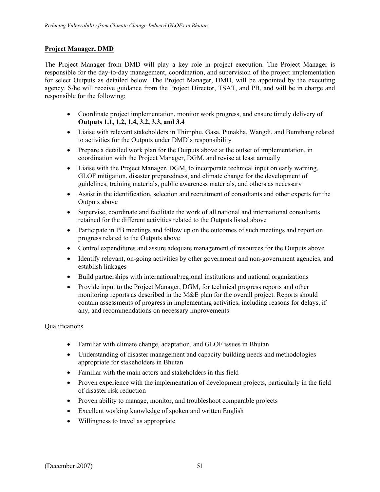# **Project Manager, DMD**

The Project Manager from DMD will play a key role in project execution. The Project Manager is responsible for the day-to-day management, coordination, and supervision of the project implementation for select Outputs as detailed below. The Project Manager, DMD, will be appointed by the executing agency. S/he will receive guidance from the Project Director, TSAT, and PB, and will be in charge and responsible for the following:

- Coordinate project implementation, monitor work progress, and ensure timely delivery of **Outputs 1.1, 1.2, 1.4, 3.2, 3.3, and 3.4**
- Liaise with relevant stakeholders in Thimphu, Gasa, Punakha, Wangdi, and Bumthang related to activities for the Outputs under DMD's responsibility
- Prepare a detailed work plan for the Outputs above at the outset of implementation, in coordination with the Project Manager, DGM, and revise at least annually
- Liaise with the Project Manager, DGM, to incorporate technical input on early warning, GLOF mitigation, disaster preparedness, and climate change for the development of guidelines, training materials, public awareness materials, and others as necessary
- Assist in the identification, selection and recruitment of consultants and other experts for the Outputs above
- Supervise, coordinate and facilitate the work of all national and international consultants retained for the different activities related to the Outputs listed above
- Participate in PB meetings and follow up on the outcomes of such meetings and report on progress related to the Outputs above
- Control expenditures and assure adequate management of resources for the Outputs above
- Identify relevant, on-going activities by other government and non-government agencies, and establish linkages
- Build partnerships with international/regional institutions and national organizations
- Provide input to the Project Manager, DGM, for technical progress reports and other monitoring reports as described in the M&E plan for the overall project. Reports should contain assessments of progress in implementing activities, including reasons for delays, if any, and recommendations on necessary improvements

# Qualifications

- Familiar with climate change, adaptation, and GLOF issues in Bhutan
- Understanding of disaster management and capacity building needs and methodologies appropriate for stakeholders in Bhutan
- Familiar with the main actors and stakeholders in this field
- Proven experience with the implementation of development projects, particularly in the field of disaster risk reduction
- Proven ability to manage, monitor, and troubleshoot comparable projects
- Excellent working knowledge of spoken and written English
- Willingness to travel as appropriate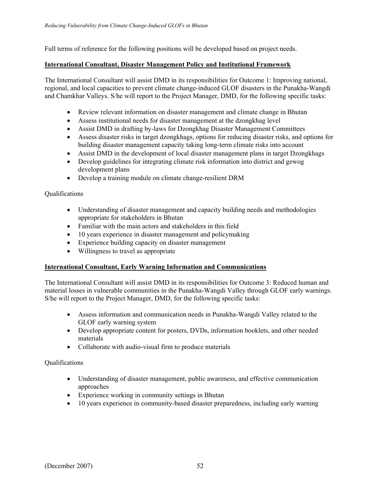Full terms of reference for the following positions will be developed based on project needs.

### **International Consultant, Disaster Management Policy and Institutional Framework**

The International Consultant will assist DMD in its responsibilities for Outcome 1: Improving national, regional, and local capacities to prevent climate change-induced GLOF disasters in the Punakha-Wangdi and Chamkhar Valleys. S/he will report to the Project Manager, DMD, for the following specific tasks:

- Review relevant information on disaster management and climate change in Bhutan
- Assess institutional needs for disaster management at the dzongkhag level
- Assist DMD in drafting by-laws for Dzongkhag Disaster Management Committees
- Assess disaster risks in target dzongkhags, options for reducing disaster risks, and options for building disaster management capacity taking long-term climate risks into account
- Assist DMD in the development of local disaster management plans in target Dzongkhags
- Develop guidelines for integrating climate risk information into district and gewog development plans
- Develop a training module on climate change-resilient DRM

# **Oualifications**

- Understanding of disaster management and capacity building needs and methodologies appropriate for stakeholders in Bhutan
- Familiar with the main actors and stakeholders in this field
- 10 years experience in disaster management and policymaking
- Experience building capacity on disaster management
- Willingness to travel as appropriate

# **International Consultant, Early Warning Information and Communications**

The International Consultant will assist DMD in its responsibilities for Outcome 3: Reduced human and material losses in vulnerable communities in the Punakha-Wangdi Valley through GLOF early warnings. S/he will report to the Project Manager, DMD, for the following specific tasks:

- Assess information and communication needs in Punakha-Wangdi Valley related to the GLOF early warning system
- Develop appropriate content for posters, DVDs, information booklets, and other needed materials
- Collaborate with audio-visual firm to produce materials

# Qualifications

- Understanding of disaster management, public awareness, and effective communication approaches
- Experience working in community settings in Bhutan
- 10 years experience in community-based disaster preparedness, including early warning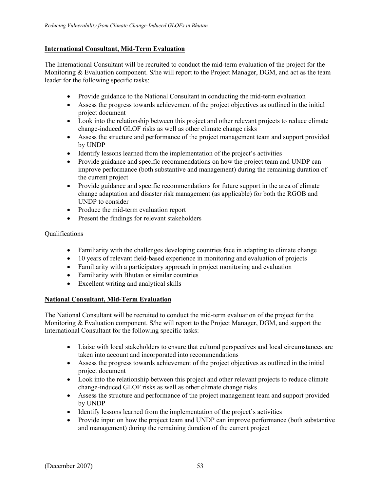### **International Consultant, Mid-Term Evaluation**

The International Consultant will be recruited to conduct the mid-term evaluation of the project for the Monitoring & Evaluation component. S/he will report to the Project Manager, DGM, and act as the team leader for the following specific tasks:

- Provide guidance to the National Consultant in conducting the mid-term evaluation
- Assess the progress towards achievement of the project objectives as outlined in the initial project document
- Look into the relationship between this project and other relevant projects to reduce climate change-induced GLOF risks as well as other climate change risks
- Assess the structure and performance of the project management team and support provided by UNDP
- Identify lessons learned from the implementation of the project's activities
- Provide guidance and specific recommendations on how the project team and UNDP can improve performance (both substantive and management) during the remaining duration of the current project
- Provide guidance and specific recommendations for future support in the area of climate change adaptation and disaster risk management (as applicable) for both the RGOB and UNDP to consider
- Produce the mid-term evaluation report
- Present the findings for relevant stakeholders

### Qualifications

- Familiarity with the challenges developing countries face in adapting to climate change
- 10 years of relevant field-based experience in monitoring and evaluation of projects
- Familiarity with a participatory approach in project monitoring and evaluation
- Familiarity with Bhutan or similar countries
- Excellent writing and analytical skills

### **National Consultant, Mid-Term Evaluation**

The National Consultant will be recruited to conduct the mid-term evaluation of the project for the Monitoring & Evaluation component. S/he will report to the Project Manager, DGM, and support the International Consultant for the following specific tasks:

- Liaise with local stakeholders to ensure that cultural perspectives and local circumstances are taken into account and incorporated into recommendations
- Assess the progress towards achievement of the project objectives as outlined in the initial project document
- Look into the relationship between this project and other relevant projects to reduce climate change-induced GLOF risks as well as other climate change risks
- Assess the structure and performance of the project management team and support provided by UNDP
- Identify lessons learned from the implementation of the project's activities
- Provide input on how the project team and UNDP can improve performance (both substantive and management) during the remaining duration of the current project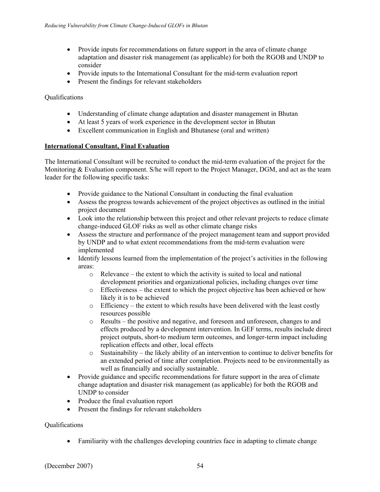- Provide inputs for recommendations on future support in the area of climate change adaptation and disaster risk management (as applicable) for both the RGOB and UNDP to consider
- Provide inputs to the International Consultant for the mid-term evaluation report
- Present the findings for relevant stakeholders

# Qualifications

- Understanding of climate change adaptation and disaster management in Bhutan
- At least 5 years of work experience in the development sector in Bhutan
- Excellent communication in English and Bhutanese (oral and written)

### **International Consultant, Final Evaluation**

The International Consultant will be recruited to conduct the mid-term evaluation of the project for the Monitoring & Evaluation component. S/he will report to the Project Manager, DGM, and act as the team leader for the following specific tasks:

- Provide guidance to the National Consultant in conducting the final evaluation
- Assess the progress towards achievement of the project objectives as outlined in the initial project document
- Look into the relationship between this project and other relevant projects to reduce climate change-induced GLOF risks as well as other climate change risks
- Assess the structure and performance of the project management team and support provided by UNDP and to what extent recommendations from the mid-term evaluation were implemented
- Identify lessons learned from the implementation of the project's activities in the following areas:
	- o Relevance the extent to which the activity is suited to local and national development priorities and organizational policies, including changes over time
	- $\circ$  Effectiveness the extent to which the project objective has been achieved or how likely it is to be achieved
	- o Efficiency the extent to which results have been delivered with the least costly resources possible
	- o Results the positive and negative, and foreseen and unforeseen, changes to and effects produced by a development intervention. In GEF terms, results include direct project outputs, short-to medium term outcomes, and longer-term impact including replication effects and other, local effects
	- $\circ$  Sustainability the likely ability of an intervention to continue to deliver benefits for an extended period of time after completion. Projects need to be environmentally as well as financially and socially sustainable.
- Provide guidance and specific recommendations for future support in the area of climate change adaptation and disaster risk management (as applicable) for both the RGOB and UNDP to consider
- Produce the final evaluation report
- Present the findings for relevant stakeholders

# Qualifications

• Familiarity with the challenges developing countries face in adapting to climate change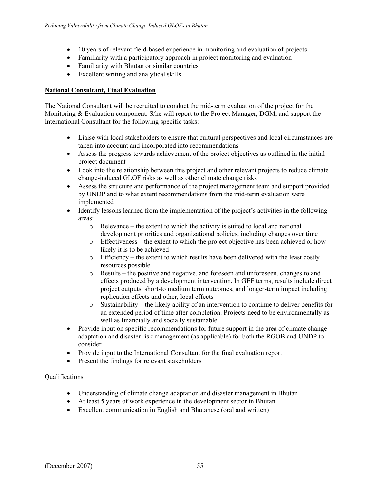- 10 years of relevant field-based experience in monitoring and evaluation of projects
- Familiarity with a participatory approach in project monitoring and evaluation
- Familiarity with Bhutan or similar countries
- Excellent writing and analytical skills

# **National Consultant, Final Evaluation**

The National Consultant will be recruited to conduct the mid-term evaluation of the project for the Monitoring & Evaluation component. S/he will report to the Project Manager, DGM, and support the International Consultant for the following specific tasks:

- Liaise with local stakeholders to ensure that cultural perspectives and local circumstances are taken into account and incorporated into recommendations
- Assess the progress towards achievement of the project objectives as outlined in the initial project document
- Look into the relationship between this project and other relevant projects to reduce climate change-induced GLOF risks as well as other climate change risks
- Assess the structure and performance of the project management team and support provided by UNDP and to what extent recommendations from the mid-term evaluation were implemented
- Identify lessons learned from the implementation of the project's activities in the following areas:
	- o Relevance the extent to which the activity is suited to local and national development priorities and organizational policies, including changes over time
	- o Effectiveness the extent to which the project objective has been achieved or how likely it is to be achieved
	- o Efficiency the extent to which results have been delivered with the least costly resources possible
	- o Results the positive and negative, and foreseen and unforeseen, changes to and effects produced by a development intervention. In GEF terms, results include direct project outputs, short-to medium term outcomes, and longer-term impact including replication effects and other, local effects
	- $\circ$  Sustainability the likely ability of an intervention to continue to deliver benefits for an extended period of time after completion. Projects need to be environmentally as well as financially and socially sustainable.
- Provide input on specific recommendations for future support in the area of climate change adaptation and disaster risk management (as applicable) for both the RGOB and UNDP to consider
- Provide input to the International Consultant for the final evaluation report
- Present the findings for relevant stakeholders

Qualifications

- Understanding of climate change adaptation and disaster management in Bhutan
- At least 5 years of work experience in the development sector in Bhutan
- Excellent communication in English and Bhutanese (oral and written)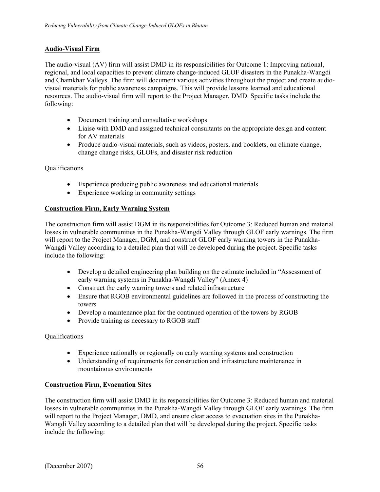# **Audio-Visual Firm**

The audio-visual (AV) firm will assist DMD in its responsibilities for Outcome 1: Improving national, regional, and local capacities to prevent climate change-induced GLOF disasters in the Punakha-Wangdi and Chamkhar Valleys. The firm will document various activities throughout the project and create audiovisual materials for public awareness campaigns. This will provide lessons learned and educational resources. The audio-visual firm will report to the Project Manager, DMD. Specific tasks include the following:

- Document training and consultative workshops
- Liaise with DMD and assigned technical consultants on the appropriate design and content for AV materials
- Produce audio-visual materials, such as videos, posters, and booklets, on climate change, change change risks, GLOFs, and disaster risk reduction

### Qualifications

- Experience producing public awareness and educational materials
- Experience working in community settings

### **Construction Firm, Early Warning System**

The construction firm will assist DGM in its responsibilities for Outcome 3: Reduced human and material losses in vulnerable communities in the Punakha-Wangdi Valley through GLOF early warnings. The firm will report to the Project Manager, DGM, and construct GLOF early warning towers in the Punakha-Wangdi Valley according to a detailed plan that will be developed during the project. Specific tasks include the following:

- Develop a detailed engineering plan building on the estimate included in "Assessment of early warning systems in Punakha-Wangdi Valley" (Annex 4)
- Construct the early warning towers and related infrastructure
- Ensure that RGOB environmental guidelines are followed in the process of constructing the towers
- Develop a maintenance plan for the continued operation of the towers by RGOB
- Provide training as necessary to RGOB staff

### Qualifications

- Experience nationally or regionally on early warning systems and construction
- Understanding of requirements for construction and infrastructure maintenance in mountainous environments

### **Construction Firm, Evacuation Sites**

The construction firm will assist DMD in its responsibilities for Outcome 3: Reduced human and material losses in vulnerable communities in the Punakha-Wangdi Valley through GLOF early warnings. The firm will report to the Project Manager, DMD, and ensure clear access to evacuation sites in the Punakha-Wangdi Valley according to a detailed plan that will be developed during the project. Specific tasks include the following: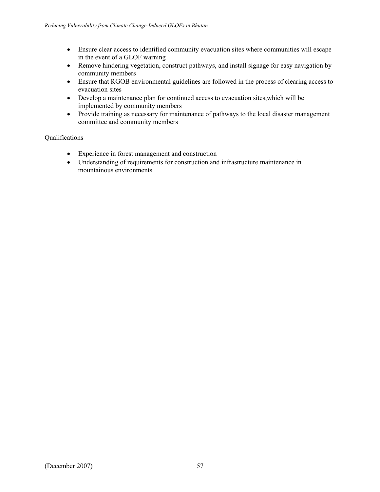- Ensure clear access to identified community evacuation sites where communities will escape in the event of a GLOF warning
- Remove hindering vegetation, construct pathways, and install signage for easy navigation by community members
- Ensure that RGOB environmental guidelines are followed in the process of clearing access to evacuation sites
- Develop a maintenance plan for continued access to evacuation sites,which will be implemented by community members
- Provide training as necessary for maintenance of pathways to the local disaster management committee and community members

### Qualifications

- Experience in forest management and construction
- Understanding of requirements for construction and infrastructure maintenance in mountainous environments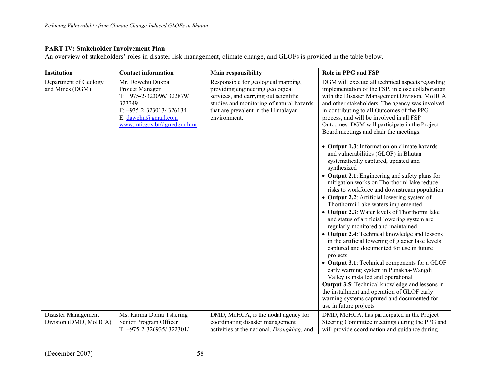### **PART IV: Stakeholder Involvement Plan**

An overview of stakeholders' roles in disaster risk management, climate change, and GLOFs is provided in the table below.

| Institution                                  | <b>Contact information</b>                                                                                                                                       | <b>Main responsibility</b>                                                                                                                                                                                           | Role in PPG and FSP                                                                                                                                                                                                                                                                                                                                                                                                                                                                                                                                                                                                                                                                                                                                                                                                                                                                                                                                                                                                                                                                                                                                                                |
|----------------------------------------------|------------------------------------------------------------------------------------------------------------------------------------------------------------------|----------------------------------------------------------------------------------------------------------------------------------------------------------------------------------------------------------------------|------------------------------------------------------------------------------------------------------------------------------------------------------------------------------------------------------------------------------------------------------------------------------------------------------------------------------------------------------------------------------------------------------------------------------------------------------------------------------------------------------------------------------------------------------------------------------------------------------------------------------------------------------------------------------------------------------------------------------------------------------------------------------------------------------------------------------------------------------------------------------------------------------------------------------------------------------------------------------------------------------------------------------------------------------------------------------------------------------------------------------------------------------------------------------------|
| Department of Geology<br>and Mines (DGM)     | Mr. Dowchu Dukpa<br>Project Manager<br>T: +975-2-323096/322879/<br>323349<br>$F: +975-2-323013/326134$<br>E: $dawchu(a)$ gmail.com<br>www.mti.gov.bt/dgm/dgm.htm | Responsible for geological mapping,<br>providing engineering geological<br>services, and carrying out scientific<br>studies and monitoring of natural hazards<br>that are prevalent in the Himalayan<br>environment. | DGM will execute all technical aspects regarding<br>implementation of the FSP, in close collaboration<br>with the Disaster Management Division, MoHCA<br>and other stakeholders. The agency was involved<br>in contributing to all Outcomes of the PPG<br>process, and will be involved in all FSP<br>Outcomes. DGM will participate in the Project<br>Board meetings and chair the meetings.<br>• Output 1.3: Information on climate hazards<br>and vulnerabilities (GLOF) in Bhutan<br>systematically captured, updated and<br>synthesized<br>• Output 2.1: Engineering and safety plans for<br>mitigation works on Thorthormi lake reduce<br>risks to workforce and downstream population<br>• Output 2.2: Artificial lowering system of<br>Thorthormi Lake waters implemented<br>• Output 2.3: Water levels of Thorthormi lake<br>and status of artificial lowering system are<br>regularly monitored and maintained<br>• Output 2.4: Technical knowledge and lessons<br>in the artificial lowering of glacier lake levels<br>captured and documented for use in future<br>projects<br>• Output 3.1: Technical components for a GLOF<br>early warning system in Punakha-Wangdi |
|                                              |                                                                                                                                                                  |                                                                                                                                                                                                                      | Valley is installed and operational<br><b>Output 3.5:</b> Technical knowledge and lessons in<br>the installment and operation of GLOF early<br>warning systems captured and documented for                                                                                                                                                                                                                                                                                                                                                                                                                                                                                                                                                                                                                                                                                                                                                                                                                                                                                                                                                                                         |
|                                              |                                                                                                                                                                  |                                                                                                                                                                                                                      | use in future projects                                                                                                                                                                                                                                                                                                                                                                                                                                                                                                                                                                                                                                                                                                                                                                                                                                                                                                                                                                                                                                                                                                                                                             |
| Disaster Management<br>Division (DMD, MoHCA) | Ms. Karma Doma Tshering<br>Senior Program Officer<br>$T: +975 - 2 - 326935/322301/$                                                                              | DMD, MoHCA, is the nodal agency for<br>coordinating disaster management<br>activities at the national, <i>Dzongkhag</i> , and                                                                                        | DMD, MoHCA, has participated in the Project<br>Steering Committee meetings during the PPG and<br>will provide coordination and guidance during                                                                                                                                                                                                                                                                                                                                                                                                                                                                                                                                                                                                                                                                                                                                                                                                                                                                                                                                                                                                                                     |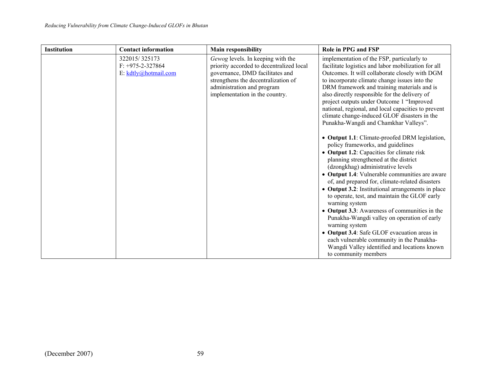| <b>Institution</b> | <b>Contact information</b>                                    | Main responsibility                                                                                                                                                                                                     | Role in PPG and FSP                                                                                                                                                                                                                                                                                                                                                                                                                                                                                                                                                                                                                                                                                                                                                                                                                                                                                                                                                                                                                                                                                                                                                                                                                    |
|--------------------|---------------------------------------------------------------|-------------------------------------------------------------------------------------------------------------------------------------------------------------------------------------------------------------------------|----------------------------------------------------------------------------------------------------------------------------------------------------------------------------------------------------------------------------------------------------------------------------------------------------------------------------------------------------------------------------------------------------------------------------------------------------------------------------------------------------------------------------------------------------------------------------------------------------------------------------------------------------------------------------------------------------------------------------------------------------------------------------------------------------------------------------------------------------------------------------------------------------------------------------------------------------------------------------------------------------------------------------------------------------------------------------------------------------------------------------------------------------------------------------------------------------------------------------------------|
|                    | 322015/325173<br>$F: +975-2-327864$<br>E: $kdtly@hotmail.com$ | Gewog levels. In keeping with the<br>priority accorded to decentralized local<br>governance, DMD facilitates and<br>strengthens the decentralization of<br>administration and program<br>implementation in the country. | implementation of the FSP, particularly to<br>facilitate logistics and labor mobilization for all<br>Outcomes. It will collaborate closely with DGM<br>to incorporate climate change issues into the<br>DRM framework and training materials and is<br>also directly responsible for the delivery of<br>project outputs under Outcome 1 "Improved<br>national, regional, and local capacities to prevent<br>climate change-induced GLOF disasters in the<br>Punakha-Wangdi and Chamkhar Valleys".<br>• Output 1.1: Climate-proofed DRM legislation,<br>policy frameworks, and guidelines<br>• Output 1.2: Capacities for climate risk<br>planning strengthened at the district<br>(dzongkhag) administrative levels<br>• Output 1.4: Vulnerable communities are aware<br>of, and prepared for, climate-related disasters<br>• Output 3.2: Institutional arrangements in place<br>to operate, test, and maintain the GLOF early<br>warning system<br>• Output 3.3: Awareness of communities in the<br>Punakha-Wangdi valley on operation of early<br>warning system<br>• Output 3.4: Safe GLOF evacuation areas in<br>each vulnerable community in the Punakha-<br>Wangdi Valley identified and locations known<br>to community members |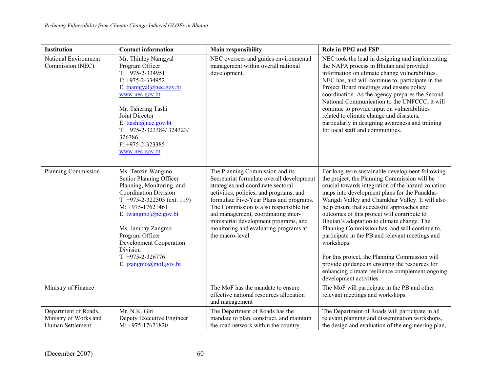| Institution                                                       | <b>Contact information</b>                                                                                                                                                                                                                                                                                                          | <b>Main responsibility</b>                                                                                                                                                                                                                                                                                                                                                                      | Role in PPG and FSP                                                                                                                                                                                                                                                                                                                                                                                                                                                                                                                                                                                                                                                                                      |
|-------------------------------------------------------------------|-------------------------------------------------------------------------------------------------------------------------------------------------------------------------------------------------------------------------------------------------------------------------------------------------------------------------------------|-------------------------------------------------------------------------------------------------------------------------------------------------------------------------------------------------------------------------------------------------------------------------------------------------------------------------------------------------------------------------------------------------|----------------------------------------------------------------------------------------------------------------------------------------------------------------------------------------------------------------------------------------------------------------------------------------------------------------------------------------------------------------------------------------------------------------------------------------------------------------------------------------------------------------------------------------------------------------------------------------------------------------------------------------------------------------------------------------------------------|
| National Environment<br>Commission (NEC)                          | Mr. Thinley Namgyal<br>Program Officer<br>$T: +975-2-334951$<br>$F: +975-2-334952$<br>E: tnamgyal@nec.gov.bt<br>www.nec.gov.bt<br>Mr. Tshering Tashi<br>Joint Director<br>E: ttashi@nec.gov.bt<br>$T: +975-2-323384/324323/$<br>326386<br>$F: +975-2-323385$<br>www.nec.gov.bt                                                      | NEC oversees and guides environmental<br>management within overall national<br>development.                                                                                                                                                                                                                                                                                                     | NEC took the lead in designing and implementing<br>the NAPA process in Bhutan and provided<br>information on climate change vulnerabilities.<br>NEC has, and will continue to, participate in the<br>Project Board meetings and ensure policy<br>coordination. As the agency prepares the Second<br>National Communication to the UNFCCC, it will<br>continue to provide input on vulnerabilities<br>related to climate change and disasters,<br>particularly in designing awareness and training<br>for local staff and communities.                                                                                                                                                                    |
| Planning Commission                                               | Ms. Tenzin Wangmo<br>Senior Planning Officer<br>Planning, Monitoring, and<br><b>Coordination Division</b><br>$T: +975-2-322503$ (ext. 119)<br>$M: +975-17621461$<br>E: $twangmo(\partial p c.gov.bt)$<br>Ms. Jambay Zangmo<br>Program Officer<br>Development Cooperation<br>Division<br>$T: +975-2-326776$<br>E: jzangmo@mof.gov.bt | The Planning Commission and its<br>Secretariat formulate overall development<br>strategies and coordinate sectoral<br>activities, policies, and programs, and<br>formulate Five-Year Plans and programs.<br>The Commission is also responsible for<br>aid management, coordinating inter-<br>ministerial development programs, and<br>monitoring and evaluating programs at<br>the macro-level. | For long-term sustainable development following<br>the project, the Planning Commission will be<br>crucial towards integration of the hazard zonation<br>maps into development plans for the Punakha-<br>Wangdi Valley and Chamkhar Valley. It will also<br>help ensure that successful approaches and<br>outcomes of this project will contribute to<br>Bhutan's adaptation to climate change. The<br>Planning Commission has, and will continue to,<br>participate in the PB and relevant meetings and<br>workshops.<br>For this project, the Planning Commission will<br>provide guidance in ensuring the resources for<br>enhancing climate resilience complement ongoing<br>development activities. |
| Ministry of Finance                                               |                                                                                                                                                                                                                                                                                                                                     | The MoF has the mandate to ensure<br>effective national resources allocation<br>and management                                                                                                                                                                                                                                                                                                  | The MoF will participate in the PB and other<br>relevant meetings and workshops.                                                                                                                                                                                                                                                                                                                                                                                                                                                                                                                                                                                                                         |
| Department of Roads,<br>Ministry of Works and<br>Human Settlement | Mr. N.K. Giri<br>Deputy Executive Engineer<br>M: +975-17621820                                                                                                                                                                                                                                                                      | The Department of Roads has the<br>mandate to plan, construct, and maintain<br>the road network within the country.                                                                                                                                                                                                                                                                             | The Department of Roads will participate in all<br>relevant planning and dissemination workshops,<br>the design and evaluation of the engineering plan,                                                                                                                                                                                                                                                                                                                                                                                                                                                                                                                                                  |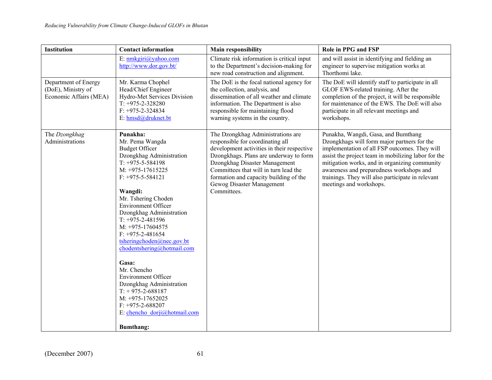| E: nmkgiri@yahoo.com                                                                                                                                                                                                                                                                                                                                                                                                                                                                                                                                                |                                                                                                                                                                                                                                                                                                                               |                                                                                                                                                                                                                                                                                                                                                                         |
|---------------------------------------------------------------------------------------------------------------------------------------------------------------------------------------------------------------------------------------------------------------------------------------------------------------------------------------------------------------------------------------------------------------------------------------------------------------------------------------------------------------------------------------------------------------------|-------------------------------------------------------------------------------------------------------------------------------------------------------------------------------------------------------------------------------------------------------------------------------------------------------------------------------|-------------------------------------------------------------------------------------------------------------------------------------------------------------------------------------------------------------------------------------------------------------------------------------------------------------------------------------------------------------------------|
| http://www.dor.gov.bt/                                                                                                                                                                                                                                                                                                                                                                                                                                                                                                                                              | Climate risk information is critical input<br>to the Department's decision-making for<br>new road construction and alignment.                                                                                                                                                                                                 | and will assist in identifying and fielding an<br>engineer to supervise mitigation works at<br>Thorthomi lake.                                                                                                                                                                                                                                                          |
| Mr. Karma Chophel<br>Head/Chief Engineer<br>Hydro-Met Services Division<br>$T: +975-2-328280$<br>$F: +975-2-324834$<br>E: hmsd@druknet.bt                                                                                                                                                                                                                                                                                                                                                                                                                           | The DoE is the focal national agency for<br>the collection, analysis, and<br>dissemination of all weather and climate<br>information. The Department is also<br>responsible for maintaining flood<br>warning systems in the country.                                                                                          | The DoE will identify staff to participate in all<br>GLOF EWS-related training. After the<br>completion of the project, it will be responsible<br>for maintenance of the EWS. The DoE will also<br>participate in all relevant meetings and<br>workshops.                                                                                                               |
| Punakha:<br>Mr. Pema Wangda<br><b>Budget Officer</b><br>Dzongkhag Administration<br>$T: +975 - 5 - 584198$<br>M: +975-17615225<br>$F: +975 - 5 - 584121$<br>Wangdi:<br>Mr. Tshering Choden<br><b>Environment Officer</b><br>Dzongkhag Administration<br>$T: +975-2-481596$<br>$M: +975-17604575$<br>$F: +975-2-481654$<br>tsheringchoden@nec.gov.bt<br>chodentshering@hotmail.com<br>Gasa:<br>Mr. Chencho<br><b>Environment Officer</b><br>Dzongkhag Administration<br>$T: +975-2-688187$<br>M: +975-17652025<br>$F: +975-2-688207$<br>E: chencho dorji@hotmail.com | The Dzongkhag Administrations are<br>responsible for coordinating all<br>development activities in their respective<br>Dzongkhags. Plans are underway to form<br>Dzongkhag Disaster Management<br>Committees that will in turn lead the<br>formation and capacity building of the<br>Gewog Disaster Management<br>Committees. | Punakha, Wangdi, Gasa, and Bumthang<br>Dzongkhags will form major partners for the<br>implementation of all FSP outcomes. They will<br>assist the project team in mobilizing labor for the<br>mitigation works, and in organizing community<br>awareness and preparedness workshops and<br>trainings. They will also participate in relevant<br>meetings and workshops. |
|                                                                                                                                                                                                                                                                                                                                                                                                                                                                                                                                                                     | <b>Bumthang:</b>                                                                                                                                                                                                                                                                                                              |                                                                                                                                                                                                                                                                                                                                                                         |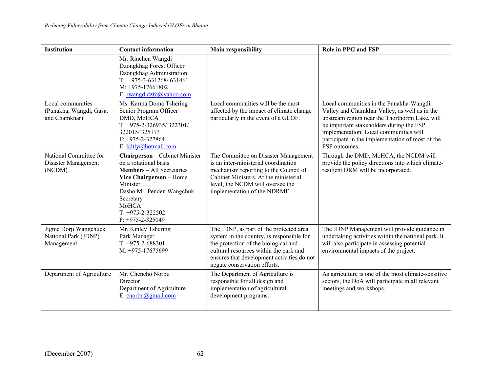| <b>Institution</b>                                            | <b>Contact information</b>                                                                                                                                                                                                               | <b>Main responsibility</b>                                                                                                                                                                                                                           | Role in PPG and FSP                                                                                                                                                                                                                                                                                   |
|---------------------------------------------------------------|------------------------------------------------------------------------------------------------------------------------------------------------------------------------------------------------------------------------------------------|------------------------------------------------------------------------------------------------------------------------------------------------------------------------------------------------------------------------------------------------------|-------------------------------------------------------------------------------------------------------------------------------------------------------------------------------------------------------------------------------------------------------------------------------------------------------|
|                                                               | Mr. Rinchen Wangdi<br>Dzongkhag Forest Officer<br>Dzongkhag Administration<br>$T: +975-3-631268/631461$<br>$M: +975-17661802$<br>E: rwangdidzfo@yahoo.com                                                                                |                                                                                                                                                                                                                                                      |                                                                                                                                                                                                                                                                                                       |
| Local communities<br>(Punakha, Wangdi, Gasa,<br>and Chamkhar) | Ms. Karma Doma Tshering<br>Senior Program Officer<br>DMD, MoHCA<br>$T: +975-2-326935/322301/$<br>322015/325173<br>$F: +975-2-327864$<br>E: kdtly@hotmail.com                                                                             | Local communities will be the most<br>affected by the impact of climate change<br>particularly in the event of a GLOF.                                                                                                                               | Local communities in the Punakha-Wangdi<br>Valley and Chamkhar Valley, as well as in the<br>upstream region near the Thorthormi Lake, will<br>be important stakeholders during the FSP<br>implementation. Local communities will<br>participate in the implementation of most of the<br>FSP outcomes. |
| National Committee for<br>Disaster Management<br>(NCDM)       | <b>Chairperson</b> - Cabinet Minister<br>on a rotational basis<br><b>Members</b> – All Secretaries<br>Vice Chairperson - Home<br>Minister<br>Dasho Mr. Penden Wangchuk<br>Secretary<br>MoHCA<br>$T: +975-2-322502$<br>$F: +975-2-325049$ | The Committee on Disaster Management<br>is an inter-ministerial coordination<br>mechanism reporting to the Council of<br>Cabinet Ministers. At the ministerial<br>level, the NCDM will oversee the<br>implementation of the NDRMF.                   | Through the DMD, MoHCA, the NCDM will<br>provide the policy directions into which climate-<br>resilient DRM will be incorporated.                                                                                                                                                                     |
| Jigme Dorji Wangchuck<br>National Park (JDNP)<br>Management   | Mr. Kinley Tshering<br>Park Manager<br>$T: +975-2-688301$<br>M: +975-17675699                                                                                                                                                            | The JDNP, as part of the protected area<br>system in the country, is responsible for<br>the protection of the biological and<br>cultural resources within the park and<br>ensures that development activities do not<br>negate conservation efforts. | The JDNP Management will provide guidance in<br>undertaking activities within the national park. It<br>will also participate in assessing potential<br>environmental impacts of the project.                                                                                                          |
| Department of Agriculture                                     | Mr. Chencho Norbu<br>Director<br>Department of Agriculture<br>E: $cncbu(\omega)$ gmail.com                                                                                                                                               | The Department of Agriculture is<br>responsible for all design and<br>implementation of agricultural<br>development programs.                                                                                                                        | As agriculture is one of the most climate-sensitive<br>sectors, the DoA will participate in all relevant<br>meetings and workshops.                                                                                                                                                                   |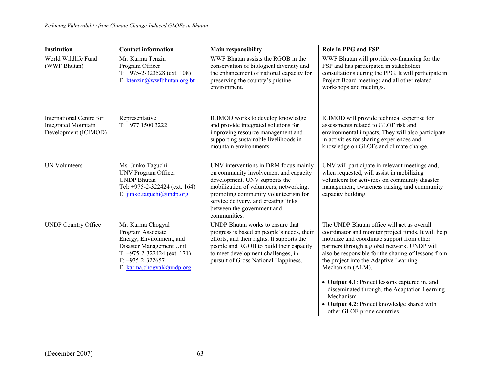| Institution                                                                    | <b>Contact information</b>                                                                                                                                                         | <b>Main responsibility</b>                                                                                                                                                                                                                                                               | Role in PPG and FSP                                                                                                                                                                                                                                                                                                  |
|--------------------------------------------------------------------------------|------------------------------------------------------------------------------------------------------------------------------------------------------------------------------------|------------------------------------------------------------------------------------------------------------------------------------------------------------------------------------------------------------------------------------------------------------------------------------------|----------------------------------------------------------------------------------------------------------------------------------------------------------------------------------------------------------------------------------------------------------------------------------------------------------------------|
| World Wildlife Fund<br>(WWF Bhutan)                                            | Mr. Karma Tenzin<br>Program Officer<br>$T: +975-2-323528$ (ext. 108)<br>E: ktenzin@wwfbhutan.org.bt                                                                                | WWF Bhutan assists the RGOB in the<br>conservation of biological diversity and<br>the enhancement of national capacity for<br>preserving the country's pristine<br>environment.                                                                                                          | WWF Bhutan will provide co-financing for the<br>FSP and has participated in stakeholder<br>consultations during the PPG. It will participate in<br>Project Board meetings and all other related<br>workshops and meetings.                                                                                           |
| International Centre for<br><b>Integrated Mountain</b><br>Development (ICIMOD) | Representative<br>$T: +97715003222$                                                                                                                                                | ICIMOD works to develop knowledge<br>and provide integrated solutions for<br>improving resource management and<br>supporting sustainable livelihoods in<br>mountain environments.                                                                                                        | ICIMOD will provide technical expertise for<br>assessments related to GLOF risk and<br>environmental impacts. They will also participate<br>in activities for sharing experiences and<br>knowledge on GLOFs and climate change.                                                                                      |
| <b>UN Volunteers</b>                                                           | Ms. Junko Taguchi<br><b>UNV Program Officer</b><br><b>UNDP Bhutan</b><br>Tel: +975-2-322424 (ext. 164)<br>E: junko.taguchi@undp.org                                                | UNV interventions in DRM focus mainly<br>on community involvement and capacity<br>development. UNV supports the<br>mobilization of volunteers, networking,<br>promoting community volunteerism for<br>service delivery, and creating links<br>between the government and<br>communities. | UNV will participate in relevant meetings and,<br>when requested, will assist in mobilizing<br>volunteers for activities on community disaster<br>management, awareness raising, and community<br>capacity building.                                                                                                 |
| <b>UNDP Country Office</b>                                                     | Mr. Karma Chogyal<br>Program Associate<br>Energy, Environment, and<br>Disaster Management Unit<br>$T: +975-2-322424$ (ext. 171)<br>$F: +975-2-322657$<br>E: karma.chogyal@undp.org | UNDP Bhutan works to ensure that<br>progress is based on people's needs, their<br>efforts, and their rights. It supports the<br>people and RGOB to build their capacity<br>to meet development challenges, in<br>pursuit of Gross National Happiness.                                    | The UNDP Bhutan office will act as overall<br>coordinator and monitor project funds. It will help<br>mobilize and coordinate support from other<br>partners through a global network. UNDP will<br>also be responsible for the sharing of lessons from<br>the project into the Adaptive Learning<br>Mechanism (ALM). |
|                                                                                |                                                                                                                                                                                    |                                                                                                                                                                                                                                                                                          | • Output 4.1: Project lessons captured in, and<br>disseminated through, the Adaptation Learning<br>Mechanism<br>• Output 4.2: Project knowledge shared with<br>other GLOF-prone countries                                                                                                                            |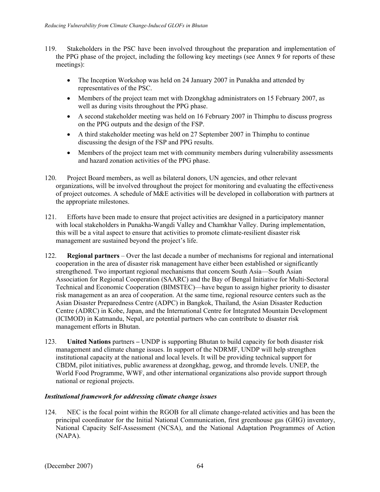- 119. Stakeholders in the PSC have been involved throughout the preparation and implementation of the PPG phase of the project, including the following key meetings (see Annex 9 for reports of these meetings):
	- The Inception Workshop was held on 24 January 2007 in Punakha and attended by representatives of the PSC.
	- Members of the project team met with Dzongkhag administrators on 15 February 2007, as well as during visits throughout the PPG phase.
	- A second stakeholder meeting was held on 16 February 2007 in Thimphu to discuss progress on the PPG outputs and the design of the FSP.
	- A third stakeholder meeting was held on 27 September 2007 in Thimphu to continue discussing the design of the FSP and PPG results.
	- Members of the project team met with community members during vulnerability assessments and hazard zonation activities of the PPG phase.
- 120. Project Board members, as well as bilateral donors, UN agencies, and other relevant organizations, will be involved throughout the project for monitoring and evaluating the effectiveness of project outcomes. A schedule of M&E activities will be developed in collaboration with partners at the appropriate milestones.
- 121. Efforts have been made to ensure that project activities are designed in a participatory manner with local stakeholders in Punakha-Wangdi Valley and Chamkhar Valley. During implementation, this will be a vital aspect to ensure that activities to promote climate-resilient disaster risk management are sustained beyond the project's life.
- 122. **Regional partners** Over the last decade a number of mechanisms for regional and international cooperation in the area of disaster risk management have either been established or significantly strengthened. Two important regional mechanisms that concern South Asia—South Asian Association for Regional Cooperation (SAARC) and the Bay of Bengal Initiative for Multi-Sectoral Technical and Economic Cooperation (BIMSTEC)—have begun to assign higher priority to disaster risk management as an area of cooperation. At the same time, regional resource centers such as the Asian Disaster Preparedness Centre (ADPC) in Bangkok, Thailand, the Asian Disaster Reduction Centre (ADRC) in Kobe, Japan, and the International Centre for Integrated Mountain Development (ICIMOD) in Katmandu, Nepal, are potential partners who can contribute to disaster risk management efforts in Bhutan.
- 123. **United Nations** partnersUNDP is supporting Bhutan to build capacity for both disaster risk management and climate change issues. In support of the NDRMF, UNDP will help strengthen institutional capacity at the national and local levels. It will be providing technical support for CBDM, pilot initiatives, public awareness at dzongkhag, gewog, and thromde levels. UNEP, the World Food Programme, WWF, and other international organizations also provide support through national or regional projects.

# *Institutional framework for addressing climate change issues*

124. NEC is the focal point within the RGOB for all climate change-related activities and has been the principal coordinator for the Initial National Communication, first greenhouse gas (GHG) inventory, National Capacity Self-Assessment (NCSA), and the National Adaptation Programmes of Action (NAPA).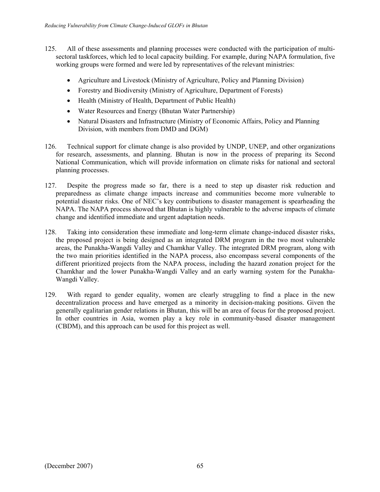- 125. All of these assessments and planning processes were conducted with the participation of multisectoral taskforces, which led to local capacity building. For example, during NAPA formulation, five working groups were formed and were led by representatives of the relevant ministries:
	- Agriculture and Livestock (Ministry of Agriculture, Policy and Planning Division)
	- Forestry and Biodiversity (Ministry of Agriculture, Department of Forests)
	- Health (Ministry of Health, Department of Public Health)
	- Water Resources and Energy (Bhutan Water Partnership)
	- Natural Disasters and Infrastructure (Ministry of Economic Affairs, Policy and Planning Division, with members from DMD and DGM)
- 126. Technical support for climate change is also provided by UNDP, UNEP, and other organizations for research, assessments, and planning. Bhutan is now in the process of preparing its Second National Communication, which will provide information on climate risks for national and sectoral planning processes.
- 127. Despite the progress made so far, there is a need to step up disaster risk reduction and preparedness as climate change impacts increase and communities become more vulnerable to potential disaster risks. One of NEC's key contributions to disaster management is spearheading the NAPA. The NAPA process showed that Bhutan is highly vulnerable to the adverse impacts of climate change and identified immediate and urgent adaptation needs.
- 128. Taking into consideration these immediate and long-term climate change-induced disaster risks, the proposed project is being designed as an integrated DRM program in the two most vulnerable areas, the Punakha-Wangdi Valley and Chamkhar Valley. The integrated DRM program, along with the two main priorities identified in the NAPA process, also encompass several components of the different prioritized projects from the NAPA process, including the hazard zonation project for the Chamkhar and the lower Punakha-Wangdi Valley and an early warning system for the Punakha-Wangdi Valley.
- 129. With regard to gender equality, women are clearly struggling to find a place in the new decentralization process and have emerged as a minority in decision-making positions. Given the generally egalitarian gender relations in Bhutan, this will be an area of focus for the proposed project. In other countries in Asia, women play a key role in community-based disaster management (CBDM), and this approach can be used for this project as well.